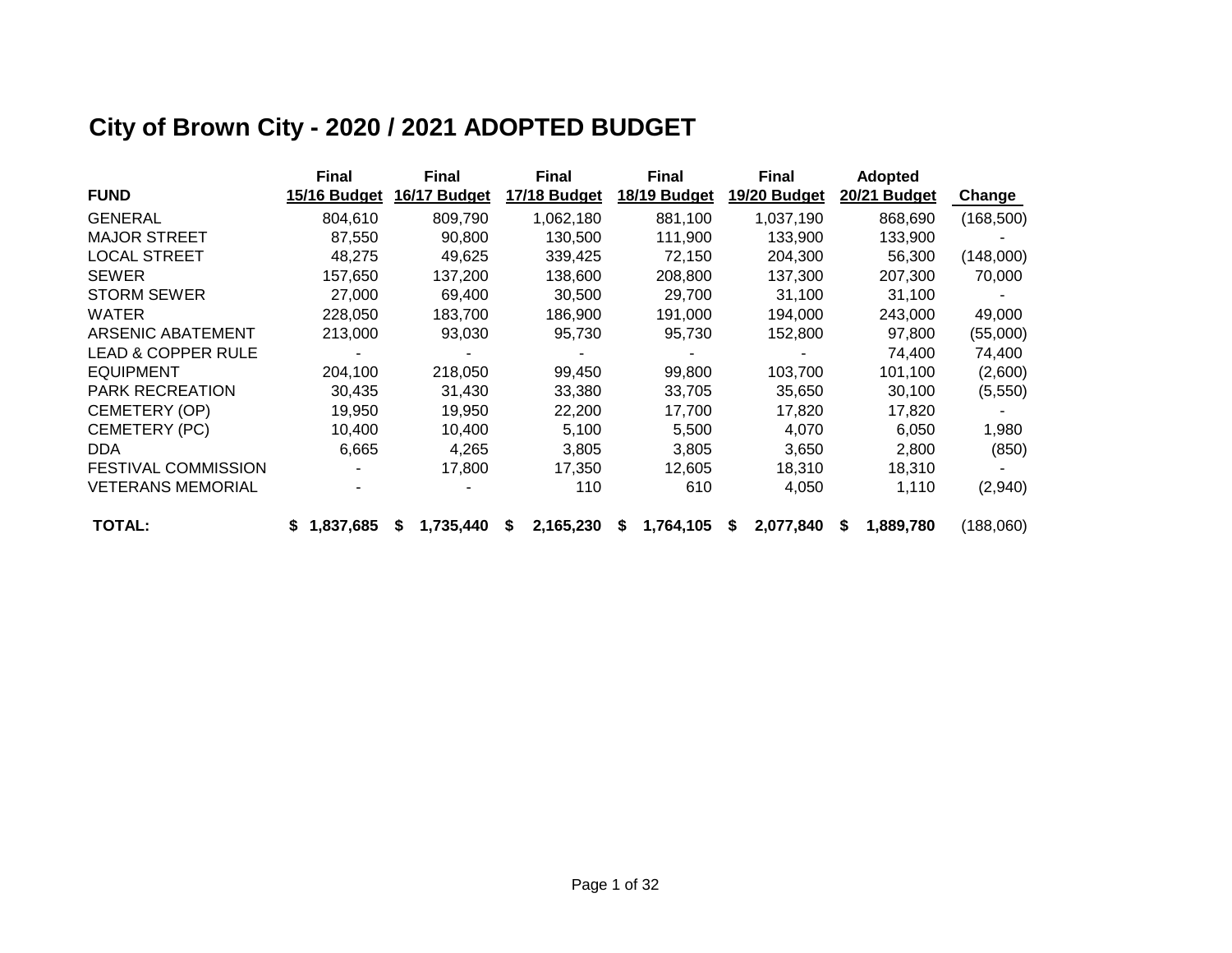# **City of Brown City - 2020 / 2021 ADOPTED BUDGET**

|                               | <b>Final</b>   | <b>Final</b> | <b>Final</b>   | <b>Final</b>   | <b>Final</b>   | <b>Adopted</b> |            |
|-------------------------------|----------------|--------------|----------------|----------------|----------------|----------------|------------|
| <b>FUND</b>                   | 15/16 Budget   | 16/17 Budget | 17/18 Budget   | 18/19 Budget   | 19/20 Budget   | 20/21 Budget   | Change     |
| <b>GENERAL</b>                | 804,610        | 809,790      | 1,062,180      | 881,100        | 1,037,190      | 868,690        | (168, 500) |
| <b>MAJOR STREET</b>           | 87,550         | 90,800       | 130,500        | 111,900        | 133,900        | 133,900        |            |
| <b>LOCAL STREET</b>           | 48,275         | 49,625       | 339,425        | 72,150         | 204,300        | 56,300         | (148,000)  |
| <b>SEWER</b>                  | 157,650        | 137,200      | 138,600        | 208,800        | 137,300        | 207,300        | 70,000     |
| <b>STORM SEWER</b>            | 27,000         | 69,400       | 30,500         | 29,700         | 31,100         | 31,100         |            |
| <b>WATER</b>                  | 228,050        | 183,700      | 186,900        | 191,000        | 194,000        | 243,000        | 49,000     |
| ARSENIC ABATEMENT             | 213,000        | 93,030       | 95,730         | 95,730         | 152,800        | 97,800         | (55,000)   |
| <b>LEAD &amp; COPPER RULE</b> |                |              |                |                |                | 74,400         | 74,400     |
| <b>EQUIPMENT</b>              | 204,100        | 218,050      | 99,450         | 99,800         | 103,700        | 101,100        | (2,600)    |
| <b>PARK RECREATION</b>        | 30,435         | 31,430       | 33,380         | 33,705         | 35,650         | 30,100         | (5,550)    |
| CEMETERY (OP)                 | 19,950         | 19,950       | 22,200         | 17,700         | 17,820         | 17,820         |            |
| CEMETERY (PC)                 | 10.400         | 10.400       | 5,100          | 5,500          | 4.070          | 6,050          | 1,980      |
| <b>DDA</b>                    | 6,665          | 4,265        | 3,805          | 3,805          | 3,650          | 2,800          | (850)      |
| <b>FESTIVAL COMMISSION</b>    |                | 17,800       | 17,350         | 12,605         | 18,310         | 18,310         |            |
| <b>VETERANS MEMORIAL</b>      |                |              | 110            | 610            | 4,050          | 1,110          | (2,940)    |
| <b>TOTAL:</b>                 | 1,837,685<br>S | 1,735,440    | 2,165,230<br>S | 1,764,105<br>S | 2,077,840<br>S | 1,889,780<br>S | (188,060)  |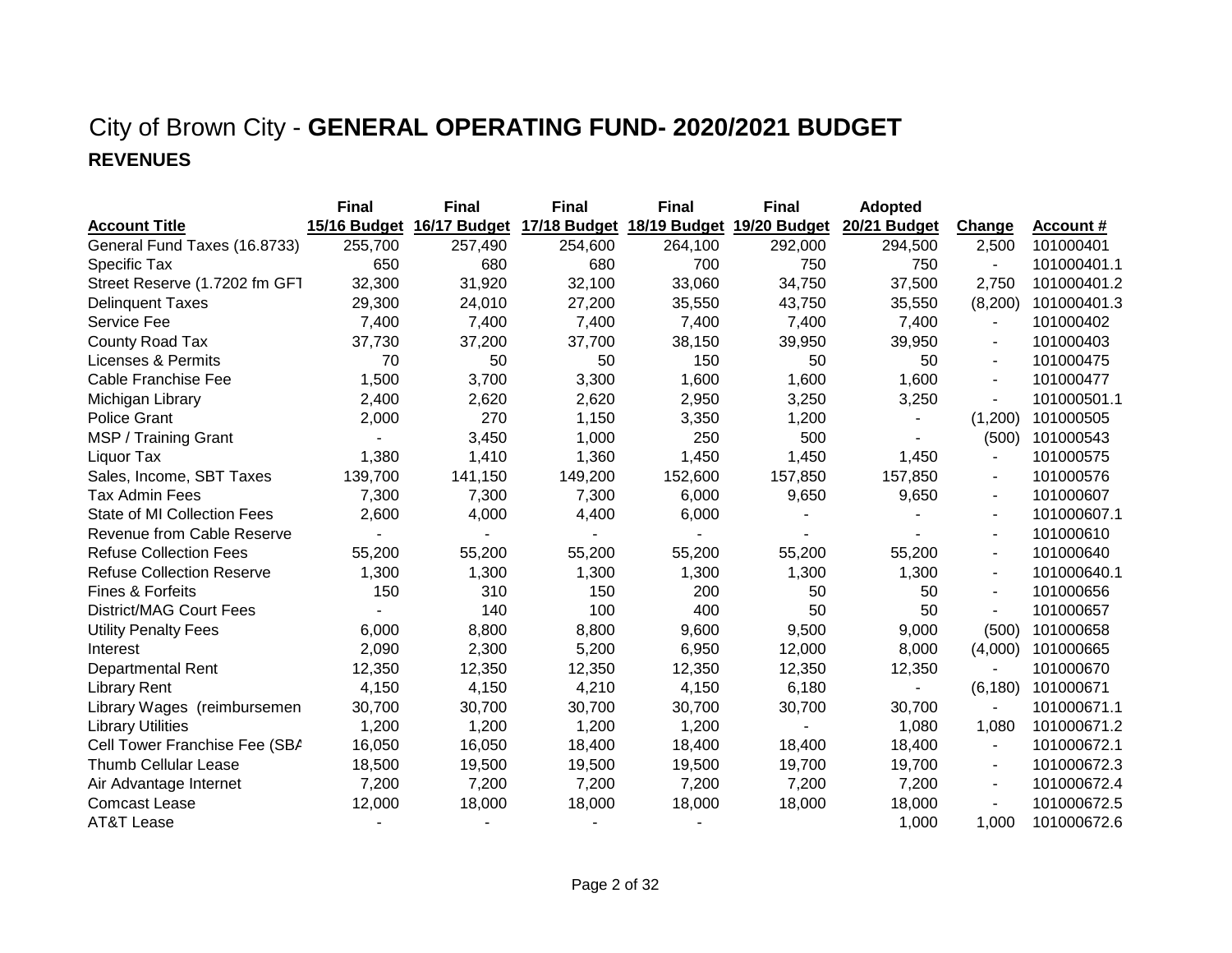### City of Brown City - **GENERAL OPERATING FUND- 2020/2021 BUDGET REVENUES**

|                                   | <b>Final</b> | <b>Final</b> | <b>Final</b> | <b>Final</b>              | <b>Final</b> | <b>Adopted</b> |                          |                  |
|-----------------------------------|--------------|--------------|--------------|---------------------------|--------------|----------------|--------------------------|------------------|
| <b>Account Title</b>              | 15/16 Budget | 16/17 Budget |              | 17/18 Budget 18/19 Budget | 19/20 Budget | 20/21 Budget   | <b>Change</b>            | <u>Account #</u> |
| General Fund Taxes (16.8733)      | 255,700      | 257,490      | 254,600      | 264,100                   | 292,000      | 294,500        | 2,500                    | 101000401        |
| Specific Tax                      | 650          | 680          | 680          | 700                       | 750          | 750            | $\blacksquare$           | 101000401.1      |
| Street Reserve (1.7202 fm GFT     | 32,300       | 31,920       | 32,100       | 33,060                    | 34,750       | 37,500         | 2,750                    | 101000401.2      |
| <b>Delinquent Taxes</b>           | 29,300       | 24,010       | 27,200       | 35,550                    | 43,750       | 35,550         | (8,200)                  | 101000401.3      |
| Service Fee                       | 7,400        | 7,400        | 7,400        | 7,400                     | 7,400        | 7,400          | $\overline{\phantom{a}}$ | 101000402        |
| County Road Tax                   | 37,730       | 37,200       | 37,700       | 38,150                    | 39,950       | 39,950         |                          | 101000403        |
| <b>Licenses &amp; Permits</b>     | 70           | 50           | 50           | 150                       | 50           | 50             |                          | 101000475        |
| Cable Franchise Fee               | 1,500        | 3,700        | 3,300        | 1,600                     | 1,600        | 1,600          | $\blacksquare$           | 101000477        |
| Michigan Library                  | 2,400        | 2,620        | 2,620        | 2,950                     | 3,250        | 3,250          | $\blacksquare$           | 101000501.1      |
| <b>Police Grant</b>               | 2,000        | 270          | 1,150        | 3,350                     | 1,200        |                | (1,200)                  | 101000505        |
| MSP / Training Grant              |              | 3,450        | 1,000        | 250                       | 500          |                | (500)                    | 101000543        |
| Liquor Tax                        | 1,380        | 1,410        | 1,360        | 1,450                     | 1,450        | 1,450          | $\overline{\phantom{a}}$ | 101000575        |
| Sales, Income, SBT Taxes          | 139,700      | 141,150      | 149,200      | 152,600                   | 157,850      | 157,850        |                          | 101000576        |
| <b>Tax Admin Fees</b>             | 7,300        | 7,300        | 7,300        | 6,000                     | 9,650        | 9,650          | $\blacksquare$           | 101000607        |
| State of MI Collection Fees       | 2,600        | 4,000        | 4,400        | 6,000                     |              |                | $\blacksquare$           | 101000607.1      |
| <b>Revenue from Cable Reserve</b> |              |              |              |                           |              |                | $\blacksquare$           | 101000610        |
| <b>Refuse Collection Fees</b>     | 55,200       | 55,200       | 55,200       | 55,200                    | 55,200       | 55,200         | $\blacksquare$           | 101000640        |
| <b>Refuse Collection Reserve</b>  | 1,300        | 1,300        | 1,300        | 1,300                     | 1,300        | 1,300          | $\blacksquare$           | 101000640.1      |
| Fines & Forfeits                  | 150          | 310          | 150          | 200                       | 50           | 50             |                          | 101000656        |
| <b>District/MAG Court Fees</b>    |              | 140          | 100          | 400                       | 50           | 50             |                          | 101000657        |
| <b>Utility Penalty Fees</b>       | 6,000        | 8,800        | 8,800        | 9,600                     | 9,500        | 9,000          | (500)                    | 101000658        |
| Interest                          | 2,090        | 2,300        | 5,200        | 6,950                     | 12,000       | 8,000          | (4,000)                  | 101000665        |
| <b>Departmental Rent</b>          | 12,350       | 12,350       | 12,350       | 12,350                    | 12,350       | 12,350         | $\blacksquare$           | 101000670        |
| <b>Library Rent</b>               | 4,150        | 4,150        | 4,210        | 4,150                     | 6,180        |                | (6, 180)                 | 101000671        |
| Library Wages (reimbursemen       | 30,700       | 30,700       | 30,700       | 30,700                    | 30,700       | 30,700         |                          | 101000671.1      |
| <b>Library Utilities</b>          | 1,200        | 1,200        | 1,200        | 1,200                     |              | 1,080          | 1,080                    | 101000671.2      |
| Cell Tower Franchise Fee (SBA     | 16,050       | 16,050       | 18,400       | 18,400                    | 18,400       | 18,400         | $\overline{\phantom{a}}$ | 101000672.1      |
| <b>Thumb Cellular Lease</b>       | 18,500       | 19,500       | 19,500       | 19,500                    | 19,700       | 19,700         |                          | 101000672.3      |
| Air Advantage Internet            | 7,200        | 7,200        | 7,200        | 7,200                     | 7,200        | 7,200          | $\blacksquare$           | 101000672.4      |
| <b>Comcast Lease</b>              | 12,000       | 18,000       | 18,000       | 18,000                    | 18,000       | 18,000         |                          | 101000672.5      |
| <b>AT&amp;T Lease</b>             |              |              |              |                           |              | 1,000          | 1,000                    | 101000672.6      |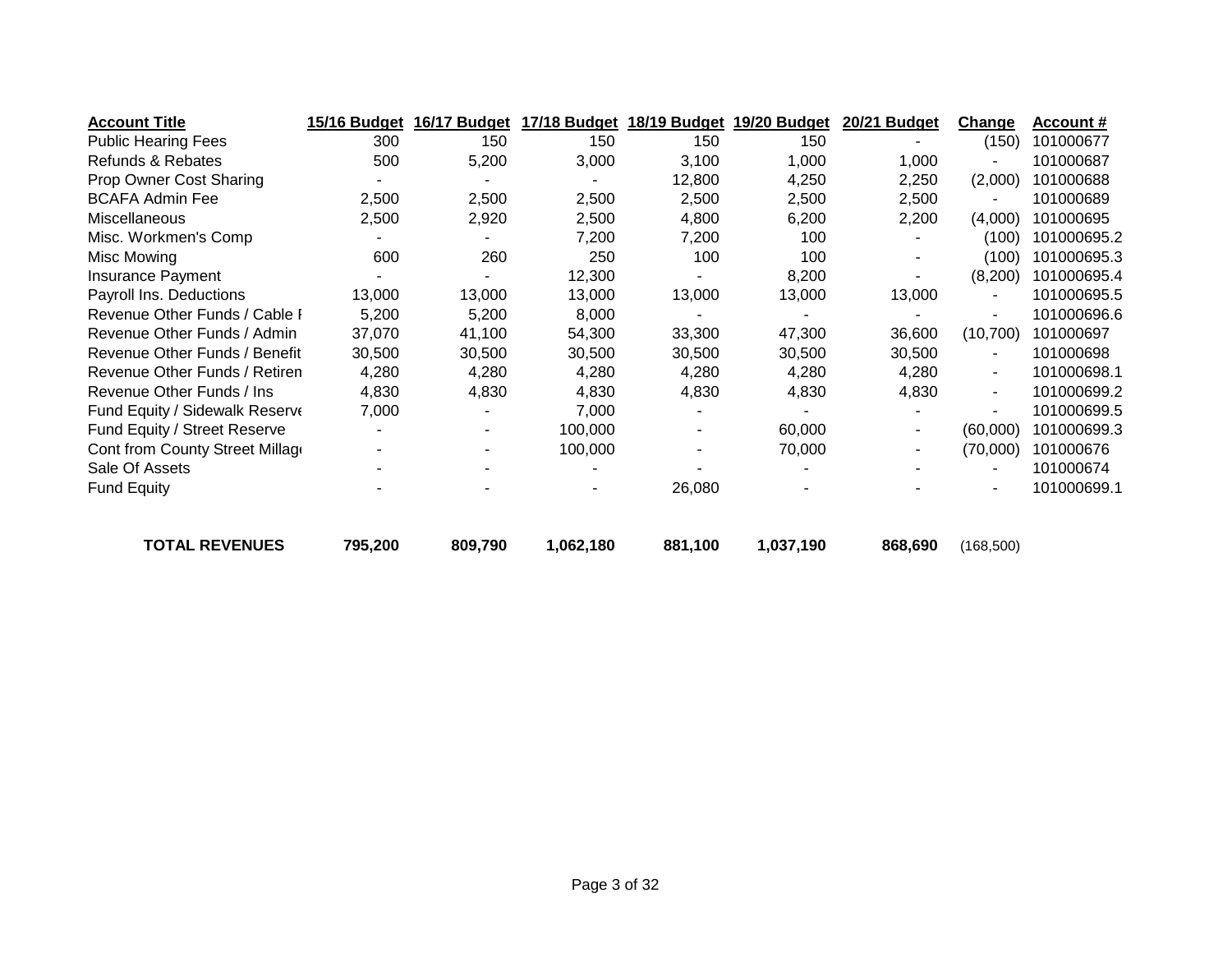| <b>Account Title</b>            | 15/16 Budget   | 16/17 Budget | 17/18 Budget | 18/19 Budget | 19/20 Budget | 20/21 Budget | Change         | <b>Account #</b> |
|---------------------------------|----------------|--------------|--------------|--------------|--------------|--------------|----------------|------------------|
| <b>Public Hearing Fees</b>      | 300            | 150          | 150          | 150          | 150          |              | (150)          | 101000677        |
| Refunds & Rebates               | 500            | 5,200        | 3,000        | 3,100        | 1,000        | 1,000        |                | 101000687        |
| Prop Owner Cost Sharing         |                |              |              | 12,800       | 4,250        | 2,250        | (2,000)        | 101000688        |
| <b>BCAFA Admin Fee</b>          | 2,500          | 2,500        | 2,500        | 2,500        | 2,500        | 2,500        | $\blacksquare$ | 101000689        |
| Miscellaneous                   | 2,500          | 2,920        | 2,500        | 4,800        | 6,200        | 2,200        | (4,000)        | 101000695        |
| Misc. Workmen's Comp            |                |              | 7,200        | 7,200        | 100          |              | (100)          | 101000695.2      |
| Misc Mowing                     | 600            | 260          | 250          | 100          | 100          |              | (100)          | 101000695.3      |
| Insurance Payment               |                |              | 12,300       |              | 8,200        |              | (8,200)        | 101000695.4      |
| Payroll Ins. Deductions         | 13,000         | 13,000       | 13,000       | 13,000       | 13,000       | 13,000       | $\blacksquare$ | 101000695.5      |
| Revenue Other Funds / Cable I   | 5,200          | 5,200        | 8,000        |              |              |              | $\blacksquare$ | 101000696.6      |
| Revenue Other Funds / Admin     | 37,070         | 41,100       | 54,300       | 33,300       | 47,300       | 36,600       | (10, 700)      | 101000697        |
| Revenue Other Funds / Benefit   | 30,500         | 30,500       | 30,500       | 30,500       | 30,500       | 30,500       | $\blacksquare$ | 101000698        |
| Revenue Other Funds / Retiren   | 4,280          | 4,280        | 4,280        | 4,280        | 4,280        | 4,280        | $\blacksquare$ | 101000698.1      |
| Revenue Other Funds / Ins       | 4,830          | 4,830        | 4,830        | 4,830        | 4,830        | 4,830        | $\blacksquare$ | 101000699.2      |
| Fund Equity / Sidewalk Reserve  | 7,000          |              | 7,000        |              |              |              | $\blacksquare$ | 101000699.5      |
| Fund Equity / Street Reserve    |                |              | 100,000      |              | 60,000       | ۰            | (60,000)       | 101000699.3      |
| Cont from County Street Millage | $\blacksquare$ |              | 100,000      | ۰            | 70,000       | ۰.           | (70,000)       | 101000676        |
| Sale Of Assets                  |                |              |              |              |              |              | $\blacksquare$ | 101000674        |
| <b>Fund Equity</b>              |                |              |              | 26,080       |              |              | $\blacksquare$ | 101000699.1      |
| <b>TOTAL REVENUES</b>           | 795,200        | 809,790      | 1,062,180    | 881,100      | 1,037,190    | 868,690      | (168, 500)     |                  |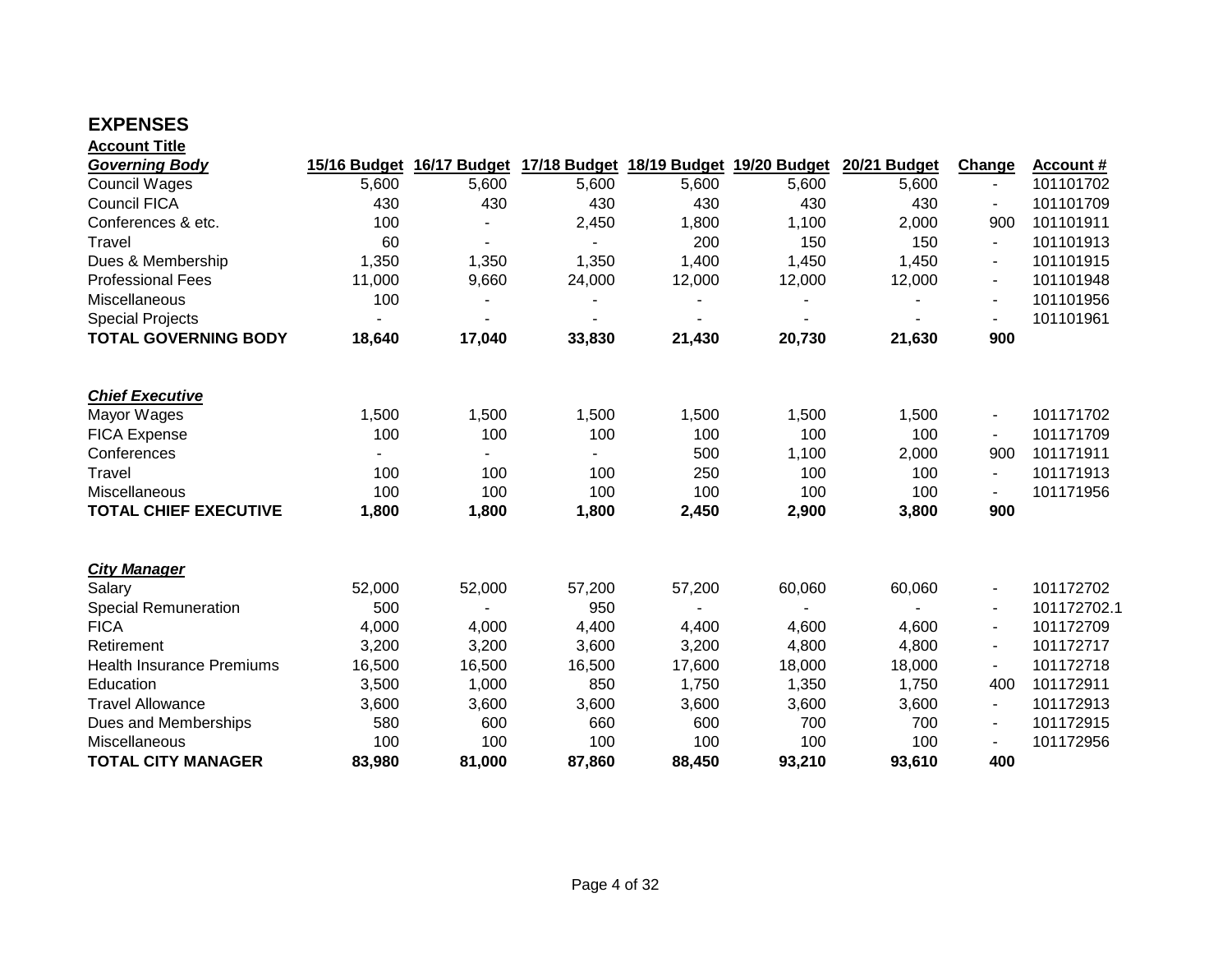### **EXPENSES**

| <b>Account Title</b> |  |
|----------------------|--|
|                      |  |

| <b>Governing Body</b>            | 15/16 Budget | 16/17 Budget   |        | 17/18 Budget 18/19 Budget | 19/20 Budget | 20/21 Budget | Change                   | <b>Account #</b> |
|----------------------------------|--------------|----------------|--------|---------------------------|--------------|--------------|--------------------------|------------------|
| <b>Council Wages</b>             | 5,600        | 5,600          | 5,600  | 5,600                     | 5,600        | 5,600        | $\overline{\phantom{a}}$ | 101101702        |
| <b>Council FICA</b>              | 430          | 430            | 430    | 430                       | 430          | 430          |                          | 101101709        |
| Conferences & etc.               | 100          |                | 2,450  | 1,800                     | 1,100        | 2,000        | 900                      | 101101911        |
| Travel                           | 60           | $\blacksquare$ |        | 200                       | 150          | 150          | $\blacksquare$           | 101101913        |
| Dues & Membership                | 1,350        | 1,350          | 1,350  | 1,400                     | 1,450        | 1,450        | $\blacksquare$           | 101101915        |
| <b>Professional Fees</b>         | 11,000       | 9,660          | 24,000 | 12,000                    | 12,000       | 12,000       | $\blacksquare$           | 101101948        |
| Miscellaneous                    | 100          |                |        |                           |              |              |                          | 101101956        |
| <b>Special Projects</b>          |              |                |        |                           |              |              |                          | 101101961        |
| <b>TOTAL GOVERNING BODY</b>      | 18,640       | 17,040         | 33,830 | 21,430                    | 20,730       | 21,630       | 900                      |                  |
| <b>Chief Executive</b>           |              |                |        |                           |              |              |                          |                  |
| Mayor Wages                      | 1,500        | 1,500          | 1,500  | 1,500                     | 1,500        | 1,500        | $\overline{\phantom{a}}$ | 101171702        |
| <b>FICA Expense</b>              | 100          | 100            | 100    | 100                       | 100          | 100          |                          | 101171709        |
| Conferences                      |              |                |        | 500                       | 1,100        | 2,000        | 900                      | 101171911        |
| Travel                           | 100          | 100            | 100    | 250                       | 100          | 100          | $\blacksquare$           | 101171913        |
| Miscellaneous                    | 100          | 100            | 100    | 100                       | 100          | 100          |                          | 101171956        |
| <b>TOTAL CHIEF EXECUTIVE</b>     | 1,800        | 1,800          | 1,800  | 2,450                     | 2,900        | 3,800        | 900                      |                  |
| <b>City Manager</b>              |              |                |        |                           |              |              |                          |                  |
| Salary                           | 52,000       | 52,000         | 57,200 | 57,200                    | 60,060       | 60,060       | $\overline{\phantom{a}}$ | 101172702        |
| <b>Special Remuneration</b>      | 500          |                | 950    |                           |              |              |                          | 101172702.1      |
| <b>FICA</b>                      | 4,000        | 4,000          | 4,400  | 4,400                     | 4,600        | 4,600        | $\blacksquare$           | 101172709        |
| Retirement                       | 3,200        | 3,200          | 3,600  | 3,200                     | 4,800        | 4,800        | $\blacksquare$           | 101172717        |
| <b>Health Insurance Premiums</b> | 16,500       | 16,500         | 16,500 | 17,600                    | 18,000       | 18,000       | $\blacksquare$           | 101172718        |
| Education                        | 3,500        | 1,000          | 850    | 1,750                     | 1,350        | 1,750        | 400                      | 101172911        |
| <b>Travel Allowance</b>          | 3,600        | 3,600          | 3,600  | 3,600                     | 3,600        | 3,600        | $\blacksquare$           | 101172913        |
| Dues and Memberships             | 580          | 600            | 660    | 600                       | 700          | 700          | $\blacksquare$           | 101172915        |
| Miscellaneous                    | 100          | 100            | 100    | 100                       | 100          | 100          |                          | 101172956        |
| <b>TOTAL CITY MANAGER</b>        | 83,980       | 81,000         | 87,860 | 88,450                    | 93,210       | 93,610       | 400                      |                  |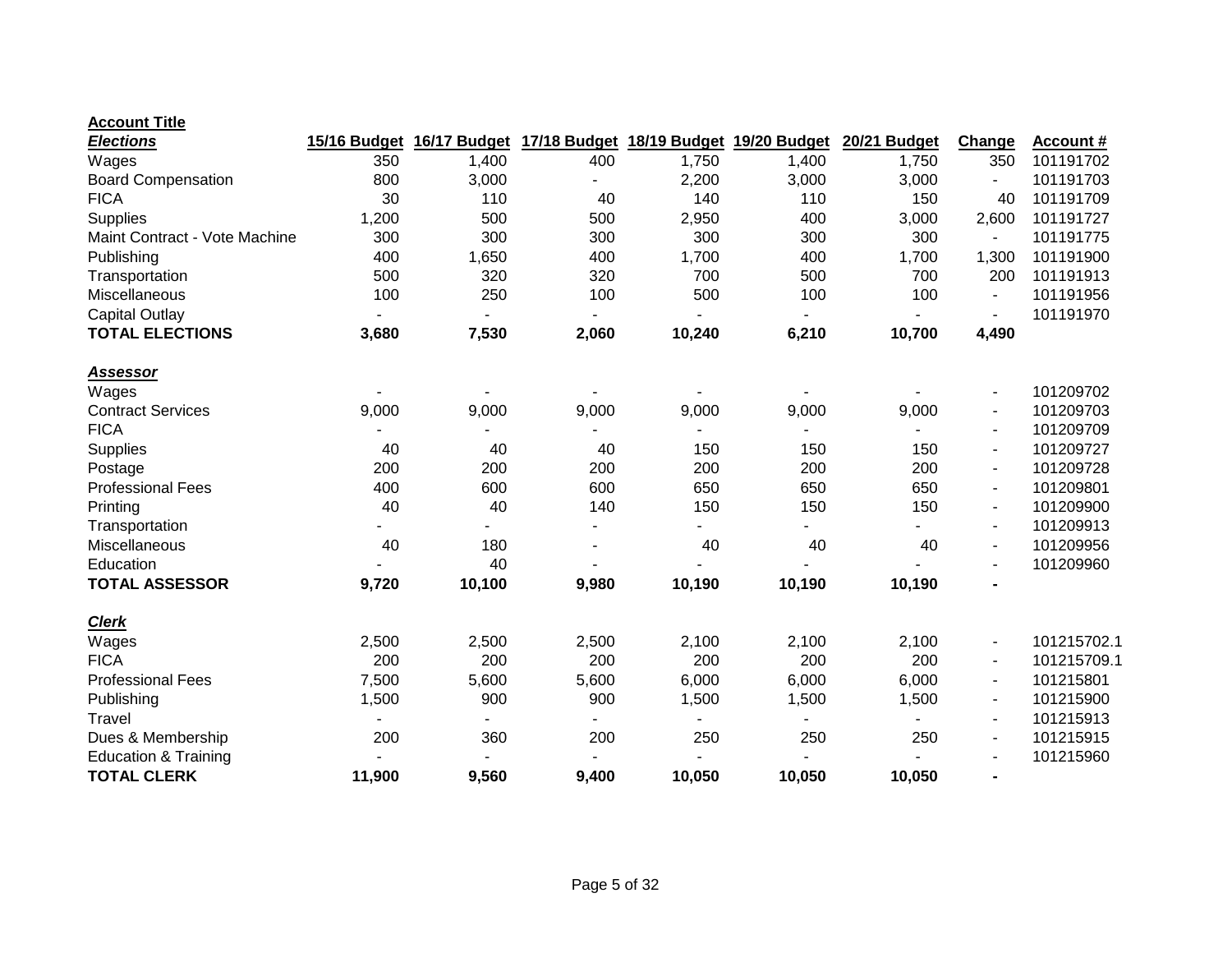| <b>Elections</b>                | 15/16 Budget   | 16/17 Budget   |       | 17/18 Budget 18/19 Budget 19/20 Budget |                | 20/21 Budget | Change                   | <b>Account #</b> |
|---------------------------------|----------------|----------------|-------|----------------------------------------|----------------|--------------|--------------------------|------------------|
| Wages                           | 350            | 1,400          | 400   | 1,750                                  | 1,400          | 1,750        | 350                      | 101191702        |
| <b>Board Compensation</b>       | 800            | 3,000          |       | 2,200                                  | 3,000          | 3,000        |                          | 101191703        |
| <b>FICA</b>                     | 30             | 110            | 40    | 140                                    | 110            | 150          | 40                       | 101191709        |
| Supplies                        | 1,200          | 500            | 500   | 2,950                                  | 400            | 3,000        | 2,600                    | 101191727        |
| Maint Contract - Vote Machine   | 300            | 300            | 300   | 300                                    | 300            | 300          | $\blacksquare$           | 101191775        |
| Publishing                      | 400            | 1,650          | 400   | 1,700                                  | 400            | 1,700        | 1,300                    | 101191900        |
| Transportation                  | 500            | 320            | 320   | 700                                    | 500            | 700          | 200                      | 101191913        |
| Miscellaneous                   | 100            | 250            | 100   | 500                                    | 100            | 100          | $\overline{a}$           | 101191956        |
| <b>Capital Outlay</b>           | $\blacksquare$ | $\blacksquare$ |       |                                        | $\blacksquare$ |              |                          | 101191970        |
| <b>TOTAL ELECTIONS</b>          | 3,680          | 7,530          | 2,060 | 10,240                                 | 6,210          | 10,700       | 4,490                    |                  |
| <b>Assessor</b>                 |                |                |       |                                        |                |              |                          |                  |
| Wages                           |                |                |       |                                        |                |              | $\overline{\phantom{a}}$ | 101209702        |
| <b>Contract Services</b>        | 9,000          | 9,000          | 9,000 | 9,000                                  | 9,000          | 9,000        | $\overline{\phantom{a}}$ | 101209703        |
| <b>FICA</b>                     |                |                |       |                                        |                |              | $\blacksquare$           | 101209709        |
| <b>Supplies</b>                 | 40             | 40             | 40    | 150                                    | 150            | 150          | $\blacksquare$           | 101209727        |
| Postage                         | 200            | 200            | 200   | 200                                    | 200            | 200          | $\blacksquare$           | 101209728        |
| <b>Professional Fees</b>        | 400            | 600            | 600   | 650                                    | 650            | 650          | $\blacksquare$           | 101209801        |
| Printing                        | 40             | 40             | 140   | 150                                    | 150            | 150          |                          | 101209900        |
| Transportation                  |                |                |       |                                        |                |              | $\overline{\phantom{a}}$ | 101209913        |
| Miscellaneous                   | 40             | 180            |       | 40                                     | 40             | 40           |                          | 101209956        |
| Education                       |                | 40             |       |                                        |                |              | $\blacksquare$           | 101209960        |
| <b>TOTAL ASSESSOR</b>           | 9,720          | 10,100         | 9,980 | 10,190                                 | 10,190         | 10,190       | $\blacksquare$           |                  |
| <b>Clerk</b>                    |                |                |       |                                        |                |              |                          |                  |
| Wages                           | 2,500          | 2,500          | 2,500 | 2,100                                  | 2,100          | 2,100        | $\blacksquare$           | 101215702.1      |
| <b>FICA</b>                     | 200            | 200            | 200   | 200                                    | 200            | 200          | $\overline{\phantom{a}}$ | 101215709.1      |
| <b>Professional Fees</b>        | 7,500          | 5,600          | 5,600 | 6,000                                  | 6,000          | 6,000        | $\blacksquare$           | 101215801        |
| Publishing                      | 1,500          | 900            | 900   | 1,500                                  | 1,500          | 1,500        | $\blacksquare$           | 101215900        |
| Travel                          |                |                |       |                                        |                |              |                          | 101215913        |
| Dues & Membership               | 200            | 360            | 200   | 250                                    | 250            | 250          |                          | 101215915        |
| <b>Education &amp; Training</b> |                |                |       |                                        |                |              |                          | 101215960        |
| <b>TOTAL CLERK</b>              | 11,900         | 9,560          | 9,400 | 10,050                                 | 10,050         | 10,050       | $\blacksquare$           |                  |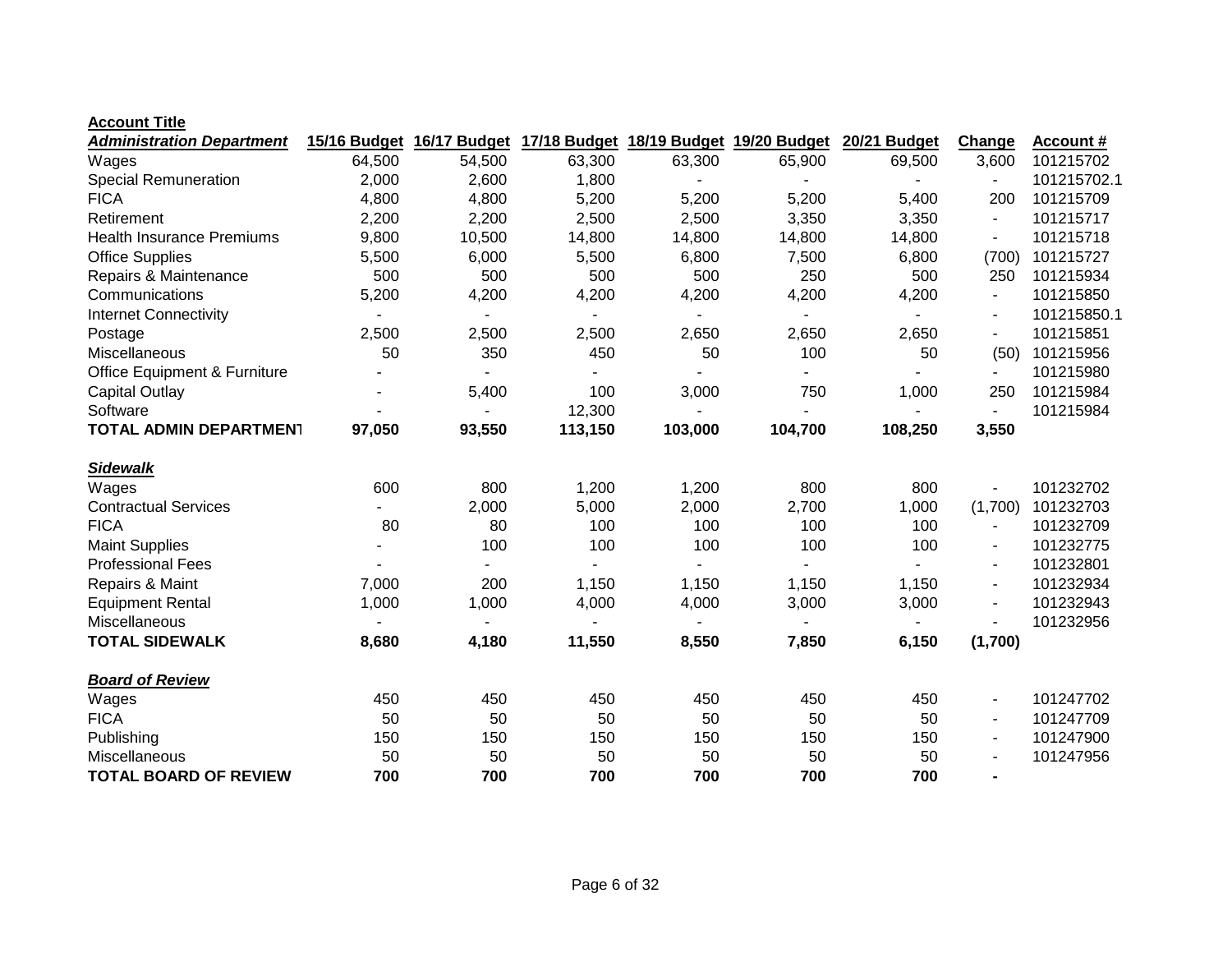| <b>Administration Department</b> | 15/16 Budget | 16/17 Budget |                          |         | 17/18 Budget 18/19 Budget 19/20 Budget | 20/21 Budget | Change                   | <b>Account #</b> |
|----------------------------------|--------------|--------------|--------------------------|---------|----------------------------------------|--------------|--------------------------|------------------|
| Wages                            | 64,500       | 54,500       | 63,300                   | 63,300  | 65,900                                 | 69,500       | 3,600                    | 101215702        |
| <b>Special Remuneration</b>      | 2,000        | 2,600        | 1,800                    |         |                                        |              | $\overline{\phantom{0}}$ | 101215702.1      |
| <b>FICA</b>                      | 4,800        | 4,800        | 5,200                    | 5,200   | 5,200                                  | 5,400        | 200                      | 101215709        |
| Retirement                       | 2,200        | 2,200        | 2,500                    | 2,500   | 3,350                                  | 3,350        | $\blacksquare$           | 101215717        |
| <b>Health Insurance Premiums</b> | 9,800        | 10,500       | 14,800                   | 14,800  | 14,800                                 | 14,800       |                          | 101215718        |
| <b>Office Supplies</b>           | 5,500        | 6,000        | 5,500                    | 6,800   | 7,500                                  | 6,800        | (700)                    | 101215727        |
| Repairs & Maintenance            | 500          | 500          | 500                      | 500     | 250                                    | 500          | 250                      | 101215934        |
| Communications                   | 5,200        | 4,200        | 4,200                    | 4,200   | 4,200                                  | 4,200        | $\overline{\phantom{a}}$ | 101215850        |
| <b>Internet Connectivity</b>     |              |              | $\overline{\phantom{0}}$ | ۰       |                                        |              | $\overline{\phantom{a}}$ | 101215850.1      |
| Postage                          | 2,500        | 2,500        | 2,500                    | 2,650   | 2,650                                  | 2,650        | $\blacksquare$           | 101215851        |
| Miscellaneous                    | 50           | 350          | 450                      | 50      | 100                                    | 50           | (50)                     | 101215956        |
| Office Equipment & Furniture     |              |              |                          |         |                                        |              | $\blacksquare$           | 101215980        |
| <b>Capital Outlay</b>            |              | 5,400        | 100                      | 3,000   | 750                                    | 1,000        | 250                      | 101215984        |
| Software                         |              |              | 12,300                   |         |                                        |              |                          | 101215984        |
| <b>TOTAL ADMIN DEPARTMENT</b>    | 97,050       | 93,550       | 113,150                  | 103,000 | 104,700                                | 108,250      | 3,550                    |                  |
| <b>Sidewalk</b>                  |              |              |                          |         |                                        |              |                          |                  |
| Wages                            | 600          | 800          | 1,200                    | 1,200   | 800                                    | 800          |                          | 101232702        |
| <b>Contractual Services</b>      |              | 2,000        | 5,000                    | 2,000   | 2,700                                  | 1,000        | (1,700)                  | 101232703        |
| <b>FICA</b>                      | 80           | 80           | 100                      | 100     | 100                                    | 100          | $\overline{\phantom{a}}$ | 101232709        |
| <b>Maint Supplies</b>            |              | 100          | 100                      | 100     | 100                                    | 100          | $\blacksquare$           | 101232775        |
| <b>Professional Fees</b>         |              |              |                          |         |                                        |              | $\blacksquare$           | 101232801        |
| Repairs & Maint                  | 7,000        | 200          | 1,150                    | 1,150   | 1,150                                  | 1,150        | $\blacksquare$           | 101232934        |
| <b>Equipment Rental</b>          | 1,000        | 1,000        | 4,000                    | 4,000   | 3,000                                  | 3,000        |                          | 101232943        |
| Miscellaneous                    |              |              |                          |         |                                        |              |                          | 101232956        |
| <b>TOTAL SIDEWALK</b>            | 8,680        | 4,180        | 11,550                   | 8,550   | 7,850                                  | 6,150        | (1,700)                  |                  |
| <b>Board of Review</b>           |              |              |                          |         |                                        |              |                          |                  |
| Wages                            | 450          | 450          | 450                      | 450     | 450                                    | 450          | $\blacksquare$           | 101247702        |
| <b>FICA</b>                      | 50           | 50           | 50                       | 50      | 50                                     | 50           | $\blacksquare$           | 101247709        |
| Publishing                       | 150          | 150          | 150                      | 150     | 150                                    | 150          | $\blacksquare$           | 101247900        |
| Miscellaneous                    | 50           | 50           | 50                       | 50      | 50                                     | 50           |                          | 101247956        |
| <b>TOTAL BOARD OF REVIEW</b>     | 700          | 700          | 700                      | 700     | 700                                    | 700          | $\blacksquare$           |                  |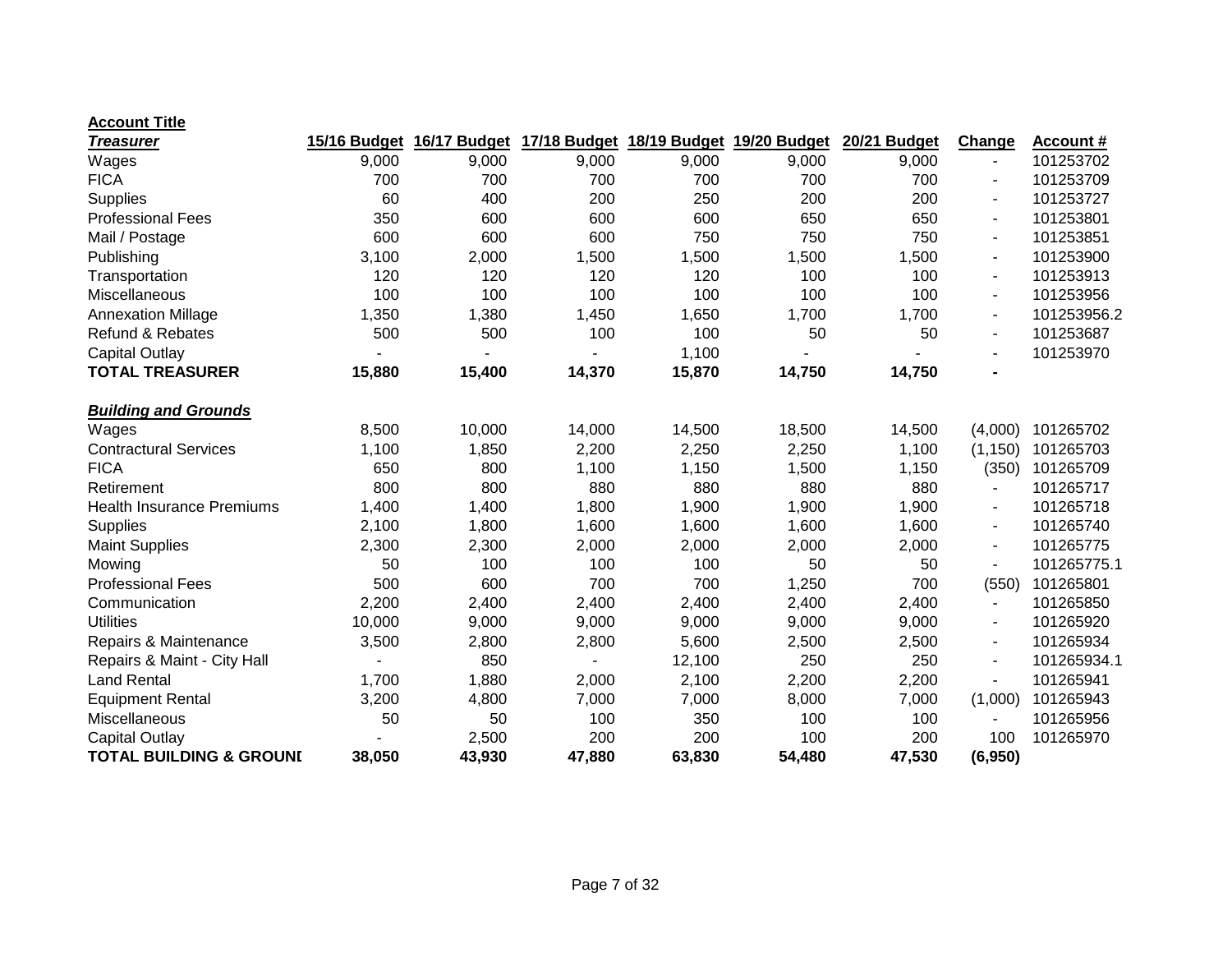| <u>Treasurer</u>                   | 15/16 Budget | 16/17 Budget |        | 17/18 Budget 18/19 Budget | 19/20 Budget | 20/21 Budget | Change                   | <b>Account #</b> |
|------------------------------------|--------------|--------------|--------|---------------------------|--------------|--------------|--------------------------|------------------|
| Wages                              | 9,000        | 9,000        | 9,000  | 9,000                     | 9,000        | 9,000        | $\blacksquare$           | 101253702        |
| <b>FICA</b>                        | 700          | 700          | 700    | 700                       | 700          | 700          | $\blacksquare$           | 101253709        |
| <b>Supplies</b>                    | 60           | 400          | 200    | 250                       | 200          | 200          | $\blacksquare$           | 101253727        |
| <b>Professional Fees</b>           | 350          | 600          | 600    | 600                       | 650          | 650          | $\blacksquare$           | 101253801        |
| Mail / Postage                     | 600          | 600          | 600    | 750                       | 750          | 750          | ÷,                       | 101253851        |
| Publishing                         | 3,100        | 2,000        | 1,500  | 1,500                     | 1,500        | 1,500        | $\overline{a}$           | 101253900        |
| Transportation                     | 120          | 120          | 120    | 120                       | 100          | 100          |                          | 101253913        |
| Miscellaneous                      | 100          | 100          | 100    | 100                       | 100          | 100          | $\blacksquare$           | 101253956        |
| <b>Annexation Millage</b>          | 1,350        | 1,380        | 1,450  | 1,650                     | 1,700        | 1,700        | $\blacksquare$           | 101253956.2      |
| <b>Refund &amp; Rebates</b>        | 500          | 500          | 100    | 100                       | 50           | 50           | $\blacksquare$           | 101253687        |
| <b>Capital Outlay</b>              |              |              |        | 1,100                     |              |              |                          | 101253970        |
| <b>TOTAL TREASURER</b>             | 15,880       | 15,400       | 14,370 | 15,870                    | 14,750       | 14,750       | $\blacksquare$           |                  |
| <b>Building and Grounds</b>        |              |              |        |                           |              |              |                          |                  |
| Wages                              | 8,500        | 10,000       | 14,000 | 14,500                    | 18,500       | 14,500       | (4,000)                  | 101265702        |
| <b>Contractural Services</b>       | 1,100        | 1,850        | 2,200  | 2,250                     | 2,250        | 1,100        | (1, 150)                 | 101265703        |
| <b>FICA</b>                        | 650          | 800          | 1,100  | 1,150                     | 1,500        | 1,150        | (350)                    | 101265709        |
| Retirement                         | 800          | 800          | 880    | 880                       | 880          | 880          |                          | 101265717        |
| <b>Health Insurance Premiums</b>   | 1,400        | 1,400        | 1,800  | 1,900                     | 1,900        | 1,900        | -                        | 101265718        |
| <b>Supplies</b>                    | 2,100        | 1,800        | 1,600  | 1,600                     | 1,600        | 1,600        | $\overline{a}$           | 101265740        |
| <b>Maint Supplies</b>              | 2,300        | 2,300        | 2,000  | 2,000                     | 2,000        | 2,000        | $\blacksquare$           | 101265775        |
| Mowing                             | 50           | 100          | 100    | 100                       | 50           | 50           |                          | 101265775.1      |
| <b>Professional Fees</b>           | 500          | 600          | 700    | 700                       | 1,250        | 700          | (550)                    | 101265801        |
| Communication                      | 2,200        | 2,400        | 2,400  | 2,400                     | 2,400        | 2,400        | $\overline{\phantom{a}}$ | 101265850        |
| <b>Utilities</b>                   | 10,000       | 9,000        | 9,000  | 9,000                     | 9,000        | 9,000        | $\blacksquare$           | 101265920        |
| Repairs & Maintenance              | 3,500        | 2,800        | 2,800  | 5,600                     | 2,500        | 2,500        | $\overline{a}$           | 101265934        |
| Repairs & Maint - City Hall        |              | 850          |        | 12,100                    | 250          | 250          | $\blacksquare$           | 101265934.1      |
| <b>Land Rental</b>                 | 1,700        | 1,880        | 2,000  | 2,100                     | 2,200        | 2,200        | $\blacksquare$           | 101265941        |
| <b>Equipment Rental</b>            | 3,200        | 4,800        | 7,000  | 7,000                     | 8,000        | 7,000        | (1,000)                  | 101265943        |
| Miscellaneous                      | 50           | 50           | 100    | 350                       | 100          | 100          |                          | 101265956        |
| <b>Capital Outlay</b>              |              | 2,500        | 200    | 200                       | 100          | 200          | 100                      | 101265970        |
| <b>TOTAL BUILDING &amp; GROUNI</b> | 38,050       | 43,930       | 47,880 | 63,830                    | 54,480       | 47,530       | (6,950)                  |                  |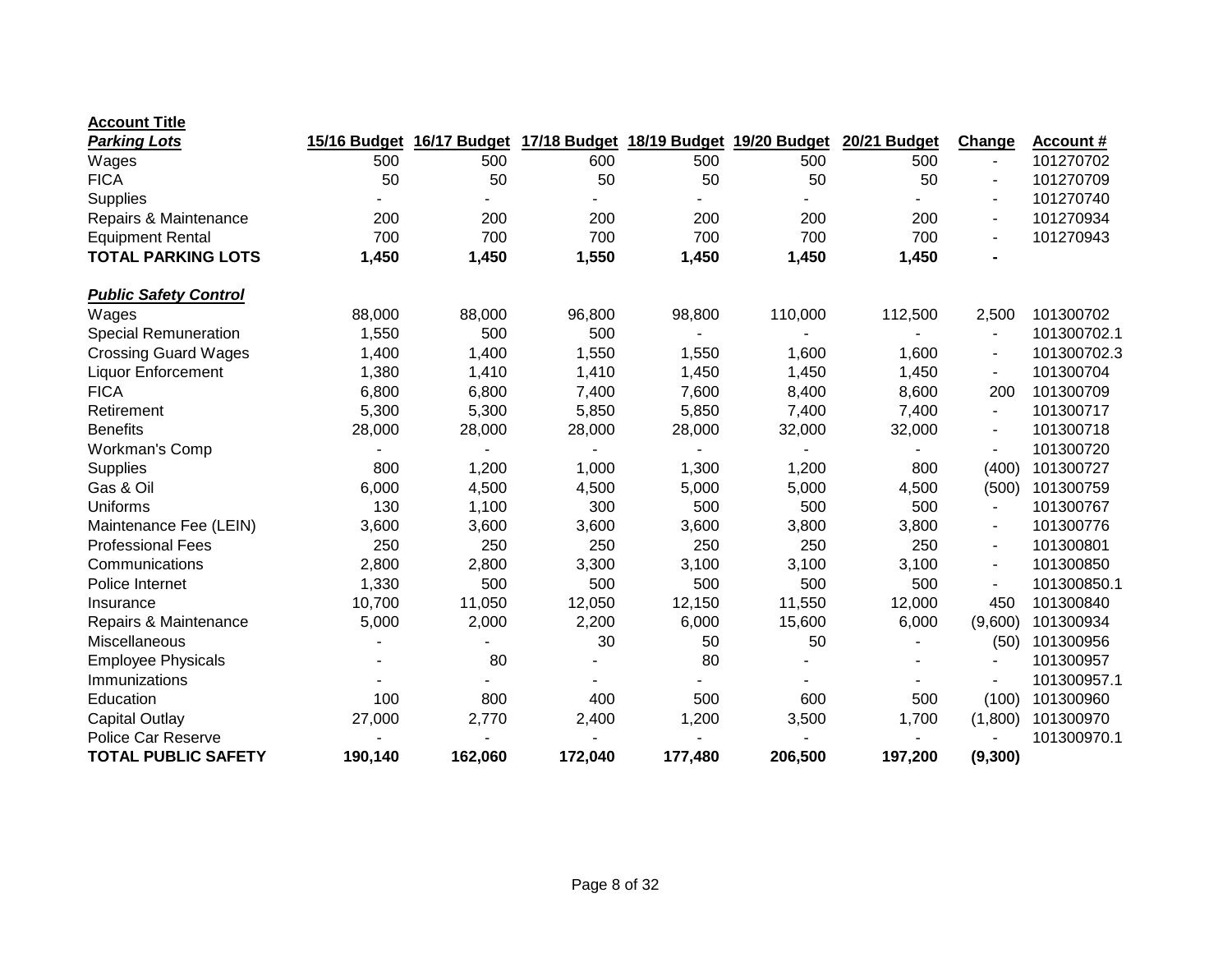| <b>Parking Lots</b>          | 15/16 Budget | 16/17 Budget |         | 17/18 Budget 18/19 Budget 19/20 Budget |         | 20/21 Budget | Change                   | <b>Account #</b> |
|------------------------------|--------------|--------------|---------|----------------------------------------|---------|--------------|--------------------------|------------------|
| Wages                        | 500          | 500          | 600     | 500                                    | 500     | 500          |                          | 101270702        |
| <b>FICA</b>                  | 50           | 50           | 50      | 50                                     | 50      | 50           |                          | 101270709        |
| <b>Supplies</b>              |              |              |         |                                        |         |              |                          | 101270740        |
| Repairs & Maintenance        | 200          | 200          | 200     | 200                                    | 200     | 200          |                          | 101270934        |
| <b>Equipment Rental</b>      | 700          | 700          | 700     | 700                                    | 700     | 700          | $\blacksquare$           | 101270943        |
| <b>TOTAL PARKING LOTS</b>    | 1,450        | 1,450        | 1,550   | 1,450                                  | 1,450   | 1,450        | $\blacksquare$           |                  |
| <b>Public Safety Control</b> |              |              |         |                                        |         |              |                          |                  |
| Wages                        | 88,000       | 88,000       | 96,800  | 98,800                                 | 110,000 | 112,500      | 2,500                    | 101300702        |
| <b>Special Remuneration</b>  | 1,550        | 500          | 500     |                                        |         |              |                          | 101300702.1      |
| <b>Crossing Guard Wages</b>  | 1,400        | 1,400        | 1,550   | 1,550                                  | 1,600   | 1,600        |                          | 101300702.3      |
| <b>Liquor Enforcement</b>    | 1,380        | 1,410        | 1,410   | 1,450                                  | 1,450   | 1,450        |                          | 101300704        |
| <b>FICA</b>                  | 6,800        | 6,800        | 7,400   | 7,600                                  | 8,400   | 8,600        | 200                      | 101300709        |
| Retirement                   | 5,300        | 5,300        | 5,850   | 5,850                                  | 7,400   | 7,400        | $\overline{\phantom{a}}$ | 101300717        |
| <b>Benefits</b>              | 28,000       | 28,000       | 28,000  | 28,000                                 | 32,000  | 32,000       |                          | 101300718        |
| Workman's Comp               |              |              |         |                                        |         |              |                          | 101300720        |
| <b>Supplies</b>              | 800          | 1,200        | 1,000   | 1,300                                  | 1,200   | 800          | (400)                    | 101300727        |
| Gas & Oil                    | 6,000        | 4,500        | 4,500   | 5,000                                  | 5,000   | 4,500        | (500)                    | 101300759        |
| Uniforms                     | 130          | 1,100        | 300     | 500                                    | 500     | 500          |                          | 101300767        |
| Maintenance Fee (LEIN)       | 3,600        | 3,600        | 3,600   | 3,600                                  | 3,800   | 3,800        | $\blacksquare$           | 101300776        |
| <b>Professional Fees</b>     | 250          | 250          | 250     | 250                                    | 250     | 250          | $\blacksquare$           | 101300801        |
| Communications               | 2,800        | 2,800        | 3,300   | 3,100                                  | 3,100   | 3,100        | $\blacksquare$           | 101300850        |
| Police Internet              | 1,330        | 500          | 500     | 500                                    | 500     | 500          |                          | 101300850.1      |
| Insurance                    | 10,700       | 11,050       | 12,050  | 12,150                                 | 11,550  | 12,000       | 450                      | 101300840        |
| Repairs & Maintenance        | 5,000        | 2,000        | 2,200   | 6,000                                  | 15,600  | 6,000        | (9,600)                  | 101300934        |
| Miscellaneous                |              |              | 30      | 50                                     | 50      |              | (50)                     | 101300956        |
| <b>Employee Physicals</b>    |              | 80           |         | 80                                     |         |              |                          | 101300957        |
| Immunizations                |              |              |         |                                        |         |              |                          | 101300957.1      |
| Education                    | 100          | 800          | 400     | 500                                    | 600     | 500          | (100)                    | 101300960        |
| Capital Outlay               | 27,000       | 2,770        | 2,400   | 1,200                                  | 3,500   | 1,700        | (1,800)                  | 101300970        |
| Police Car Reserve           |              |              |         |                                        |         |              |                          | 101300970.1      |
| <b>TOTAL PUBLIC SAFETY</b>   | 190,140      | 162,060      | 172,040 | 177,480                                | 206,500 | 197,200      | (9, 300)                 |                  |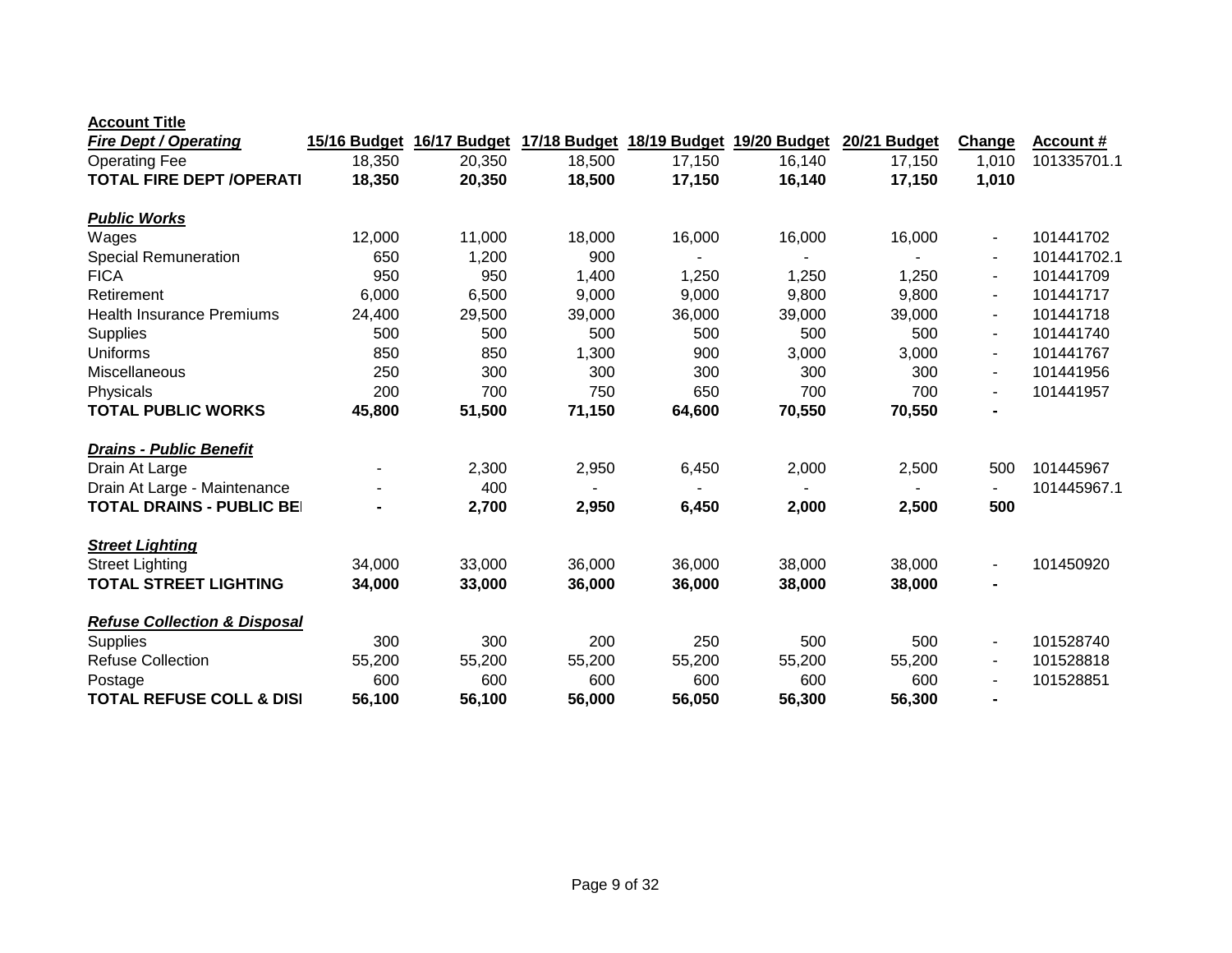| <b>Fire Dept / Operating</b>            | 15/16 Budget | 16/17 Budget |        | 17/18 Budget 18/19 Budget 19/20 Budget |        | 20/21 Budget | Change                   | <b>Account #</b> |
|-----------------------------------------|--------------|--------------|--------|----------------------------------------|--------|--------------|--------------------------|------------------|
| <b>Operating Fee</b>                    | 18,350       | 20,350       | 18,500 | 17,150                                 | 16,140 | 17,150       | 1,010                    | 101335701.1      |
| <b>TOTAL FIRE DEPT / OPERATI</b>        | 18,350       | 20,350       | 18,500 | 17,150                                 | 16,140 | 17,150       | 1,010                    |                  |
| <b>Public Works</b>                     |              |              |        |                                        |        |              |                          |                  |
| Wages                                   | 12,000       | 11,000       | 18,000 | 16,000                                 | 16,000 | 16,000       | $\blacksquare$           | 101441702        |
| <b>Special Remuneration</b>             | 650          | 1,200        | 900    |                                        |        |              | $\blacksquare$           | 101441702.1      |
| <b>FICA</b>                             | 950          | 950          | 1,400  | 1,250                                  | 1,250  | 1,250        |                          | 101441709        |
| Retirement                              | 6,000        | 6,500        | 9,000  | 9,000                                  | 9,800  | 9,800        | $\blacksquare$           | 101441717        |
| <b>Health Insurance Premiums</b>        | 24,400       | 29,500       | 39,000 | 36,000                                 | 39,000 | 39,000       |                          | 101441718        |
| <b>Supplies</b>                         | 500          | 500          | 500    | 500                                    | 500    | 500          | $\blacksquare$           | 101441740        |
| <b>Uniforms</b>                         | 850          | 850          | 1,300  | 900                                    | 3,000  | 3,000        |                          | 101441767        |
| Miscellaneous                           | 250          | 300          | 300    | 300                                    | 300    | 300          | $\blacksquare$           | 101441956        |
| Physicals                               | 200          | 700          | 750    | 650                                    | 700    | 700          |                          | 101441957        |
| <b>TOTAL PUBLIC WORKS</b>               | 45,800       | 51,500       | 71,150 | 64,600                                 | 70,550 | 70,550       | $\blacksquare$           |                  |
| <b>Drains - Public Benefit</b>          |              |              |        |                                        |        |              |                          |                  |
| Drain At Large                          |              | 2,300        | 2,950  | 6,450                                  | 2,000  | 2,500        | 500                      | 101445967        |
| Drain At Large - Maintenance            |              | 400          |        |                                        |        |              |                          | 101445967.1      |
| <b>TOTAL DRAINS - PUBLIC BEI</b>        |              | 2,700        | 2,950  | 6,450                                  | 2,000  | 2,500        | 500                      |                  |
| <b>Street Lighting</b>                  |              |              |        |                                        |        |              |                          |                  |
| <b>Street Lighting</b>                  | 34,000       | 33,000       | 36,000 | 36,000                                 | 38,000 | 38,000       | $\blacksquare$           | 101450920        |
| <b>TOTAL STREET LIGHTING</b>            | 34,000       | 33,000       | 36,000 | 36,000                                 | 38,000 | 38,000       | $\blacksquare$           |                  |
| <b>Refuse Collection &amp; Disposal</b> |              |              |        |                                        |        |              |                          |                  |
| <b>Supplies</b>                         | 300          | 300          | 200    | 250                                    | 500    | 500          | $\blacksquare$           | 101528740        |
| <b>Refuse Collection</b>                | 55,200       | 55,200       | 55,200 | 55,200                                 | 55,200 | 55,200       | $\overline{\phantom{a}}$ | 101528818        |
| Postage                                 | 600          | 600          | 600    | 600                                    | 600    | 600          | $\overline{\phantom{a}}$ | 101528851        |
| <b>TOTAL REFUSE COLL &amp; DISI</b>     | 56,100       | 56,100       | 56,000 | 56,050                                 | 56,300 | 56,300       | $\blacksquare$           |                  |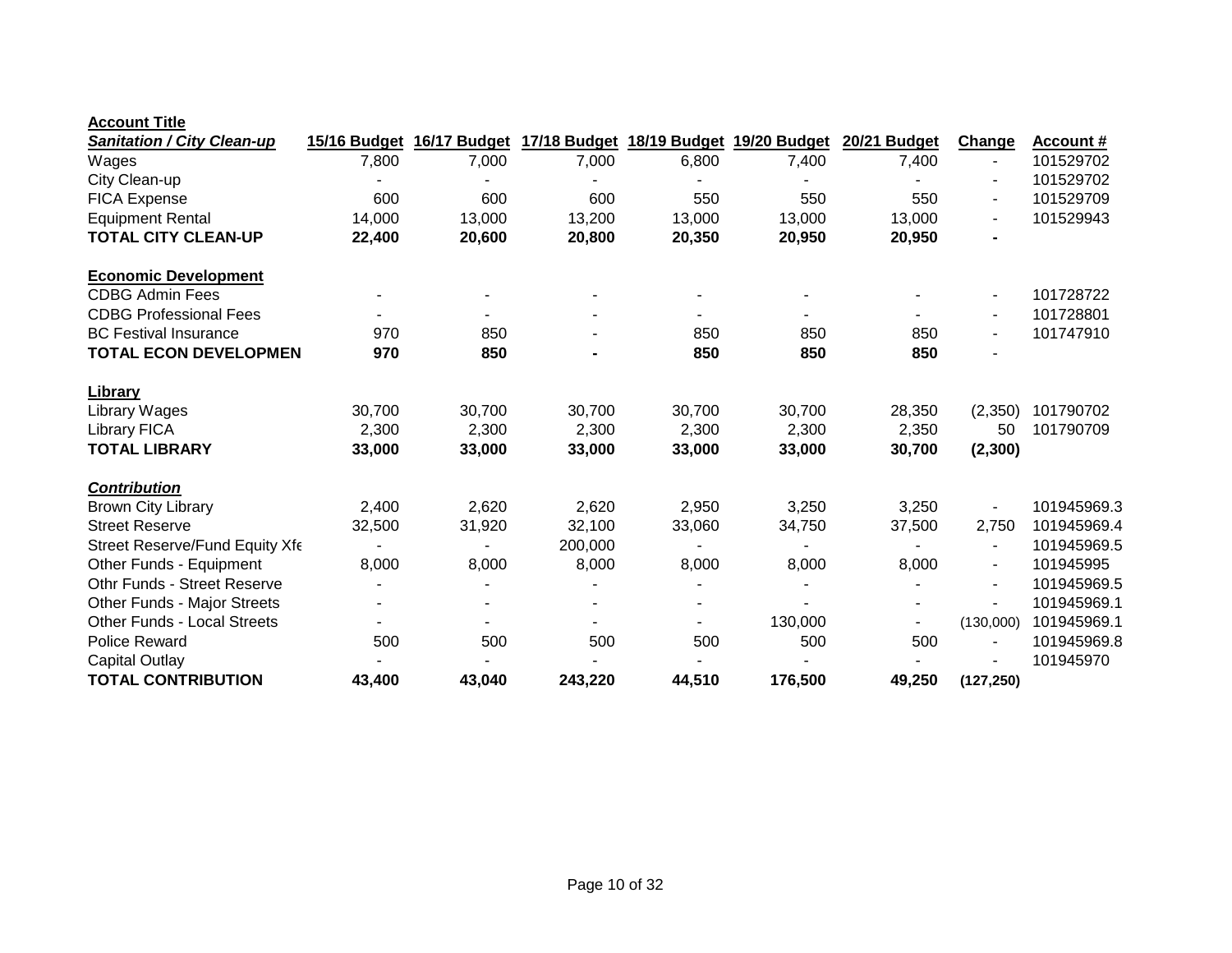|--|

| <b>Sanitation / City Clean-up</b>  | 15/16 Budget   | 16/17 Budget |         |        | 17/18 Budget 18/19 Budget 19/20 Budget | 20/21 Budget | Change                   | Account #   |
|------------------------------------|----------------|--------------|---------|--------|----------------------------------------|--------------|--------------------------|-------------|
| Wages                              | 7,800          | 7,000        | 7,000   | 6,800  | 7,400                                  | 7,400        | $\blacksquare$           | 101529702   |
| City Clean-up                      |                |              |         |        |                                        |              | $\overline{\phantom{a}}$ | 101529702   |
| <b>FICA Expense</b>                | 600            | 600          | 600     | 550    | 550                                    | 550          | $\overline{\phantom{a}}$ | 101529709   |
| <b>Equipment Rental</b>            | 14,000         | 13,000       | 13,200  | 13,000 | 13,000                                 | 13,000       | $\blacksquare$           | 101529943   |
| <b>TOTAL CITY CLEAN-UP</b>         | 22,400         | 20,600       | 20,800  | 20,350 | 20,950                                 | 20,950       |                          |             |
| <b>Economic Development</b>        |                |              |         |        |                                        |              |                          |             |
| <b>CDBG Admin Fees</b>             |                |              |         |        |                                        |              |                          | 101728722   |
| <b>CDBG Professional Fees</b>      |                |              |         |        |                                        |              |                          | 101728801   |
| <b>BC Festival Insurance</b>       | 970            | 850          |         | 850    | 850                                    | 850          |                          | 101747910   |
| <b>TOTAL ECON DEVELOPMEN</b>       | 970            | 850          |         | 850    | 850                                    | 850          |                          |             |
| <b>Library</b>                     |                |              |         |        |                                        |              |                          |             |
| Library Wages                      | 30,700         | 30,700       | 30,700  | 30,700 | 30,700                                 | 28,350       | (2,350)                  | 101790702   |
| <b>Library FICA</b>                | 2,300          | 2,300        | 2,300   | 2,300  | 2,300                                  | 2,350        | 50                       | 101790709   |
| <b>TOTAL LIBRARY</b>               | 33,000         | 33,000       | 33,000  | 33,000 | 33,000                                 | 30,700       | (2,300)                  |             |
| <b>Contribution</b>                |                |              |         |        |                                        |              |                          |             |
| <b>Brown City Library</b>          | 2,400          | 2,620        | 2,620   | 2,950  | 3,250                                  | 3,250        |                          | 101945969.3 |
| <b>Street Reserve</b>              | 32,500         | 31,920       | 32,100  | 33,060 | 34,750                                 | 37,500       | 2,750                    | 101945969.4 |
| Street Reserve/Fund Equity Xfe     |                |              | 200,000 |        |                                        |              |                          | 101945969.5 |
| Other Funds - Equipment            | 8,000          | 8,000        | 8,000   | 8,000  | 8,000                                  | 8,000        | $\blacksquare$           | 101945995   |
| <b>Othr Funds - Street Reserve</b> |                |              |         |        |                                        |              |                          | 101945969.5 |
| Other Funds - Major Streets        | $\blacksquare$ |              |         |        |                                        |              | $\blacksquare$           | 101945969.1 |
| <b>Other Funds - Local Streets</b> |                |              |         |        | 130,000                                |              | (130,000)                | 101945969.1 |
| <b>Police Reward</b>               | 500            | 500          | 500     | 500    | 500                                    | 500          |                          | 101945969.8 |
| Capital Outlay                     |                |              |         |        |                                        |              |                          | 101945970   |
| <b>TOTAL CONTRIBUTION</b>          | 43,400         | 43,040       | 243,220 | 44,510 | 176,500                                | 49,250       | (127, 250)               |             |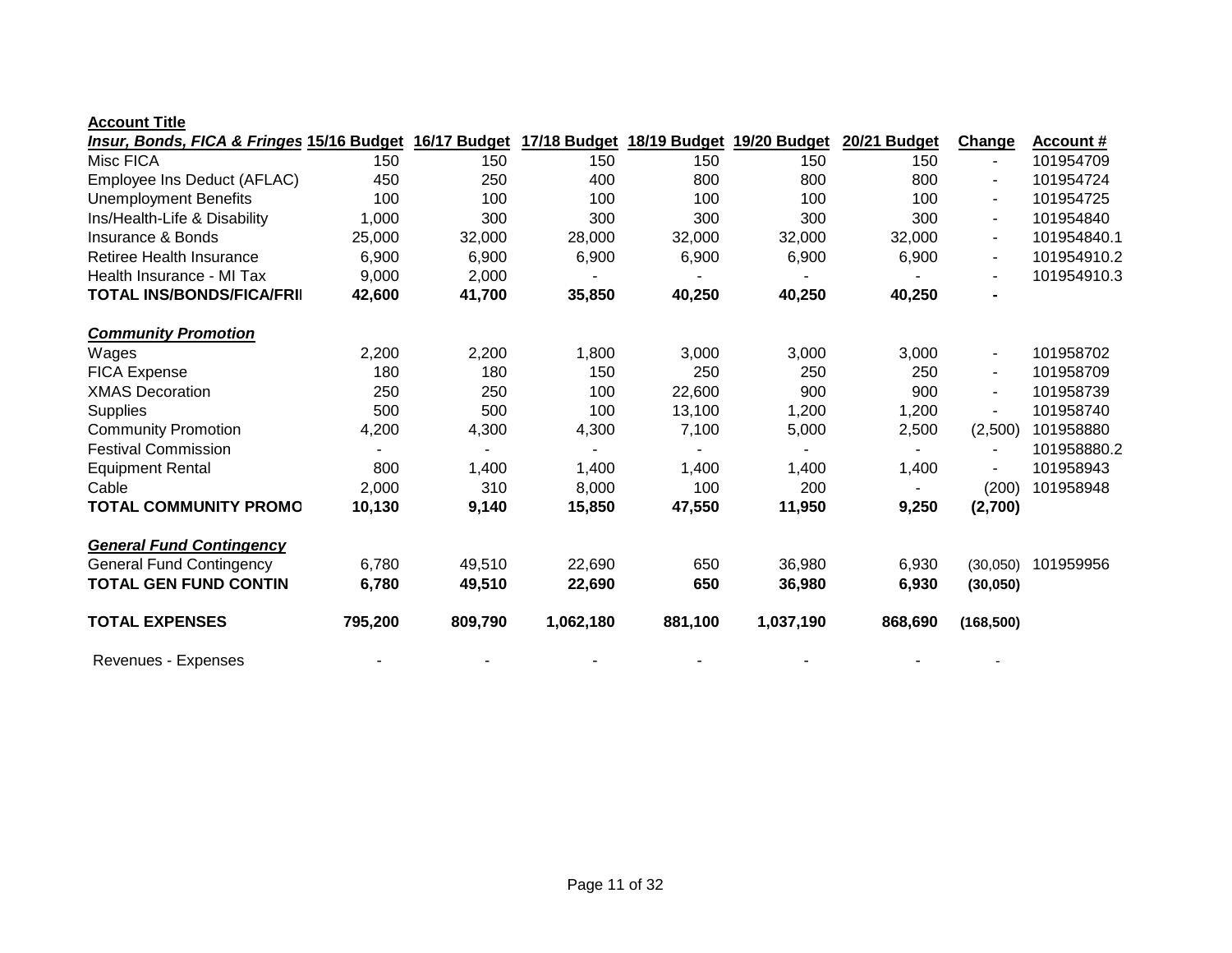| Insur, Bonds, FICA & Fringes 15/16 Budget |         | 16/17 Budget |           |         | 17/18 Budget 18/19 Budget 19/20 Budget | 20/21 Budget | Change         | <b>Account #</b> |
|-------------------------------------------|---------|--------------|-----------|---------|----------------------------------------|--------------|----------------|------------------|
| Misc FICA                                 | 150     | 150          | 150       | 150     | 150                                    | 150          | $\blacksquare$ | 101954709        |
| Employee Ins Deduct (AFLAC)               | 450     | 250          | 400       | 800     | 800                                    | 800          | $\blacksquare$ | 101954724        |
| <b>Unemployment Benefits</b>              | 100     | 100          | 100       | 100     | 100                                    | 100          | $\blacksquare$ | 101954725        |
| Ins/Health-Life & Disability              | 1,000   | 300          | 300       | 300     | 300                                    | 300          | $\blacksquare$ | 101954840        |
| Insurance & Bonds                         | 25,000  | 32,000       | 28,000    | 32,000  | 32,000                                 | 32,000       | $\blacksquare$ | 101954840.1      |
| Retiree Health Insurance                  | 6,900   | 6,900        | 6,900     | 6,900   | 6,900                                  | 6,900        | $\blacksquare$ | 101954910.2      |
| Health Insurance - MI Tax                 | 9,000   | 2,000        |           |         |                                        |              |                | 101954910.3      |
| <b>TOTAL INS/BONDS/FICA/FRII</b>          | 42,600  | 41,700       | 35,850    | 40,250  | 40,250                                 | 40,250       | $\blacksquare$ |                  |
| <b>Community Promotion</b>                |         |              |           |         |                                        |              |                |                  |
| Wages                                     | 2,200   | 2,200        | 1,800     | 3,000   | 3,000                                  | 3,000        | $\blacksquare$ | 101958702        |
| FICA Expense                              | 180     | 180          | 150       | 250     | 250                                    | 250          | $\blacksquare$ | 101958709        |
| <b>XMAS Decoration</b>                    | 250     | 250          | 100       | 22,600  | 900                                    | 900          |                | 101958739        |
| Supplies                                  | 500     | 500          | 100       | 13,100  | 1,200                                  | 1,200        |                | 101958740        |
| <b>Community Promotion</b>                | 4,200   | 4,300        | 4,300     | 7,100   | 5,000                                  | 2,500        | (2,500)        | 101958880        |
| <b>Festival Commission</b>                |         |              |           |         |                                        |              |                | 101958880.2      |
| <b>Equipment Rental</b>                   | 800     | 1,400        | 1,400     | 1,400   | 1,400                                  | 1,400        |                | 101958943        |
| Cable                                     | 2,000   | 310          | 8,000     | 100     | 200                                    |              | (200)          | 101958948        |
| <b>TOTAL COMMUNITY PROMO</b>              | 10,130  | 9,140        | 15,850    | 47,550  | 11,950                                 | 9,250        | (2,700)        |                  |
| <b>General Fund Contingency</b>           |         |              |           |         |                                        |              |                |                  |
| <b>General Fund Contingency</b>           | 6,780   | 49,510       | 22,690    | 650     | 36,980                                 | 6,930        | (30,050)       | 101959956        |
| <b>TOTAL GEN FUND CONTIN</b>              | 6,780   | 49,510       | 22,690    | 650     | 36,980                                 | 6,930        | (30,050)       |                  |
| <b>TOTAL EXPENSES</b>                     | 795,200 | 809,790      | 1,062,180 | 881,100 | 1,037,190                              | 868,690      | (168, 500)     |                  |
| Revenues - Expenses                       |         |              |           |         |                                        |              |                |                  |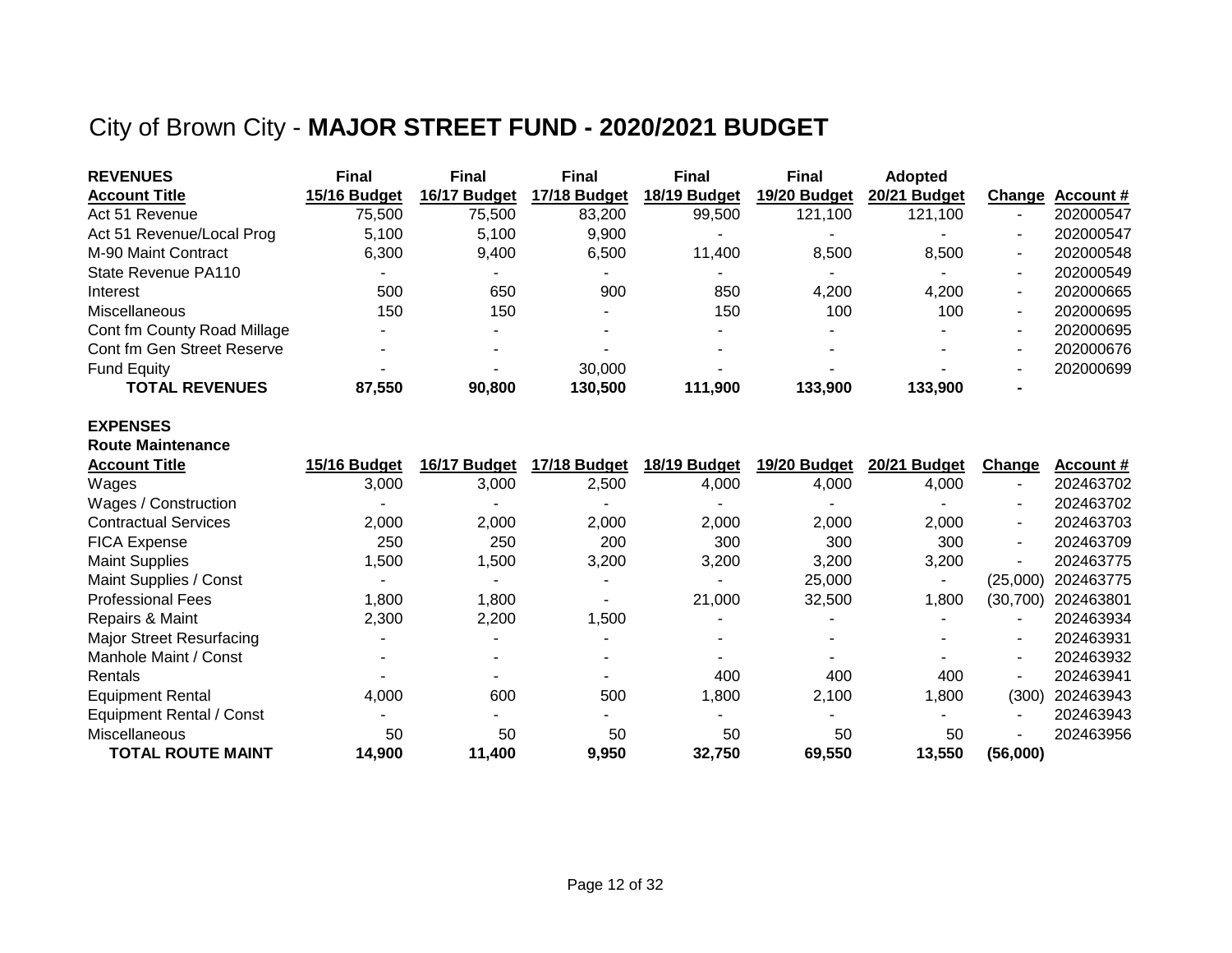## City of Brown City - **MAJOR STREET FUND - 2020/2021 BUDGET**

| <b>REVENUES</b>             | <b>Final</b> | <b>Final</b> | <b>Final</b> | <b>Final</b> | <b>Final</b> | <b>Adopted</b> |                |                 |
|-----------------------------|--------------|--------------|--------------|--------------|--------------|----------------|----------------|-----------------|
| <b>Account Title</b>        | 15/16 Budget | 16/17 Budget | 17/18 Budget | 18/19 Budget | 19/20 Budget | 20/21 Budget   |                | Change Account# |
| Act 51 Revenue              | 75,500       | 75,500       | 83,200       | 99,500       | 121,100      | 121,100        |                | 202000547       |
| Act 51 Revenue/Local Prog   | 5.100        | 5.100        | 9.900        |              |              |                | ٠              | 202000547       |
| M-90 Maint Contract         | 6.300        | 9.400        | 6,500        | 11.400       | 8.500        | 8,500          | ۰.             | 202000548       |
| State Revenue PA110         |              |              |              |              |              |                | ٠              | 202000549       |
| Interest                    | 500          | 650          | 900          | 850          | 4,200        | 4,200          | ۰.             | 202000665       |
| Miscellaneous               | 150          | 150          |              | 150          | 100          | 100            | ۰.             | 202000695       |
| Cont fm County Road Millage |              |              |              |              |              |                | ٠              | 202000695       |
| Cont fm Gen Street Reserve  |              |              |              |              |              |                | ٠              | 202000676       |
| <b>Fund Equity</b>          |              |              | 30,000       |              |              |                | ۰              | 202000699       |
| <b>TOTAL REVENUES</b>       | 87,550       | 90.800       | 130.500      | 111.900      | 133.900      | 133.900        | $\blacksquare$ |                 |

#### **EXPENSES**

#### **Route Maintenance**

| <b>Account Title</b>            | 15/16 Budget | 16/17 Budget | 17/18 Budget | 18/19 Budget | 19/20 Budget | 20/21 Budget | Change                   | Account # |
|---------------------------------|--------------|--------------|--------------|--------------|--------------|--------------|--------------------------|-----------|
| Wages                           | 3,000        | 3,000        | 2,500        | 4,000        | 4,000        | 4,000        | $\blacksquare$           | 202463702 |
| Wages / Construction            |              |              |              |              |              |              | ۰                        | 202463702 |
| <b>Contractual Services</b>     | 2,000        | 2,000        | 2,000        | 2,000        | 2,000        | 2,000        | $\blacksquare$           | 202463703 |
| <b>FICA Expense</b>             | 250          | 250          | 200          | 300          | 300          | 300          | $\blacksquare$           | 202463709 |
| <b>Maint Supplies</b>           | ,500         | 1,500        | 3,200        | 3,200        | 3,200        | 3,200        | $\blacksquare$           | 202463775 |
| Maint Supplies / Const          |              |              |              |              | 25,000       |              | (25,000)                 | 202463775 |
| <b>Professional Fees</b>        | 1,800        | 1,800        |              | 21,000       | 32,500       | 1,800        | (30, 700)                | 202463801 |
| Repairs & Maint                 | 2,300        | 2,200        | 1,500        |              |              |              | ٠                        | 202463934 |
| <b>Major Street Resurfacing</b> |              |              |              |              |              |              | $\blacksquare$           | 202463931 |
| Manhole Maint / Const           |              |              |              |              |              |              | ۰.                       | 202463932 |
| Rentals                         |              |              |              | 400          | 400          | 400          | $\blacksquare$           | 202463941 |
| <b>Equipment Rental</b>         | 4,000        | 600          | 500          | 1,800        | 2,100        | 1,800        | (300)                    | 202463943 |
| Equipment Rental / Const        |              |              |              |              |              |              | $\overline{\phantom{0}}$ | 202463943 |
| Miscellaneous                   | 50           | 50           | 50           | 50           | 50           | 50           | ۰                        | 202463956 |
| TOTAL ROUTE MAINT               | 14,900       | 11,400       | 9,950        | 32,750       | 69,550       | 13,550       | (56,000)                 |           |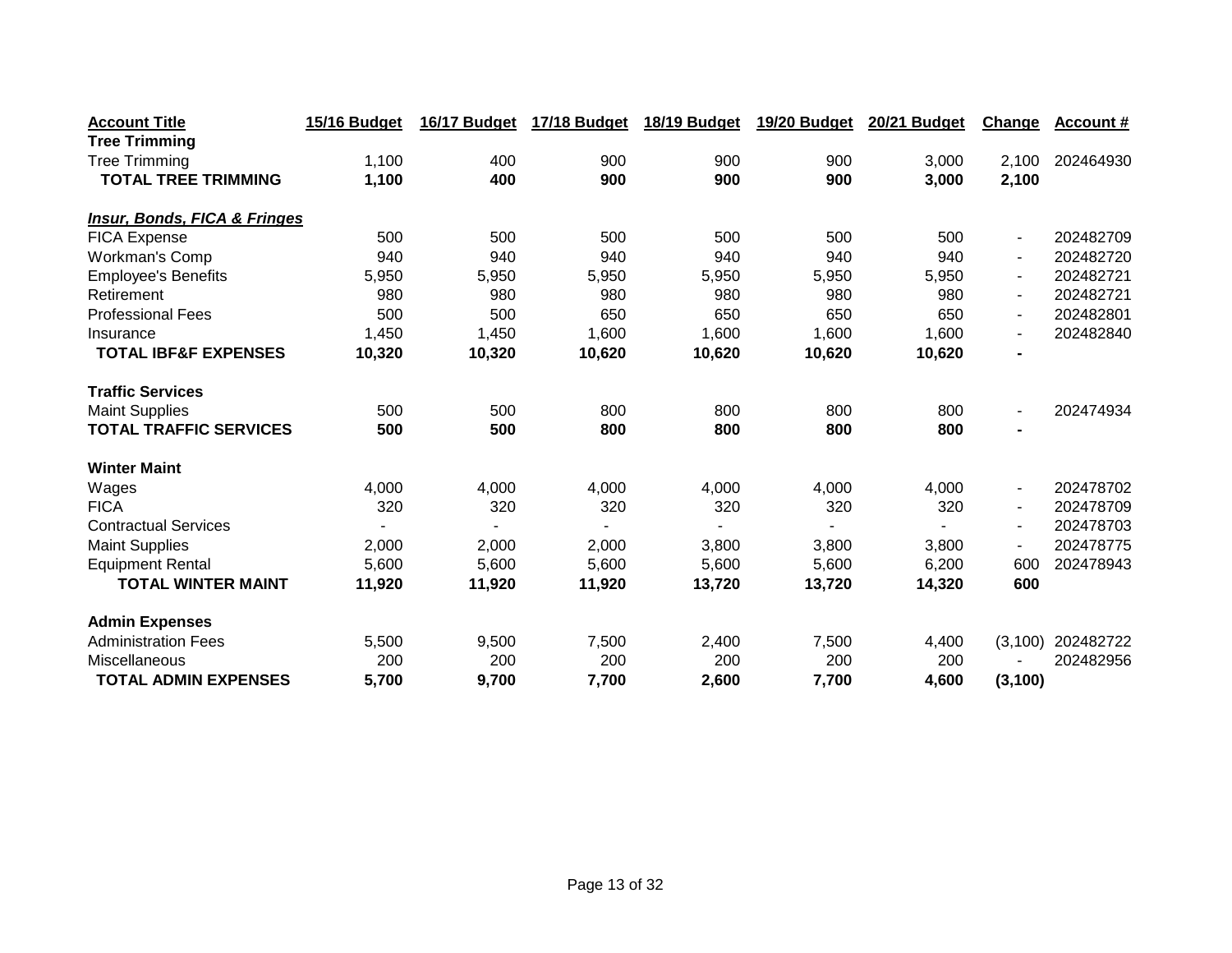| <b>Account Title</b>                    | 15/16 Budget | 16/17 Budget | <b>17/18 Budget</b> | 18/19 Budget | 19/20 Budget | 20/21 Budget | Change                   | Account # |
|-----------------------------------------|--------------|--------------|---------------------|--------------|--------------|--------------|--------------------------|-----------|
| <b>Tree Trimming</b>                    |              |              |                     |              |              |              |                          |           |
| <b>Tree Trimming</b>                    | 1,100        | 400          | 900                 | 900          | 900          | 3,000        | 2,100                    | 202464930 |
| <b>TOTAL TREE TRIMMING</b>              | 1,100        | 400          | 900                 | 900          | 900          | 3,000        | 2,100                    |           |
|                                         |              |              |                     |              |              |              |                          |           |
| <b>Insur, Bonds, FICA &amp; Fringes</b> |              |              |                     |              |              |              |                          |           |
| <b>FICA Expense</b>                     | 500          | 500          | 500                 | 500          | 500          | 500          | $\blacksquare$           | 202482709 |
| <b>Workman's Comp</b>                   | 940          | 940          | 940                 | 940          | 940          | 940          | $\blacksquare$           | 202482720 |
| <b>Employee's Benefits</b>              | 5,950        | 5,950        | 5,950               | 5,950        | 5,950        | 5,950        | $\blacksquare$           | 202482721 |
| Retirement                              | 980          | 980          | 980                 | 980          | 980          | 980          | $\blacksquare$           | 202482721 |
| <b>Professional Fees</b>                | 500          | 500          | 650                 | 650          | 650          | 650          | $\blacksquare$           | 202482801 |
| Insurance                               | 1,450        | 1,450        | 1,600               | 1,600        | 1,600        | 1,600        | $\blacksquare$           | 202482840 |
| <b>TOTAL IBF&amp;F EXPENSES</b>         | 10,320       | 10,320       | 10,620              | 10,620       | 10,620       | 10,620       | $\blacksquare$           |           |
| <b>Traffic Services</b>                 |              |              |                     |              |              |              |                          |           |
| <b>Maint Supplies</b>                   | 500          | 500          | 800                 | 800          | 800          | 800          | $\blacksquare$           | 202474934 |
| <b>TOTAL TRAFFIC SERVICES</b>           | 500          | 500          | 800                 | 800          | 800          | 800          | $\blacksquare$           |           |
| <b>Winter Maint</b>                     |              |              |                     |              |              |              |                          |           |
| Wages                                   | 4,000        | 4,000        | 4,000               | 4,000        | 4,000        | 4,000        | $\blacksquare$           | 202478702 |
| <b>FICA</b>                             | 320          | 320          | 320                 | 320          | 320          | 320          | $\blacksquare$           | 202478709 |
| <b>Contractual Services</b>             |              |              |                     |              |              |              | $\blacksquare$           | 202478703 |
| <b>Maint Supplies</b>                   | 2,000        | 2,000        | 2,000               | 3,800        | 3,800        | 3,800        | $\overline{\phantom{a}}$ | 202478775 |
| <b>Equipment Rental</b>                 | 5,600        | 5,600        | 5,600               | 5,600        | 5,600        | 6,200        | 600                      | 202478943 |
| <b>TOTAL WINTER MAINT</b>               | 11,920       | 11,920       | 11,920              | 13,720       | 13,720       | 14,320       | 600                      |           |
| <b>Admin Expenses</b>                   |              |              |                     |              |              |              |                          |           |
| <b>Administration Fees</b>              | 5,500        | 9,500        | 7,500               | 2,400        | 7,500        | 4,400        | (3, 100)                 | 202482722 |
| Miscellaneous                           | 200          | 200          | 200                 | 200          | 200          | 200          |                          | 202482956 |
| <b>TOTAL ADMIN EXPENSES</b>             | 5,700        | 9,700        | 7,700               | 2,600        | 7,700        | 4,600        | (3, 100)                 |           |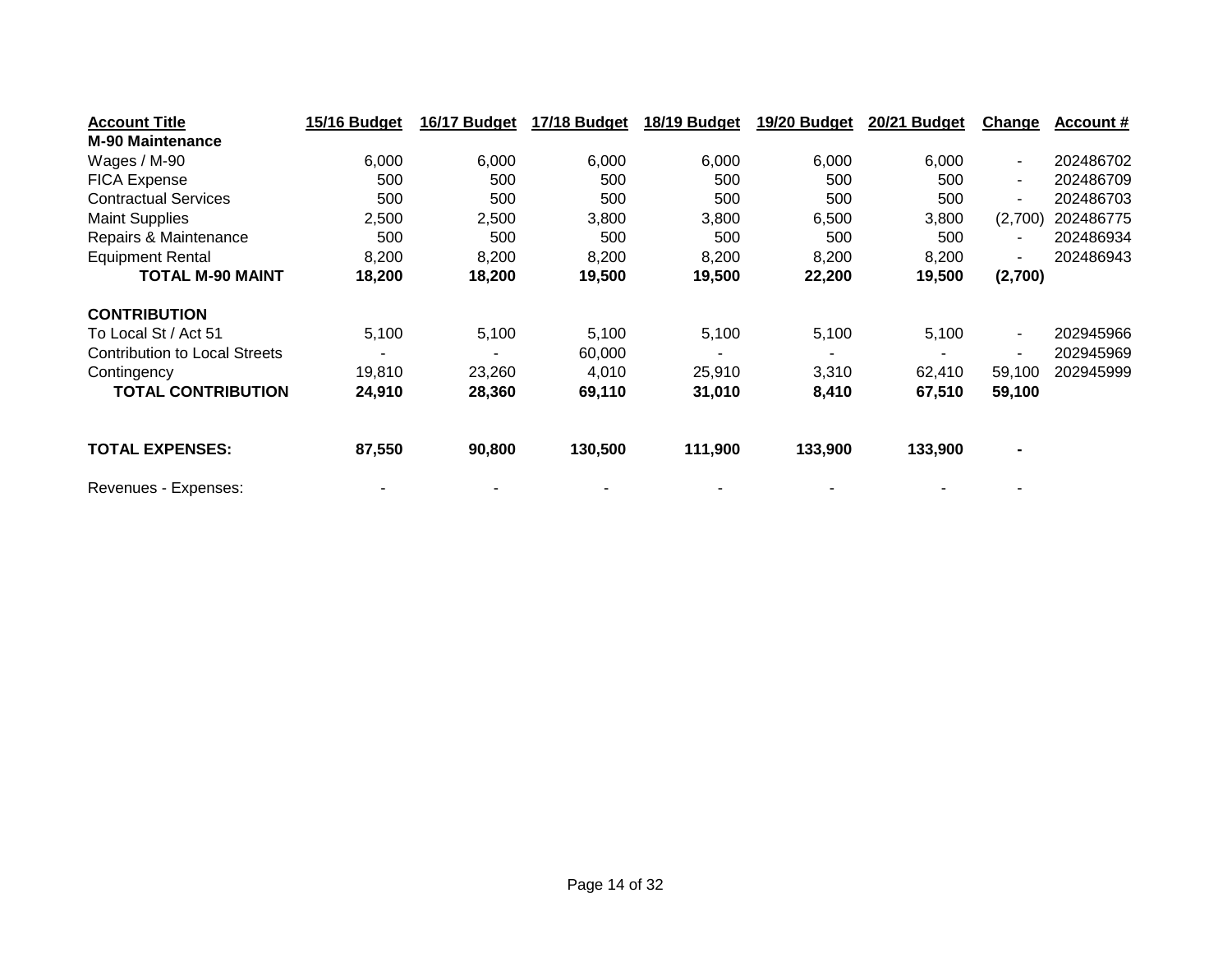| <b>Account Title</b>                 | 15/16 Budget | 16/17 Budget | 17/18 Budget | 18/19 Budget | 19/20 Budget | 20/21 Budget | <b>Change</b>  | Account # |
|--------------------------------------|--------------|--------------|--------------|--------------|--------------|--------------|----------------|-----------|
| <b>M-90 Maintenance</b>              |              |              |              |              |              |              |                |           |
| Wages / M-90                         | 6,000        | 6,000        | 6,000        | 6,000        | 6,000        | 6,000        | $\blacksquare$ | 202486702 |
| <b>FICA Expense</b>                  | 500          | 500          | 500          | 500          | 500          | 500          | $\blacksquare$ | 202486709 |
| <b>Contractual Services</b>          | 500          | 500          | 500          | 500          | 500          | 500          | $\blacksquare$ | 202486703 |
| <b>Maint Supplies</b>                | 2,500        | 2,500        | 3,800        | 3,800        | 6,500        | 3,800        | (2,700)        | 202486775 |
| Repairs & Maintenance                | 500          | 500          | 500          | 500          | 500          | 500          | $\blacksquare$ | 202486934 |
| <b>Equipment Rental</b>              | 8,200        | 8,200        | 8,200        | 8,200        | 8,200        | 8,200        | ۰              | 202486943 |
| <b>TOTAL M-90 MAINT</b>              | 18,200       | 18,200       | 19,500       | 19,500       | 22,200       | 19,500       | (2,700)        |           |
| <b>CONTRIBUTION</b>                  |              |              |              |              |              |              |                |           |
| To Local St / Act 51                 | 5,100        | 5,100        | 5,100        | 5,100        | 5,100        | 5,100        | $\blacksquare$ | 202945966 |
| <b>Contribution to Local Streets</b> |              |              | 60,000       |              |              |              | $\blacksquare$ | 202945969 |
| Contingency                          | 19.810       | 23,260       | 4.010        | 25,910       | 3,310        | 62.410       | 59,100         | 202945999 |
| <b>TOTAL CONTRIBUTION</b>            | 24,910       | 28,360       | 69,110       | 31,010       | 8,410        | 67,510       | 59,100         |           |
| <b>TOTAL EXPENSES:</b>               | 87,550       | 90,800       | 130,500      | 111,900      | 133,900      | 133,900      | $\blacksquare$ |           |
| Revenues - Expenses:                 |              |              |              |              |              |              |                |           |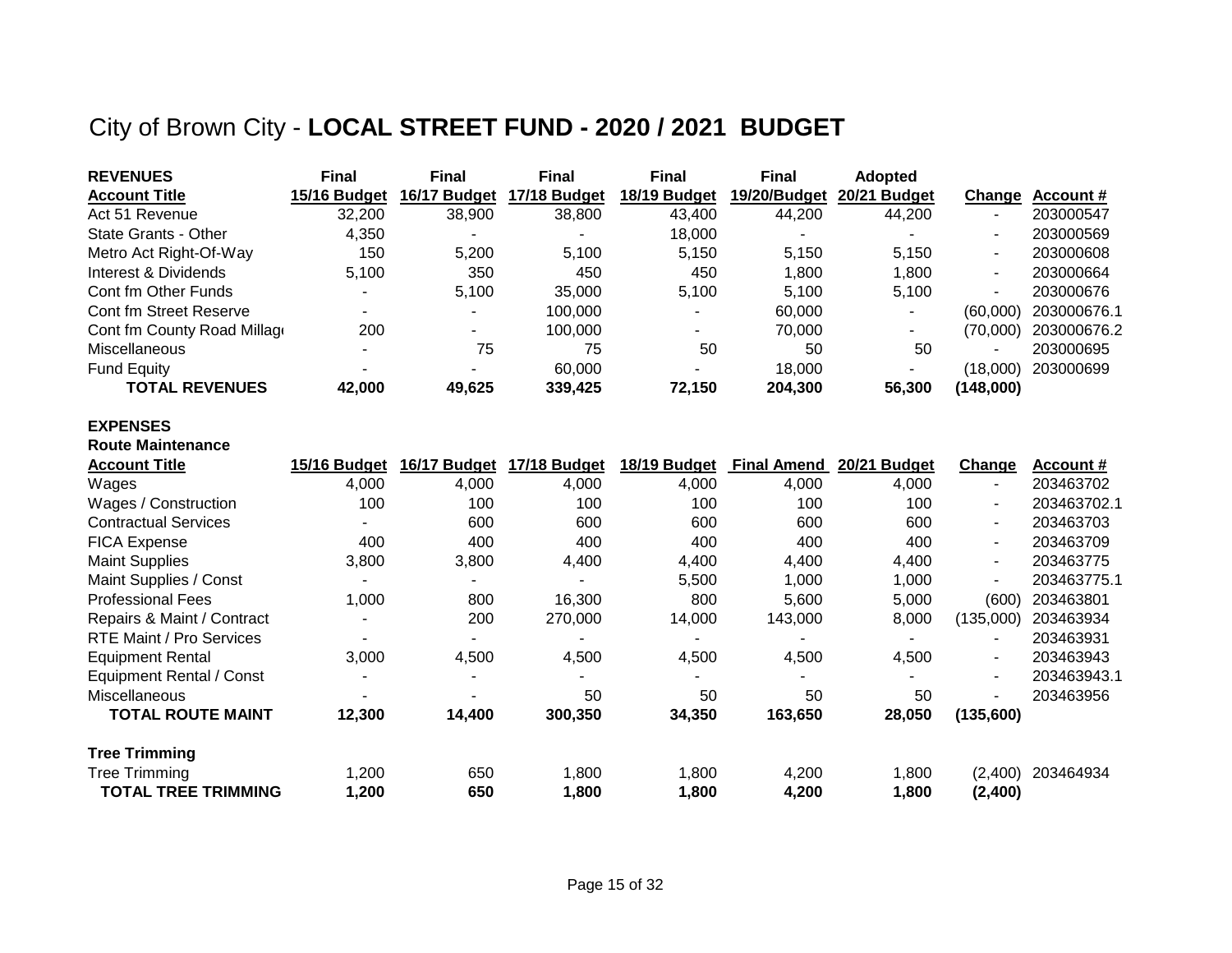## City of Brown City - **LOCAL STREET FUND - 2020 / 2021 BUDGET**

| <b>REVENUES</b>             | <b>Final</b> | <b>Final</b> | <b>Final</b> | Final                    | <b>Final</b> | <b>Adopted</b>           |                          |             |
|-----------------------------|--------------|--------------|--------------|--------------------------|--------------|--------------------------|--------------------------|-------------|
| <b>Account Title</b>        | 15/16 Budget | 16/17 Budget | 17/18 Budget | 18/19 Budget             | 19/20/Budget | 20/21 Budget             | Change                   | Account #   |
| Act 51 Revenue              | 32,200       | 38,900       | 38,800       | 43,400                   | 44.200       | 44,200                   |                          | 203000547   |
| State Grants - Other        | 4.350        |              |              | 18,000                   |              |                          |                          | 203000569   |
| Metro Act Right-Of-Way      | 150          | 5,200        | 5.100        | 5,150                    | 5.150        | 5.150                    | $\overline{\phantom{a}}$ | 203000608   |
| Interest & Dividends        | 5,100        | 350          | 450          | 450                      | 1.800        | 1.800                    | $\overline{\phantom{0}}$ | 203000664   |
| Cont fm Other Funds         |              | 5.100        | 35,000       | 5.100                    | 5.100        | 5.100                    | $\overline{\phantom{a}}$ | 203000676   |
| Cont fm Street Reserve      |              | -            | 100.000      | $\overline{\phantom{0}}$ | 60,000       | $\overline{\phantom{0}}$ | (60.000)                 | 203000676.1 |
| Cont fm County Road Millage | 200          | ۰            | 100.000      | -                        | 70,000       | $\overline{\phantom{0}}$ | (70,000)                 | 203000676.2 |
| <b>Miscellaneous</b>        |              | 75           | 75           | 50                       | 50           | 50                       |                          | 203000695   |
| <b>Fund Equity</b>          |              |              | 60.000       | $\blacksquare$           | 18.000       |                          | (18,000)                 | 203000699   |
| <b>TOTAL REVENUES</b>       | 42,000       | 49,625       | 339,425      | 72,150                   | 204,300      | 56,300                   | (148,000)                |             |

#### **EXPENSES**

| <b>Route Maintenance</b>        |                |              |              |                |                    |              |                          |             |
|---------------------------------|----------------|--------------|--------------|----------------|--------------------|--------------|--------------------------|-------------|
| <b>Account Title</b>            | 15/16 Budget   | 16/17 Budget | 17/18 Budget | 18/19 Budget   | <b>Final Amend</b> | 20/21 Budget | Change                   | Account #   |
| Wages                           | 4,000          | 4,000        | 4,000        | 4,000          | 4,000              | 4,000        | $\blacksquare$           | 203463702   |
| Wages / Construction            | 100            | 100          | 100          | 100            | 100                | 100          | $\overline{\phantom{a}}$ | 203463702.1 |
| <b>Contractual Services</b>     |                | 600          | 600          | 600            | 600                | 600          | $\overline{\phantom{a}}$ | 203463703   |
| <b>FICA Expense</b>             | 400            | 400          | 400          | 400            | 400                | 400          | $\blacksquare$           | 203463709   |
| <b>Maint Supplies</b>           | 3,800          | 3,800        | 4,400        | 4,400          | 4,400              | 4,400        | $\blacksquare$           | 203463775   |
| Maint Supplies / Const          |                |              |              | 5,500          | 1,000              | 1,000        |                          | 203463775.1 |
| <b>Professional Fees</b>        | 1,000          | 800          | 16,300       | 800            | 5,600              | 5,000        | (600)                    | 203463801   |
| Repairs & Maint / Contract      | $\blacksquare$ | 200          | 270,000      | 14,000         | 143,000            | 8,000        | (135,000)                | 203463934   |
| <b>RTE Maint / Pro Services</b> |                |              |              |                |                    |              | $\overline{\phantom{a}}$ | 203463931   |
| <b>Equipment Rental</b>         | 3,000          | 4,500        | 4,500        | 4,500          | 4,500              | 4,500        | $\blacksquare$           | 203463943   |
| Equipment Rental / Const        | -              |              |              | $\blacksquare$ |                    | -            | $\blacksquare$           | 203463943.1 |
| <b>Miscellaneous</b>            | $\blacksquare$ |              | 50           | 50             | 50                 | 50           | $\blacksquare$           | 203463956   |
| <b>TOTAL ROUTE MAINT</b>        | 12,300         | 14,400       | 300,350      | 34,350         | 163,650            | 28,050       | (135,600)                |             |
| <b>Tree Trimming</b>            |                |              |              |                |                    |              |                          |             |
| <b>Tree Trimming</b>            | 1,200          | 650          | 1,800        | 1,800          | 4,200              | 1,800        | (2,400)                  | 203464934   |
| <b>TOTAL TREE TRIMMING</b>      | 1,200          | 650          | 1,800        | 1,800          | 4,200              | 1,800        | (2,400)                  |             |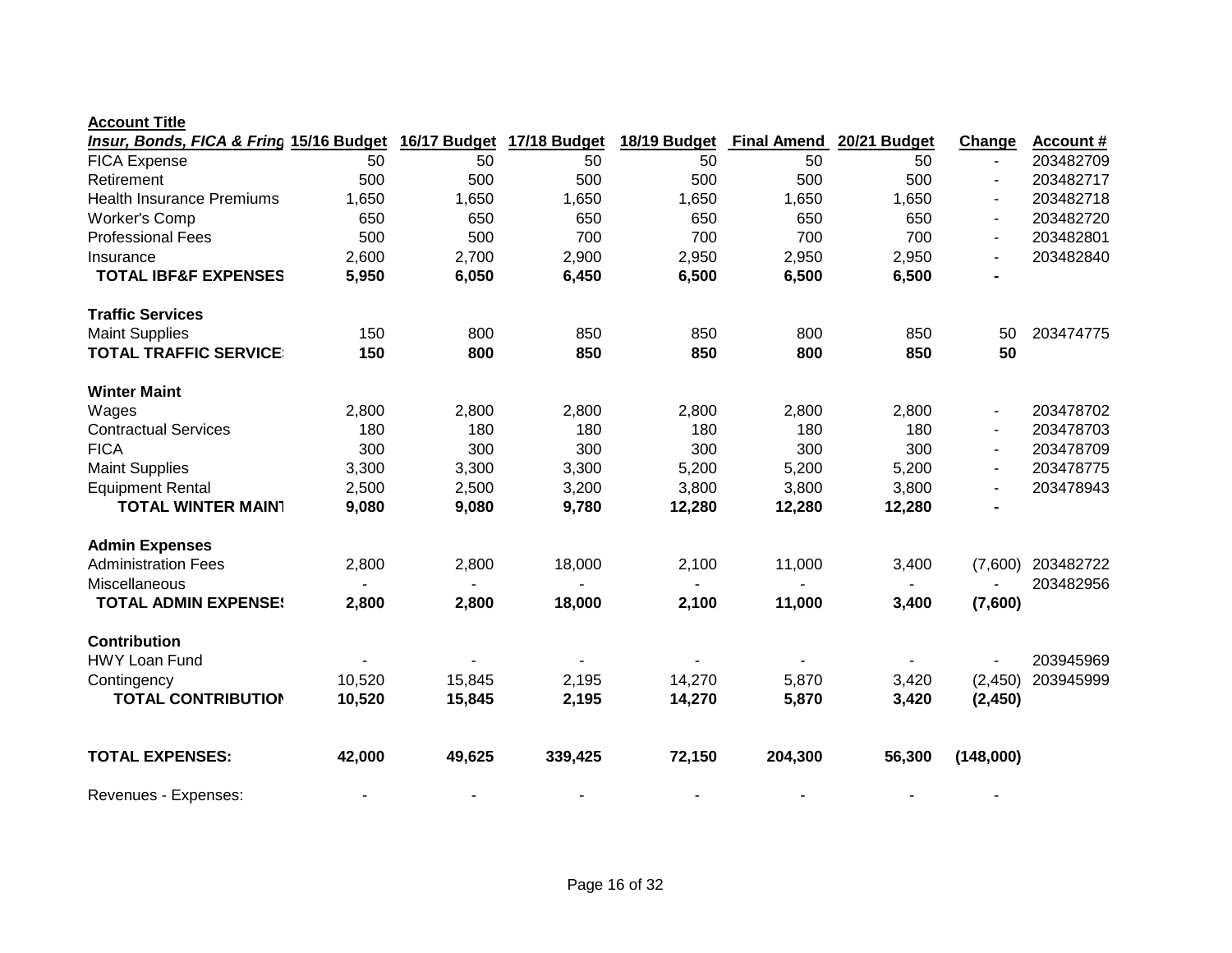| Insur, Bonds, FICA & Fring 15/16 Budget |        | 16/17 Budget | 17/18 Budget | 18/19 Budget | <b>Final Amend</b> | 20/21 Budget | Change         | <b>Account #</b> |
|-----------------------------------------|--------|--------------|--------------|--------------|--------------------|--------------|----------------|------------------|
| <b>FICA Expense</b>                     | 50     | 50           | 50           | 50           | 50                 | 50           |                | 203482709        |
| Retirement                              | 500    | 500          | 500          | 500          | 500                | 500          |                | 203482717        |
| <b>Health Insurance Premiums</b>        | 1,650  | 1,650        | 1,650        | 1,650        | 1,650              | 1,650        | $\blacksquare$ | 203482718        |
| <b>Worker's Comp</b>                    | 650    | 650          | 650          | 650          | 650                | 650          | $\blacksquare$ | 203482720        |
| <b>Professional Fees</b>                | 500    | 500          | 700          | 700          | 700                | 700          | $\blacksquare$ | 203482801        |
| Insurance                               | 2,600  | 2,700        | 2,900        | 2,950        | 2,950              | 2,950        |                | 203482840        |
| <b>TOTAL IBF&amp;F EXPENSES</b>         | 5,950  | 6,050        | 6,450        | 6,500        | 6,500              | 6,500        |                |                  |
| <b>Traffic Services</b>                 |        |              |              |              |                    |              |                |                  |
| <b>Maint Supplies</b>                   | 150    | 800          | 850          | 850          | 800                | 850          | 50             | 203474775        |
| <b>TOTAL TRAFFIC SERVICE</b>            | 150    | 800          | 850          | 850          | 800                | 850          | 50             |                  |
| <b>Winter Maint</b>                     |        |              |              |              |                    |              |                |                  |
| Wages                                   | 2,800  | 2,800        | 2,800        | 2,800        | 2,800              | 2,800        | $\blacksquare$ | 203478702        |
| <b>Contractual Services</b>             | 180    | 180          | 180          | 180          | 180                | 180          | $\blacksquare$ | 203478703        |
| <b>FICA</b>                             | 300    | 300          | 300          | 300          | 300                | 300          | $\blacksquare$ | 203478709        |
| <b>Maint Supplies</b>                   | 3,300  | 3,300        | 3,300        | 5,200        | 5,200              | 5,200        | $\blacksquare$ | 203478775        |
| <b>Equipment Rental</b>                 | 2,500  | 2,500        | 3,200        | 3,800        | 3,800              | 3,800        |                | 203478943        |
| <b>TOTAL WINTER MAIN1</b>               | 9,080  | 9,080        | 9,780        | 12,280       | 12,280             | 12,280       |                |                  |
| <b>Admin Expenses</b>                   |        |              |              |              |                    |              |                |                  |
| <b>Administration Fees</b>              | 2,800  | 2,800        | 18,000       | 2,100        | 11,000             | 3,400        | (7,600)        | 203482722        |
| Miscellaneous                           |        |              |              |              |                    |              |                | 203482956        |
| <b>TOTAL ADMIN EXPENSE!</b>             | 2,800  | 2,800        | 18,000       | 2,100        | 11,000             | 3,400        | (7,600)        |                  |
| <b>Contribution</b>                     |        |              |              |              |                    |              |                |                  |
| <b>HWY Loan Fund</b>                    |        |              |              |              |                    |              |                | 203945969        |
| Contingency                             | 10,520 | 15,845       | 2,195        | 14,270       | 5,870              | 3,420        | (2, 450)       | 203945999        |
| <b>TOTAL CONTRIBUTION</b>               | 10,520 | 15,845       | 2,195        | 14,270       | 5,870              | 3,420        | (2, 450)       |                  |
| <b>TOTAL EXPENSES:</b>                  | 42,000 | 49,625       | 339,425      | 72,150       | 204,300            | 56,300       | (148,000)      |                  |
| Revenues - Expenses:                    |        |              |              |              |                    |              |                |                  |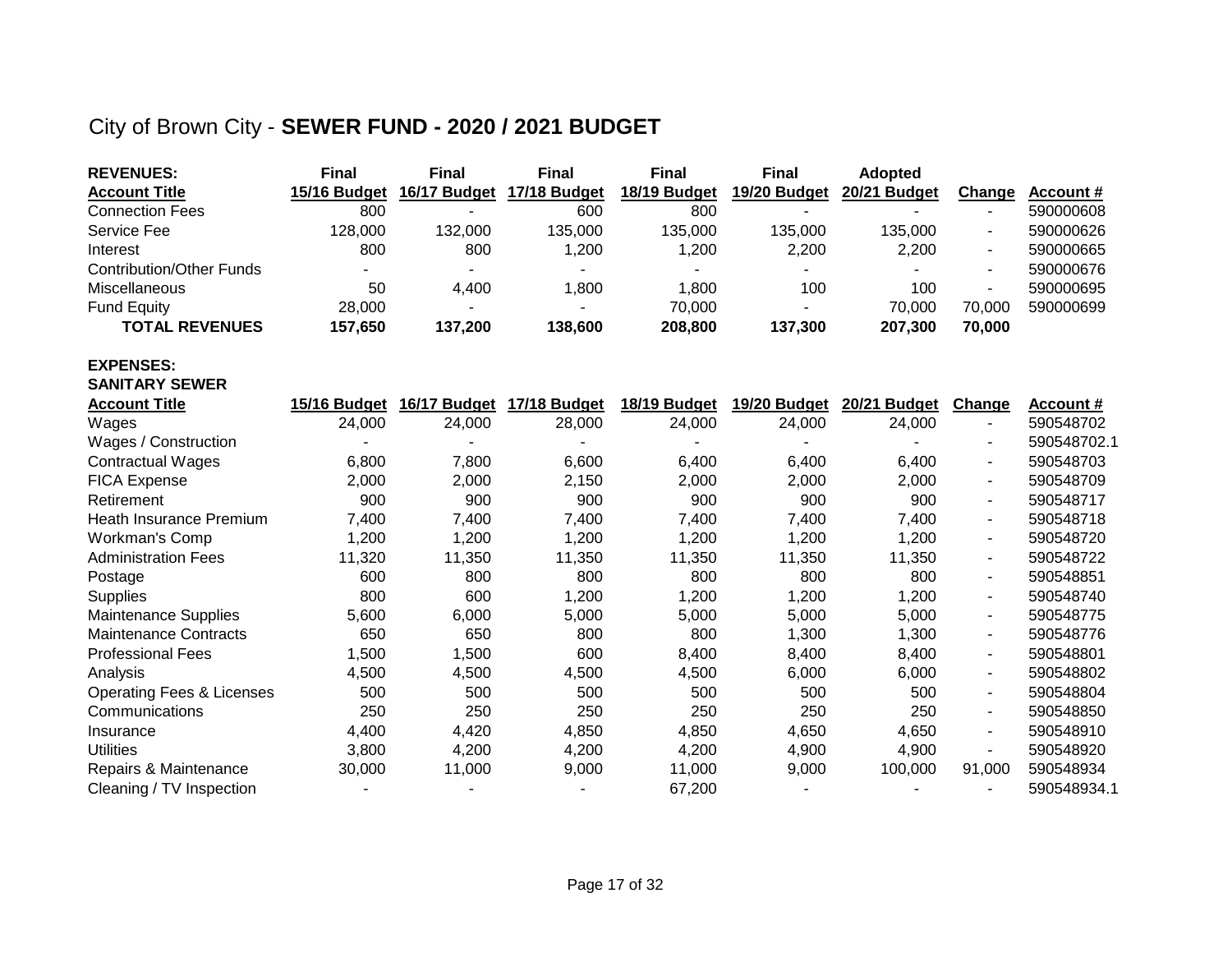## City of Brown City - **SEWER FUND - 2020 / 2021 BUDGET**

| <b>REVENUES:</b>                     | <b>Final</b> | <b>Final</b> | <b>Final</b> | <b>Final</b> | <b>Final</b> | <b>Adopted</b> |                |                  |
|--------------------------------------|--------------|--------------|--------------|--------------|--------------|----------------|----------------|------------------|
| <b>Account Title</b>                 | 15/16 Budget | 16/17 Budget | 17/18 Budget | 18/19 Budget | 19/20 Budget | 20/21 Budget   | <b>Change</b>  | Account #        |
| <b>Connection Fees</b>               | 800          |              | 600          | 800          |              |                |                | 590000608        |
| <b>Service Fee</b>                   | 128,000      | 132,000      | 135,000      | 135,000      | 135,000      | 135,000        |                | 590000626        |
| Interest                             | 800          | 800          | 1,200        | 1,200        | 2,200        | 2,200          |                | 590000665        |
| <b>Contribution/Other Funds</b>      |              |              |              |              |              |                |                | 590000676        |
| Miscellaneous                        | 50           | 4,400        | 1,800        | 1,800        | 100          | 100            |                | 590000695        |
| <b>Fund Equity</b>                   | 28,000       |              |              | 70,000       |              | 70,000         | 70,000         | 590000699        |
| <b>TOTAL REVENUES</b>                | 157,650      | 137,200      | 138,600      | 208,800      | 137,300      | 207,300        | 70,000         |                  |
| <b>EXPENSES:</b>                     |              |              |              |              |              |                |                |                  |
| <b>SANITARY SEWER</b>                |              |              |              |              |              |                |                |                  |
| <b>Account Title</b>                 | 15/16 Budget | 16/17 Budget | 17/18 Budget | 18/19 Budget | 19/20 Budget | 20/21 Budget   | Change         | <b>Account #</b> |
| Wages                                | 24,000       | 24,000       | 28,000       | 24,000       | 24,000       | 24,000         | $\sim$         | 590548702        |
| Wages / Construction                 |              |              |              |              |              |                |                | 590548702.1      |
| <b>Contractual Wages</b>             | 6,800        | 7,800        | 6,600        | 6,400        | 6,400        | 6,400          |                | 590548703        |
| <b>FICA Expense</b>                  | 2,000        | 2,000        | 2,150        | 2,000        | 2,000        | 2,000          | $\blacksquare$ | 590548709        |
| Retirement                           | 900          | 900          | 900          | 900          | 900          | 900            | $\blacksquare$ | 590548717        |
| Heath Insurance Premium              | 7,400        | 7,400        | 7,400        | 7,400        | 7,400        | 7,400          |                | 590548718        |
| Workman's Comp                       | 1,200        | 1,200        | 1,200        | 1,200        | 1,200        | 1,200          | $\blacksquare$ | 590548720        |
| <b>Administration Fees</b>           | 11,320       | 11,350       | 11,350       | 11,350       | 11,350       | 11,350         | $\blacksquare$ | 590548722        |
| Postage                              | 600          | 800          | 800          | 800          | 800          | 800            |                | 590548851        |
| <b>Supplies</b>                      | 800          | 600          | 1,200        | 1,200        | 1,200        | 1,200          |                | 590548740        |
| <b>Maintenance Supplies</b>          | 5,600        | 6,000        | 5,000        | 5,000        | 5,000        | 5,000          | $\blacksquare$ | 590548775        |
| <b>Maintenance Contracts</b>         | 650          | 650          | 800          | 800          | 1,300        | 1,300          | $\sim$         | 590548776        |
| <b>Professional Fees</b>             | 1,500        | 1,500        | 600          | 8,400        | 8,400        | 8,400          | $\blacksquare$ | 590548801        |
| Analysis                             | 4,500        | 4,500        | 4,500        | 4,500        | 6,000        | 6,000          |                | 590548802        |
| <b>Operating Fees &amp; Licenses</b> | 500          | 500          | 500          | 500          | 500          | 500            | $\sim$         | 590548804        |
| Communications                       | 250          | 250          | 250          | 250          | 250          | 250            | $\blacksquare$ | 590548850        |
| Insurance                            | 4,400        | 4,420        | 4,850        | 4,850        | 4,650        | 4,650          | $\blacksquare$ | 590548910        |
| <b>Utilities</b>                     | 3,800        | 4,200        | 4,200        | 4,200        | 4,900        | 4,900          | $\blacksquare$ | 590548920        |
| Repairs & Maintenance                | 30,000       | 11,000       | 9,000        | 11,000       | 9,000        | 100,000        | 91,000         | 590548934        |
| Cleaning / TV Inspection             |              |              |              | 67,200       |              |                |                | 590548934.1      |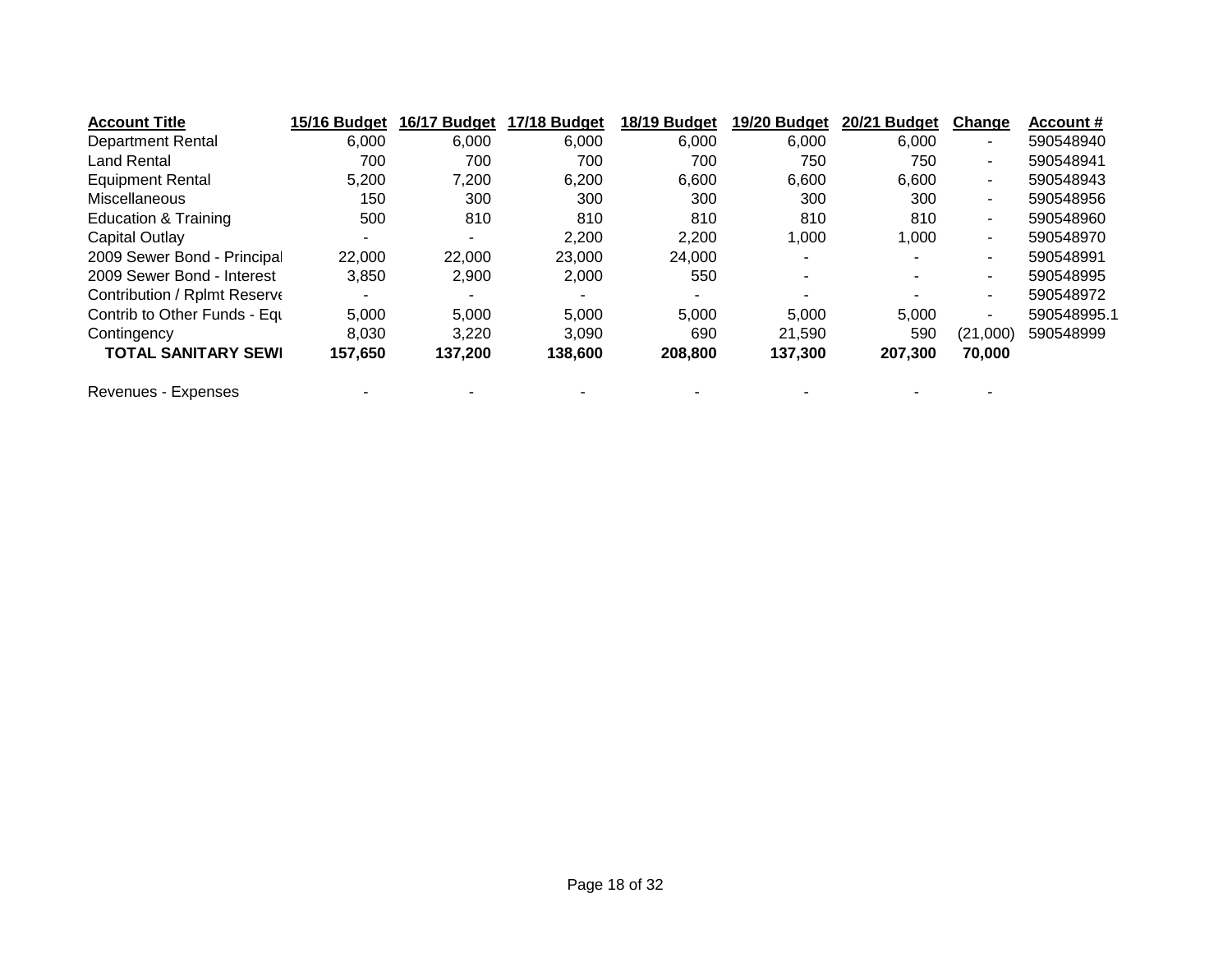| <b>Account Title</b>         | 15/16 Budget | 16/17 Budget | 17/18 Budget | 18/19 Budget | 19/20 Budget | 20/21 Budget             | Change   | Account #   |
|------------------------------|--------------|--------------|--------------|--------------|--------------|--------------------------|----------|-------------|
| <b>Department Rental</b>     | 6,000        | 6,000        | 6,000        | 6,000        | 6,000        | 6,000                    | ٠        | 590548940   |
| <b>Land Rental</b>           | 700          | 700          | 700          | 700          | 750          | 750                      | ۰        | 590548941   |
| <b>Equipment Rental</b>      | 5,200        | 7,200        | 6,200        | 6,600        | 6,600        | 6,600                    | $\sim$   | 590548943   |
| Miscellaneous                | 150          | 300          | 300          | 300          | 300          | 300                      | $\sim$   | 590548956   |
| Education & Training         | 500          | 810          | 810          | 810          | 810          | 810                      | ٠        | 590548960   |
| Capital Outlay               | ۰.           | -            | 2,200        | 2,200        | 1,000        | 1,000                    | $\sim$   | 590548970   |
| 2009 Sewer Bond - Principal  | 22,000       | 22,000       | 23,000       | 24,000       |              |                          | ۰        | 590548991   |
| 2009 Sewer Bond - Interest   | 3.850        | 2,900        | 2,000        | 550          |              | $\overline{\phantom{0}}$ | $\sim$   | 590548995   |
| Contribution / Rplmt Reserve |              |              |              |              |              |                          | ۰        | 590548972   |
| Contrib to Other Funds - Equ | 5,000        | 5,000        | 5,000        | 5,000        | 5,000        | 5.000                    | ۰        | 590548995.1 |
| Contingency                  | 8,030        | 3,220        | 3,090        | 690          | 21,590       | 590                      | (21,000) | 590548999   |
| <b>TOTAL SANITARY SEWI</b>   | 157.650      | 137,200      | 138,600      | 208,800      | 137,300      | 207,300                  | 70,000   |             |
| Revenues - Expenses          |              |              |              |              |              |                          |          |             |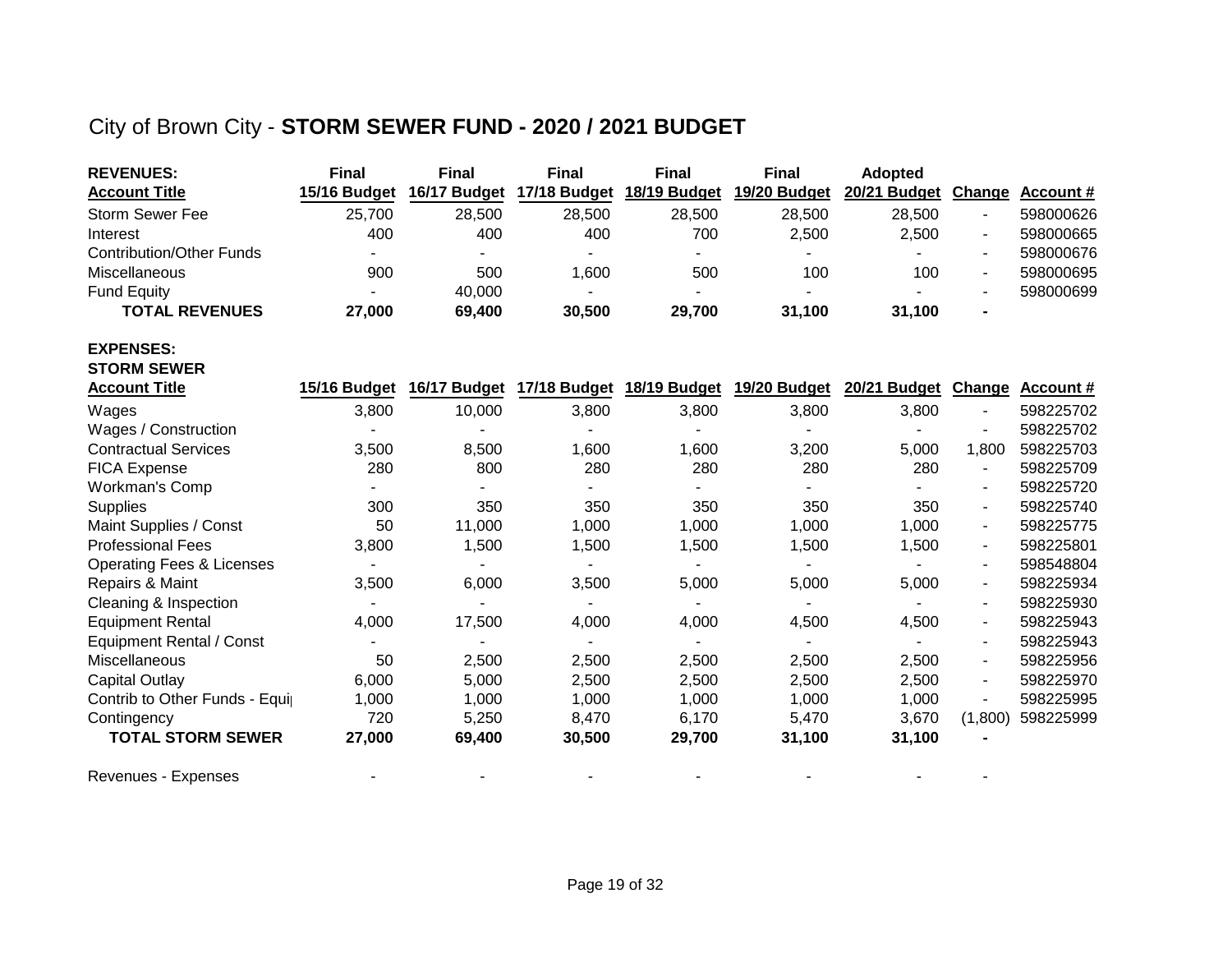## City of Brown City - **STORM SEWER FUND - 2020 / 2021 BUDGET**

| <b>REVENUES:</b>                     | <b>Final</b>   | <b>Final</b> | <b>Final</b> | <b>Final</b> | <b>Final</b> | <b>Adopted</b>      |                          |                  |
|--------------------------------------|----------------|--------------|--------------|--------------|--------------|---------------------|--------------------------|------------------|
| <b>Account Title</b>                 | 15/16 Budget   | 16/17 Budget | 17/18 Budget | 18/19 Budget | 19/20 Budget | 20/21 Budget Change |                          | <b>Account #</b> |
| <b>Storm Sewer Fee</b>               | 25,700         | 28,500       | 28,500       | 28,500       | 28,500       | 28,500              |                          | 598000626        |
| Interest                             | 400            | 400          | 400          | 700          | 2,500        | 2,500               | $\blacksquare$           | 598000665        |
| <b>Contribution/Other Funds</b>      | $\blacksquare$ |              |              |              |              |                     | $\blacksquare$           | 598000676        |
| Miscellaneous                        | 900            | 500          | 1,600        | 500          | 100          | 100                 | $\overline{\phantom{a}}$ | 598000695        |
| <b>Fund Equity</b>                   |                | 40,000       |              |              |              |                     |                          | 598000699        |
| <b>TOTAL REVENUES</b>                | 27,000         | 69,400       | 30,500       | 29,700       | 31,100       | 31,100              |                          |                  |
| <b>EXPENSES:</b>                     |                |              |              |              |              |                     |                          |                  |
| <b>STORM SEWER</b>                   |                |              |              |              |              |                     |                          |                  |
| <b>Account Title</b>                 | 15/16 Budget   | 16/17 Budget | 17/18 Budget | 18/19 Budget | 19/20 Budget | 20/21 Budget        | <b>Change</b>            | Account #        |
| Wages                                | 3,800          | 10,000       | 3,800        | 3,800        | 3,800        | 3,800               |                          | 598225702        |
| Wages / Construction                 |                |              |              |              |              |                     |                          | 598225702        |
| <b>Contractual Services</b>          | 3,500          | 8,500        | 1,600        | 1,600        | 3,200        | 5,000               | 1,800                    | 598225703        |
| <b>FICA Expense</b>                  | 280            | 800          | 280          | 280          | 280          | 280                 |                          | 598225709        |
| Workman's Comp                       |                |              |              |              |              |                     |                          | 598225720        |
| <b>Supplies</b>                      | 300            | 350          | 350          | 350          | 350          | 350                 | $\overline{\phantom{a}}$ | 598225740        |
| Maint Supplies / Const               | 50             | 11,000       | 1,000        | 1,000        | 1,000        | 1,000               | $\blacksquare$           | 598225775        |
| <b>Professional Fees</b>             | 3,800          | 1,500        | 1,500        | 1,500        | 1,500        | 1,500               | $\overline{\phantom{a}}$ | 598225801        |
| <b>Operating Fees &amp; Licenses</b> |                |              |              |              |              |                     | $\overline{\phantom{a}}$ | 598548804        |
| Repairs & Maint                      | 3,500          | 6,000        | 3,500        | 5,000        | 5,000        | 5,000               | $\blacksquare$           | 598225934        |
| Cleaning & Inspection                |                |              |              |              |              |                     | $\blacksquare$           | 598225930        |
| <b>Equipment Rental</b>              | 4,000          | 17,500       | 4,000        | 4,000        | 4,500        | 4,500               | $\overline{\phantom{a}}$ | 598225943        |
| <b>Equipment Rental / Const</b>      |                |              |              |              |              |                     | $\blacksquare$           | 598225943        |
| Miscellaneous                        | 50             | 2,500        | 2,500        | 2,500        | 2,500        | 2,500               | $\overline{\phantom{a}}$ | 598225956        |
| <b>Capital Outlay</b>                | 6,000          | 5,000        | 2,500        | 2,500        | 2,500        | 2,500               | $\overline{\phantom{a}}$ | 598225970        |
| Contrib to Other Funds - Equip       | 1,000          | 1,000        | 1,000        | 1,000        | 1,000        | 1,000               | $\overline{\phantom{a}}$ | 598225995        |
| Contingency                          | 720            | 5,250        | 8,470        | 6,170        | 5,470        | 3,670               | (1,800)                  | 598225999        |
| <b>TOTAL STORM SEWER</b>             | 27,000         | 69,400       | 30,500       | 29,700       | 31,100       | 31,100              |                          |                  |
| Revenues - Expenses                  |                |              |              |              |              |                     |                          |                  |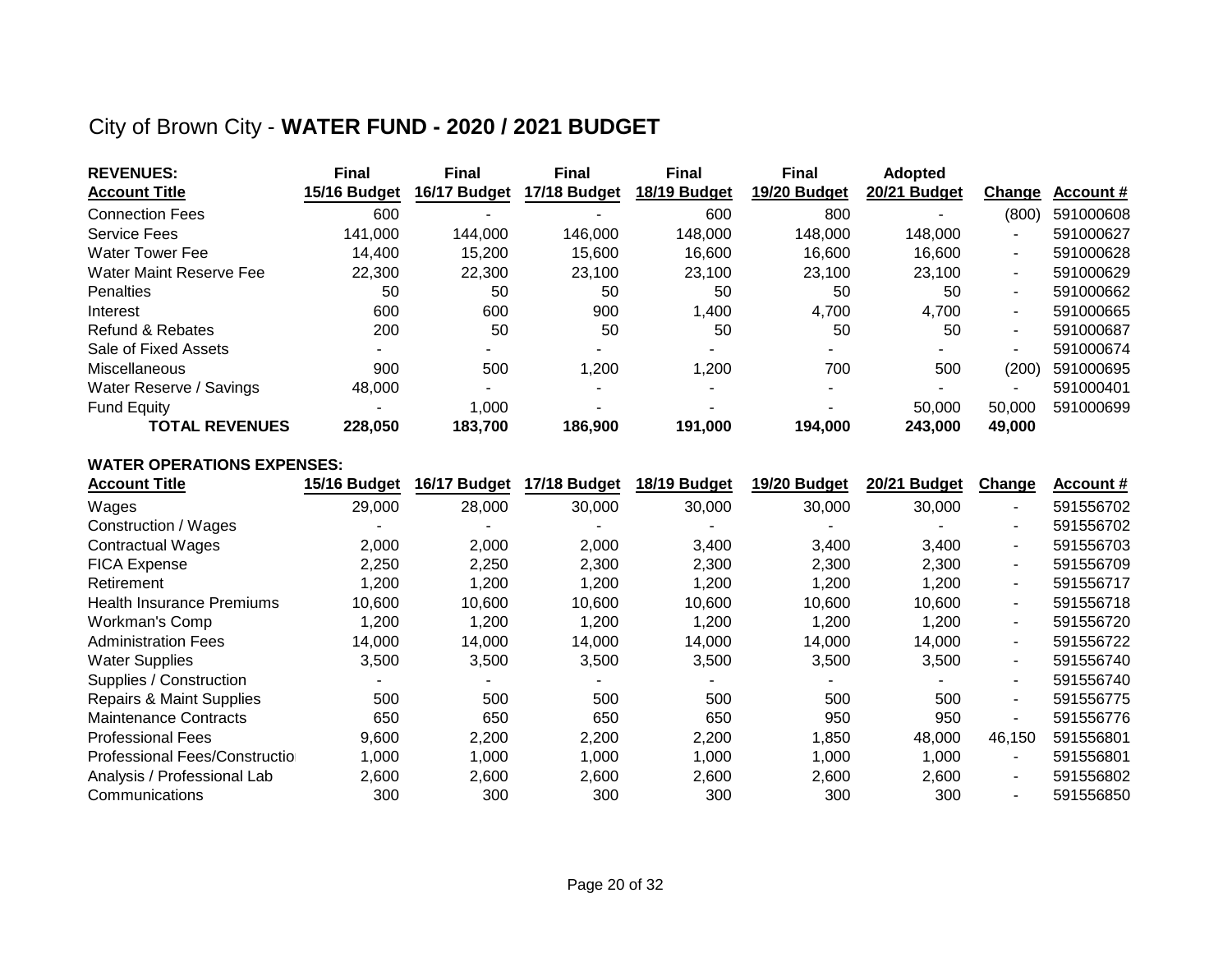### City of Brown City - **WATER FUND - 2020 / 2021 BUDGET**

| <b>REVENUES:</b>        | <b>Final</b> | <b>Final</b> | <b>Final</b> | <b>Final</b> | <b>Final</b> | <b>Adopted</b> |                |           |
|-------------------------|--------------|--------------|--------------|--------------|--------------|----------------|----------------|-----------|
| <b>Account Title</b>    | 15/16 Budget | 16/17 Budget | 17/18 Budget | 18/19 Budget | 19/20 Budget | 20/21 Budget   | Change         | Account # |
| <b>Connection Fees</b>  | 600          |              |              | 600          | 800          |                | (800)          | 591000608 |
| <b>Service Fees</b>     | 141.000      | 144.000      | 146.000      | 148.000      | 148,000      | 148.000        | ۰              | 591000627 |
| <b>Water Tower Fee</b>  | 14.400       | 15.200       | 15.600       | 16.600       | 16.600       | 16.600         | $\sim$         | 591000628 |
| Water Maint Reserve Fee | 22,300       | 22,300       | 23.100       | 23.100       | 23.100       | 23.100         | $\blacksquare$ | 591000629 |
| <b>Penalties</b>        | 50           | 50           | 50           | 50           | 50           | 50             | $\sim$         | 591000662 |
| Interest                | 600          | 600          | 900          | 1,400        | 4.700        | 4,700          | $\sim$         | 591000665 |
| Refund & Rebates        | 200          | 50           | 50           | 50           | 50           | 50             | $\sim$         | 591000687 |
| Sale of Fixed Assets    |              |              |              |              |              |                | ۰              | 591000674 |
| Miscellaneous           | 900          | 500          | 1,200        | 1,200        | 700          | 500            | (200)          | 591000695 |
| Water Reserve / Savings | 48,000       |              |              |              |              |                | ٠              | 591000401 |
| <b>Fund Equity</b>      |              | 1.000        |              |              |              | 50,000         | 50,000         | 591000699 |
| <b>TOTAL REVENUES</b>   | 228.050      | 183.700      | 186.900      | 191.000      | 194.000      | 243.000        | 49,000         |           |

#### **WATER OPERATIONS EXPENSES:**

| <b>Account Title</b>             | 15/16 Budget | 16/17 Budget | 17/18 Budget | 18/19 Budget | 19/20 Budget | 20/21 Budget | Change | <b>Account #</b> |
|----------------------------------|--------------|--------------|--------------|--------------|--------------|--------------|--------|------------------|
| Wages                            | 29,000       | 28,000       | 30,000       | 30,000       | 30,000       | 30,000       | $\sim$ | 591556702        |
| Construction / Wages             |              |              |              |              |              |              | ۰.     | 591556702        |
| <b>Contractual Wages</b>         | 2,000        | 2,000        | 2,000        | 3,400        | 3,400        | 3,400        | $\sim$ | 591556703        |
| <b>FICA Expense</b>              | 2,250        | 2,250        | 2.300        | 2,300        | 2,300        | 2,300        | $\sim$ | 591556709        |
| Retirement                       | 1,200        | 1.200        | 1,200        | 1,200        | 1,200        | 1,200        | $\sim$ | 591556717        |
| <b>Health Insurance Premiums</b> | 10,600       | 10,600       | 10,600       | 10,600       | 10,600       | 10,600       | $\sim$ | 591556718        |
| Workman's Comp                   | 1,200        | 1,200        | 1,200        | 1,200        | 1,200        | 1,200        | $\sim$ | 591556720        |
| <b>Administration Fees</b>       | 14,000       | 14,000       | 14,000       | 14,000       | 14,000       | 14,000       | $\sim$ | 591556722        |
| <b>Water Supplies</b>            | 3,500        | 3,500        | 3,500        | 3,500        | 3,500        | 3,500        | $\sim$ | 591556740        |
| Supplies / Construction          |              |              |              |              |              |              | $\sim$ | 591556740        |
| Repairs & Maint Supplies         | 500          | 500          | 500          | 500          | 500          | 500          | $\sim$ | 591556775        |
| <b>Maintenance Contracts</b>     | 650          | 650          | 650          | 650          | 950          | 950          | $\sim$ | 591556776        |
| <b>Professional Fees</b>         | 9,600        | 2,200        | 2,200        | 2,200        | 1,850        | 48,000       | 46,150 | 591556801        |
| Professional Fees/Constructio    | 1,000        | 1,000        | 1,000        | 1,000        | 1,000        | 1,000        | $\sim$ | 591556801        |
| Analysis / Professional Lab      | 2,600        | 2,600        | 2,600        | 2,600        | 2,600        | 2,600        | $\sim$ | 591556802        |
| Communications                   | 300          | 300          | 300          | 300          | 300          | 300          | $\sim$ | 591556850        |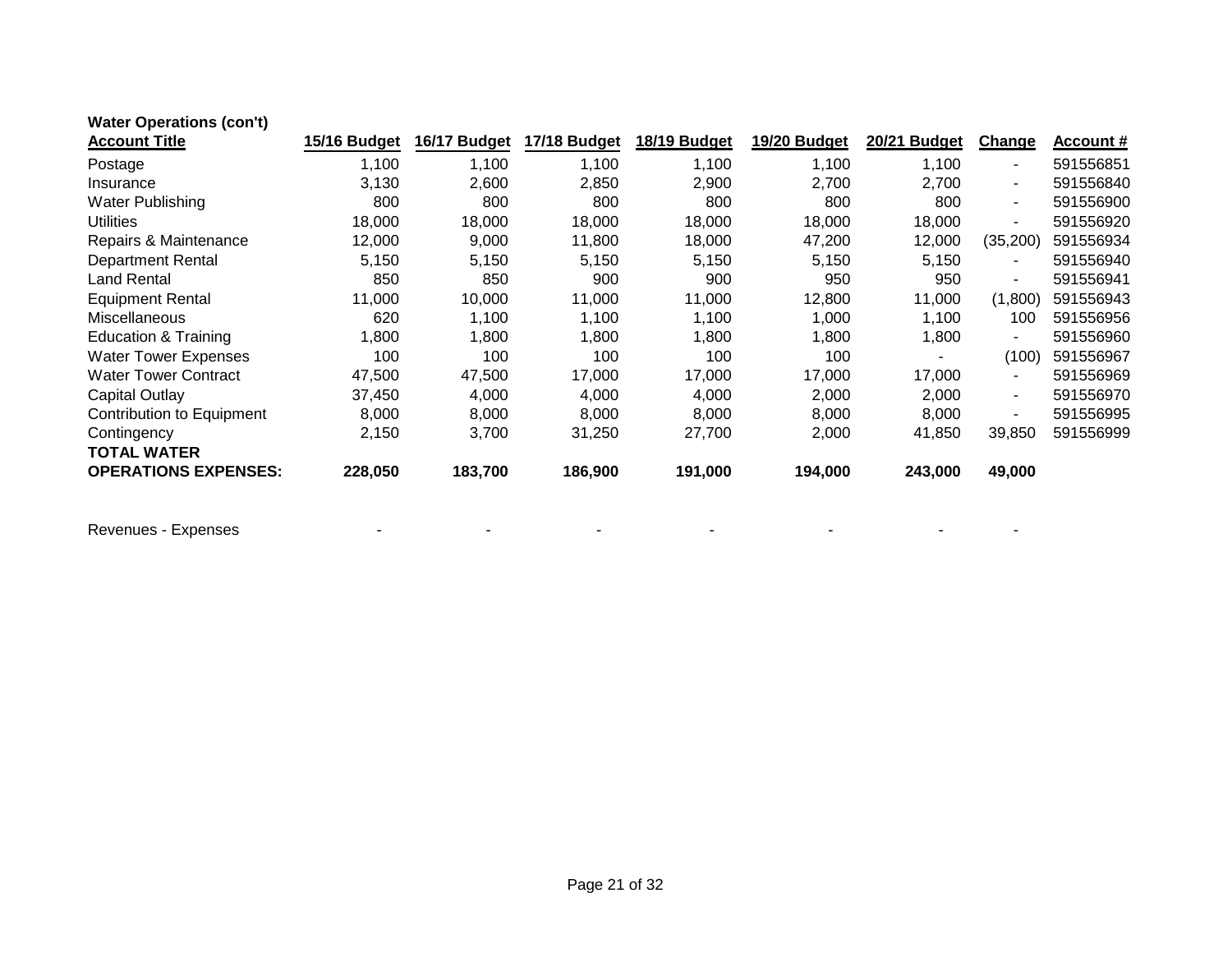| <b>Water Operations (con't)</b>  |              |              |              |              |              |              |                          |                  |
|----------------------------------|--------------|--------------|--------------|--------------|--------------|--------------|--------------------------|------------------|
| <b>Account Title</b>             | 15/16 Budget | 16/17 Budget | 17/18 Budget | 18/19 Budget | 19/20 Budget | 20/21 Budget | Change                   | <b>Account #</b> |
| Postage                          | 1,100        | 1,100        | 1,100        | 1,100        | 1,100        | 1,100        | $\blacksquare$           | 591556851        |
| Insurance                        | 3,130        | 2,600        | 2,850        | 2,900        | 2,700        | 2,700        | $\blacksquare$           | 591556840        |
| Water Publishing                 | 800          | 800          | 800          | 800          | 800          | 800          | ۰.                       | 591556900        |
| <b>Utilities</b>                 | 18,000       | 18,000       | 18,000       | 18,000       | 18,000       | 18,000       | $\overline{\phantom{0}}$ | 591556920        |
| Repairs & Maintenance            | 12,000       | 9,000        | 11,800       | 18,000       | 47,200       | 12,000       | (35, 200)                | 591556934        |
| <b>Department Rental</b>         | 5,150        | 5,150        | 5,150        | 5,150        | 5,150        | 5,150        | $\sim$                   | 591556940        |
| <b>Land Rental</b>               | 850          | 850          | 900          | 900          | 950          | 950          | ۰.                       | 591556941        |
| <b>Equipment Rental</b>          | 11,000       | 10,000       | 11,000       | 11,000       | 12,800       | 11,000       | (1,800)                  | 591556943        |
| Miscellaneous                    | 620          | 1,100        | 1,100        | 1,100        | 1,000        | 1,100        | 100                      | 591556956        |
| Education & Training             | 1,800        | 1,800        | 1,800        | 1,800        | 1,800        | 1,800        | $\overline{\phantom{0}}$ | 591556960        |
| <b>Water Tower Expenses</b>      | 100          | 100          | 100          | 100          | 100          |              | (100)                    | 591556967        |
| <b>Water Tower Contract</b>      | 47,500       | 47,500       | 17,000       | 17,000       | 17,000       | 17,000       | $\blacksquare$           | 591556969        |
| Capital Outlay                   | 37,450       | 4,000        | 4,000        | 4,000        | 2,000        | 2,000        | ۰.                       | 591556970        |
| <b>Contribution to Equipment</b> | 8,000        | 8,000        | 8,000        | 8,000        | 8,000        | 8,000        | $\overline{\phantom{0}}$ | 591556995        |
| Contingency                      | 2,150        | 3,700        | 31,250       | 27,700       | 2,000        | 41,850       | 39,850                   | 591556999        |
| <b>TOTAL WATER</b>               |              |              |              |              |              |              |                          |                  |
| <b>OPERATIONS EXPENSES:</b>      | 228,050      | 183,700      | 186,900      | 191,000      | 194,000      | 243,000      | 49,000                   |                  |
|                                  |              |              |              |              |              |              |                          |                  |

Revenues - Expenses - - - - - - -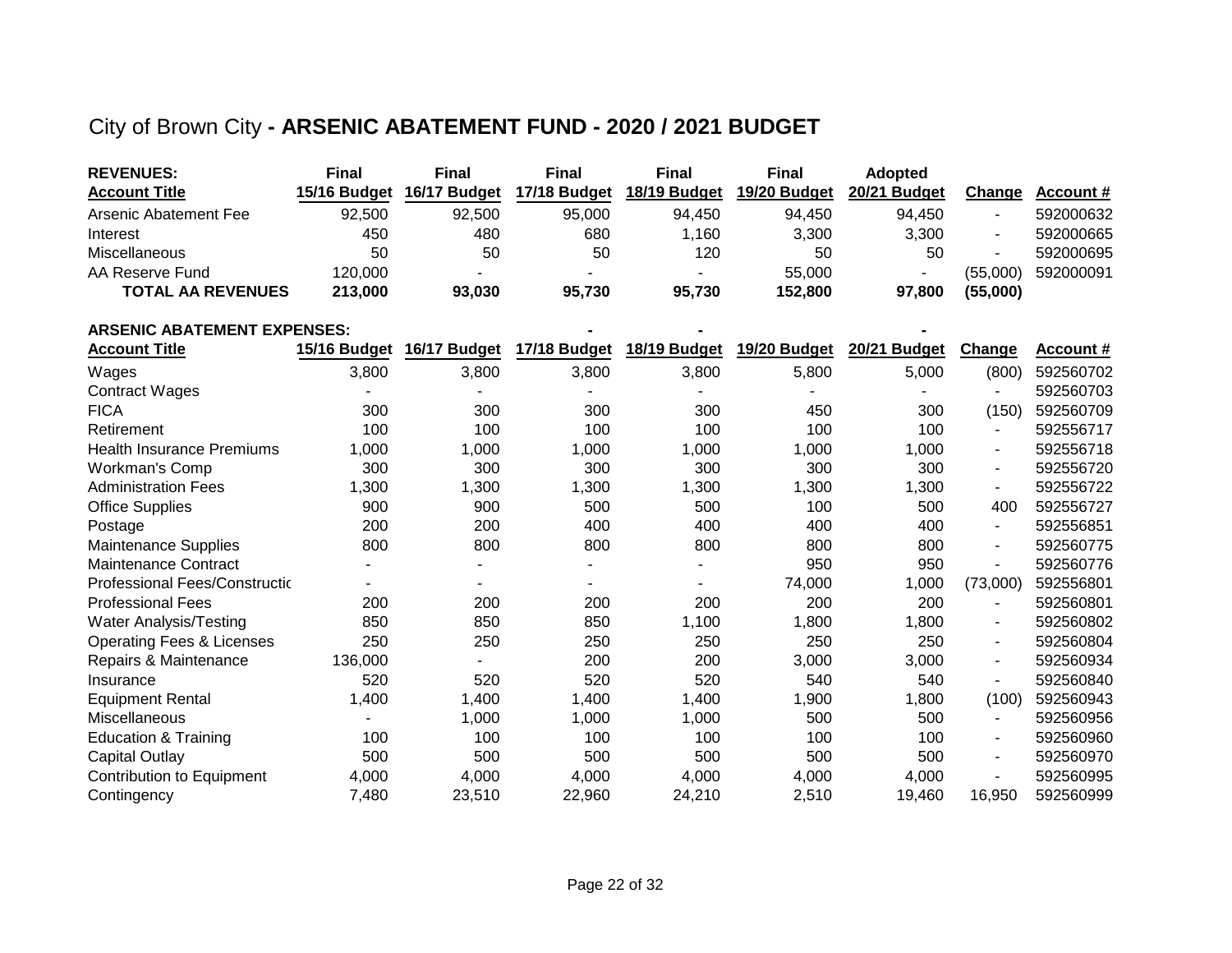### City of Brown City **- ARSENIC ABATEMENT FUND - 2020 / 2021 BUDGET**

| <b>REVENUES:</b>         | <b>Final</b> | <b>Final</b>             | Final                    | <b>Final</b> | <b>Final</b> | <b>Adopted</b> |          |           |
|--------------------------|--------------|--------------------------|--------------------------|--------------|--------------|----------------|----------|-----------|
| <b>Account Title</b>     | 15/16 Budget | 16/17 Budget             | 17/18 Budget             | 18/19 Budget | 19/20 Budget | 20/21 Budget   | Change   | Account # |
| Arsenic Abatement Fee    | 92.500       | 92.500                   | 95.000                   | 94.450       | 94.450       | 94.450         |          | 592000632 |
| Interest                 | 450          | 480                      | 680                      | 1.160        | 3,300        | 3,300          |          | 592000665 |
| <b>Miscellaneous</b>     | 50           | 50                       | 50                       | 120          | 50           | 50             |          | 592000695 |
| AA Reserve Fund          | 120.000      | $\overline{\phantom{0}}$ | $\overline{\phantom{0}}$ |              | 55,000       |                | (55.000) | 592000091 |
| <b>TOTAL AA REVENUES</b> | 213,000      | 93.030                   | 95.730                   | 95.730       | 152.800      | 97.800         | (55,000) |           |

| <b>ARSENIC ABATEMENT EXPENSES:</b>    |              |              |              |              |              |              |                |           |
|---------------------------------------|--------------|--------------|--------------|--------------|--------------|--------------|----------------|-----------|
| <b>Account Title</b>                  | 15/16 Budget | 16/17 Budget | 17/18 Budget | 18/19 Budget | 19/20 Budget | 20/21 Budget | <b>Change</b>  | Account # |
| Wages                                 | 3,800        | 3,800        | 3,800        | 3,800        | 5,800        | 5,000        | (800)          | 592560702 |
| <b>Contract Wages</b>                 |              |              |              |              |              |              |                | 592560703 |
| <b>FICA</b>                           | 300          | 300          | 300          | 300          | 450          | 300          | (150)          | 592560709 |
| Retirement                            | 100          | 100          | 100          | 100          | 100          | 100          |                | 592556717 |
| <b>Health Insurance Premiums</b>      | 1,000        | 1,000        | 1,000        | 1,000        | 1,000        | 1,000        | $\blacksquare$ | 592556718 |
| Workman's Comp                        | 300          | 300          | 300          | 300          | 300          | 300          | ۰              | 592556720 |
| <b>Administration Fees</b>            | 1,300        | 1,300        | 1,300        | 1,300        | 1,300        | 1,300        | $\blacksquare$ | 592556722 |
| <b>Office Supplies</b>                | 900          | 900          | 500          | 500          | 100          | 500          | 400            | 592556727 |
| Postage                               | 200          | 200          | 400          | 400          | 400          | 400          | $\sim$         | 592556851 |
| <b>Maintenance Supplies</b>           | 800          | 800          | 800          | 800          | 800          | 800          | $\blacksquare$ | 592560775 |
| <b>Maintenance Contract</b>           |              |              |              |              | 950          | 950          | $\blacksquare$ | 592560776 |
| <b>Professional Fees/Construction</b> |              |              |              |              | 74,000       | 1,000        | (73,000)       | 592556801 |
| <b>Professional Fees</b>              | 200          | 200          | 200          | 200          | 200          | 200          |                | 592560801 |
| <b>Water Analysis/Testing</b>         | 850          | 850          | 850          | 1,100        | 1,800        | 1,800        | $\sim$         | 592560802 |
| <b>Operating Fees &amp; Licenses</b>  | 250          | 250          | 250          | 250          | 250          | 250          | $\sim$         | 592560804 |
| Repairs & Maintenance                 | 136,000      |              | 200          | 200          | 3,000        | 3,000        | $\blacksquare$ | 592560934 |
| Insurance                             | 520          | 520          | 520          | 520          | 540          | 540          | $\blacksquare$ | 592560840 |
| <b>Equipment Rental</b>               | 1,400        | 1,400        | 1,400        | 1,400        | 1,900        | 1,800        | (100)          | 592560943 |
| Miscellaneous                         |              | 1,000        | 1,000        | 1,000        | 500          | 500          | $\sim$         | 592560956 |
| Education & Training                  | 100          | 100          | 100          | 100          | 100          | 100          | $\blacksquare$ | 592560960 |
| <b>Capital Outlay</b>                 | 500          | 500          | 500          | 500          | 500          | 500          | $\blacksquare$ | 592560970 |
| <b>Contribution to Equipment</b>      | 4,000        | 4,000        | 4,000        | 4,000        | 4,000        | 4,000        | $\blacksquare$ | 592560995 |
| Contingency                           | 7,480        | 23,510       | 22,960       | 24,210       | 2,510        | 19,460       | 16,950         | 592560999 |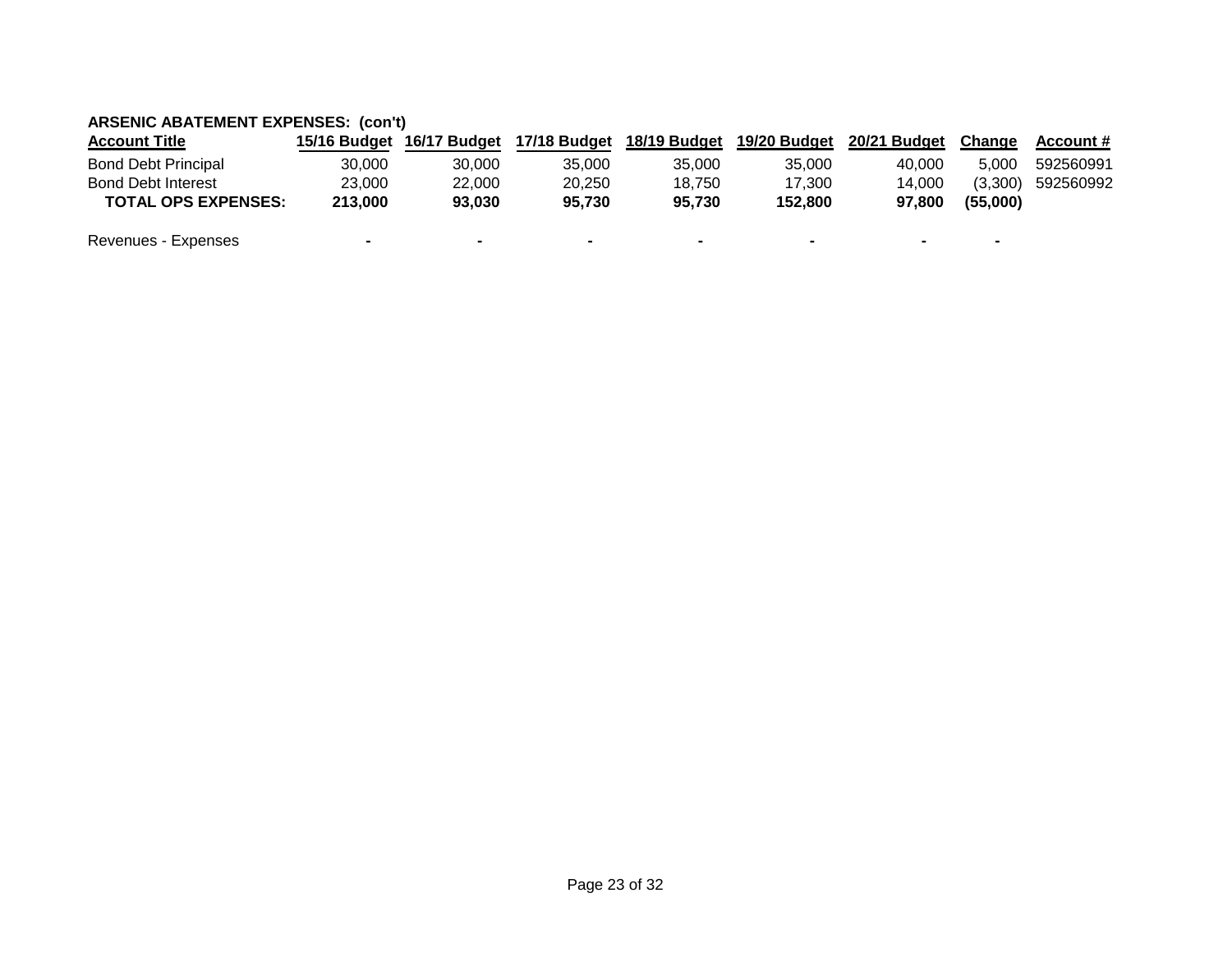### **ARSENIC ABATEMENT EXPENSES: (con't)**

| <b>Account Title</b>       |                | 15/16 Budget 16/17 Budget | 17/18 Budget             | 18/19 Budget             | 19/20 Budget             | 20/21 Budget | Change                   | Account # |
|----------------------------|----------------|---------------------------|--------------------------|--------------------------|--------------------------|--------------|--------------------------|-----------|
| <b>Bond Debt Principal</b> | 30.000         | 30.000                    | 35.000                   | 35.000                   | 35,000                   | 40,000       | 5.000                    | 592560991 |
| <b>Bond Debt Interest</b>  | 23.000         | 22,000                    | 20.250                   | 18.750                   | 17.300                   | 14.000       | (3.300)                  | 592560992 |
| <b>TOTAL OPS EXPENSES:</b> | 213,000        | 93.030                    | 95.730                   | 95.730                   | 152.800                  | 97.800       | (55.000)                 |           |
| Revenues - Expenses        | $\blacksquare$ | $\overline{\phantom{0}}$  | $\overline{\phantom{0}}$ | $\overline{\phantom{0}}$ | $\overline{\phantom{a}}$ |              | $\overline{\phantom{0}}$ |           |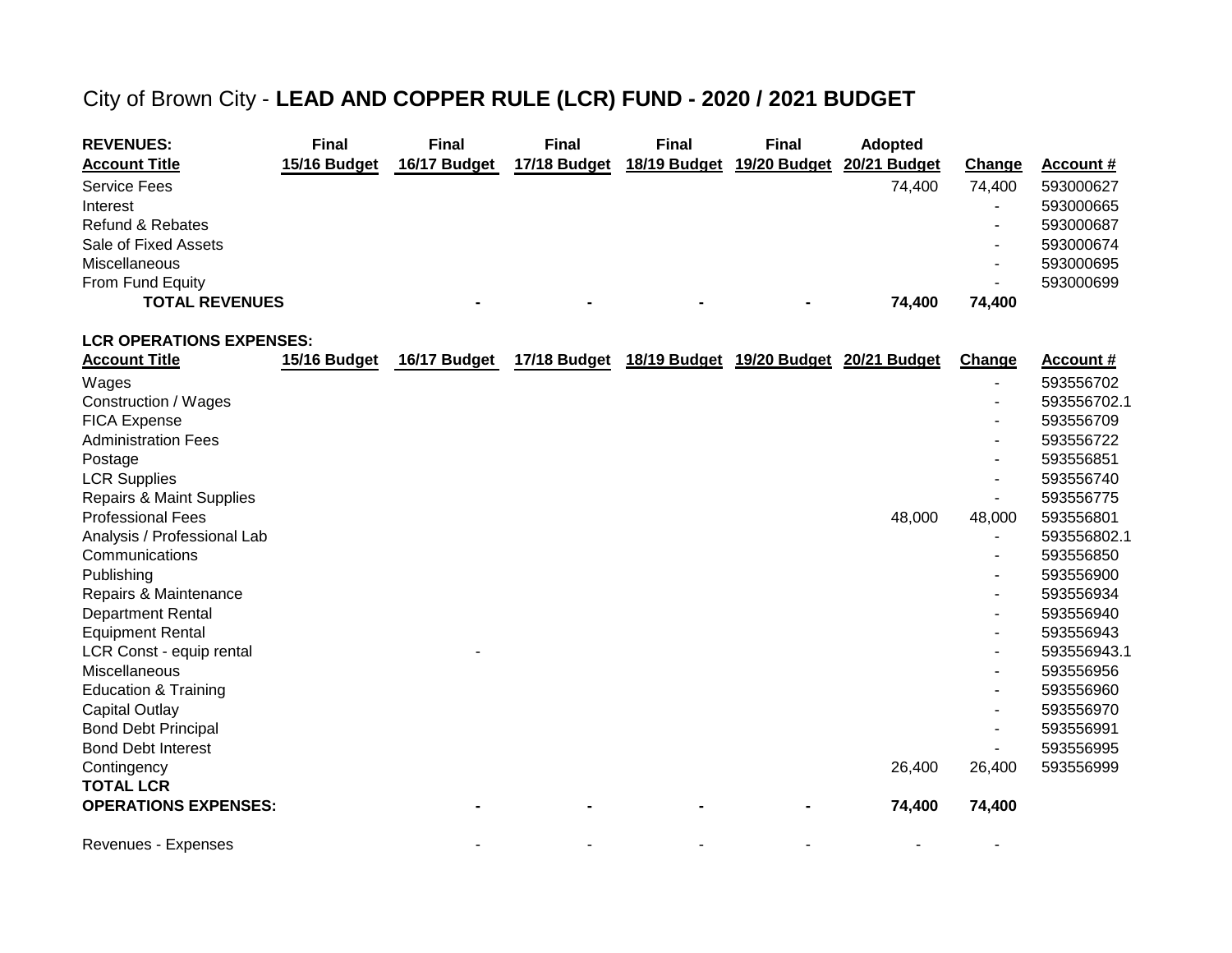### City of Brown City - **LEAD AND COPPER RULE (LCR) FUND - 2020 / 2021 BUDGET**

| <b>REVENUES:</b>            | Final        | <b>Final</b>   | <b>Final</b>   | <b>Final</b>   | <b>Final</b>   | <b>Adopted</b> |                          |                  |
|-----------------------------|--------------|----------------|----------------|----------------|----------------|----------------|--------------------------|------------------|
| <b>Account Title</b>        | 15/16 Budget | 16/17 Budget   | 17/18 Budget   | 18/19 Budget   | 19/20 Budget   | 20/21 Budget   | Change                   | <b>Account #</b> |
| <b>Service Fees</b>         |              |                |                |                |                | 74.400         | 74.400                   | 593000627        |
| Interest                    |              |                |                |                |                |                |                          | 593000665        |
| <b>Refund &amp; Rebates</b> |              |                |                |                |                |                |                          | 593000687        |
| Sale of Fixed Assets        |              |                |                |                |                |                | $\overline{\phantom{a}}$ | 593000674        |
| <b>Miscellaneous</b>        |              |                |                |                |                |                | $\overline{\phantom{a}}$ | 593000695        |
| From Fund Equity            |              |                |                |                |                |                | -                        | 593000699        |
| <b>TOTAL REVENUES</b>       |              | $\blacksquare$ | $\blacksquare$ | $\blacksquare$ | $\blacksquare$ | 74.400         | 74.400                   |                  |

**LCR OPERATIONS EXPENSES:**

| <b>Account Title</b>                | 15/16 Budget | 16/17 Budget | 17/18 Budget | 18/19 Budget 19/20 Budget 20/21 Budget |        | Change | Account #   |
|-------------------------------------|--------------|--------------|--------------|----------------------------------------|--------|--------|-------------|
| Wages                               |              |              |              |                                        |        | -      | 593556702   |
| Construction / Wages                |              |              |              |                                        |        |        | 593556702.1 |
| <b>FICA Expense</b>                 |              |              |              |                                        |        | -      | 593556709   |
| <b>Administration Fees</b>          |              |              |              |                                        |        | ۰      | 593556722   |
| Postage                             |              |              |              |                                        |        | ۰      | 593556851   |
| <b>LCR Supplies</b>                 |              |              |              |                                        |        |        | 593556740   |
| <b>Repairs &amp; Maint Supplies</b> |              |              |              |                                        |        |        | 593556775   |
| <b>Professional Fees</b>            |              |              |              |                                        | 48,000 | 48,000 | 593556801   |
| Analysis / Professional Lab         |              |              |              |                                        |        |        | 593556802.1 |
| Communications                      |              |              |              |                                        |        | ۰      | 593556850   |
| Publishing                          |              |              |              |                                        |        | ۰      | 593556900   |
| Repairs & Maintenance               |              |              |              |                                        |        | ۰      | 593556934   |
| <b>Department Rental</b>            |              |              |              |                                        |        | ۰      | 593556940   |
| <b>Equipment Rental</b>             |              |              |              |                                        |        |        | 593556943   |
| LCR Const - equip rental            |              |              |              |                                        |        |        | 593556943.1 |
| Miscellaneous                       |              |              |              |                                        |        |        | 593556956   |
| <b>Education &amp; Training</b>     |              |              |              |                                        |        | -      | 593556960   |
| <b>Capital Outlay</b>               |              |              |              |                                        |        |        | 593556970   |
| <b>Bond Debt Principal</b>          |              |              |              |                                        |        | ۰      | 593556991   |
| <b>Bond Debt Interest</b>           |              |              |              |                                        |        |        | 593556995   |
| Contingency                         |              |              |              |                                        | 26,400 | 26,400 | 593556999   |
| <b>TOTAL LCR</b>                    |              |              |              |                                        |        |        |             |
| <b>OPERATIONS EXPENSES:</b>         |              |              |              |                                        | 74,400 | 74,400 |             |
| Revenues - Expenses                 |              |              |              |                                        |        |        |             |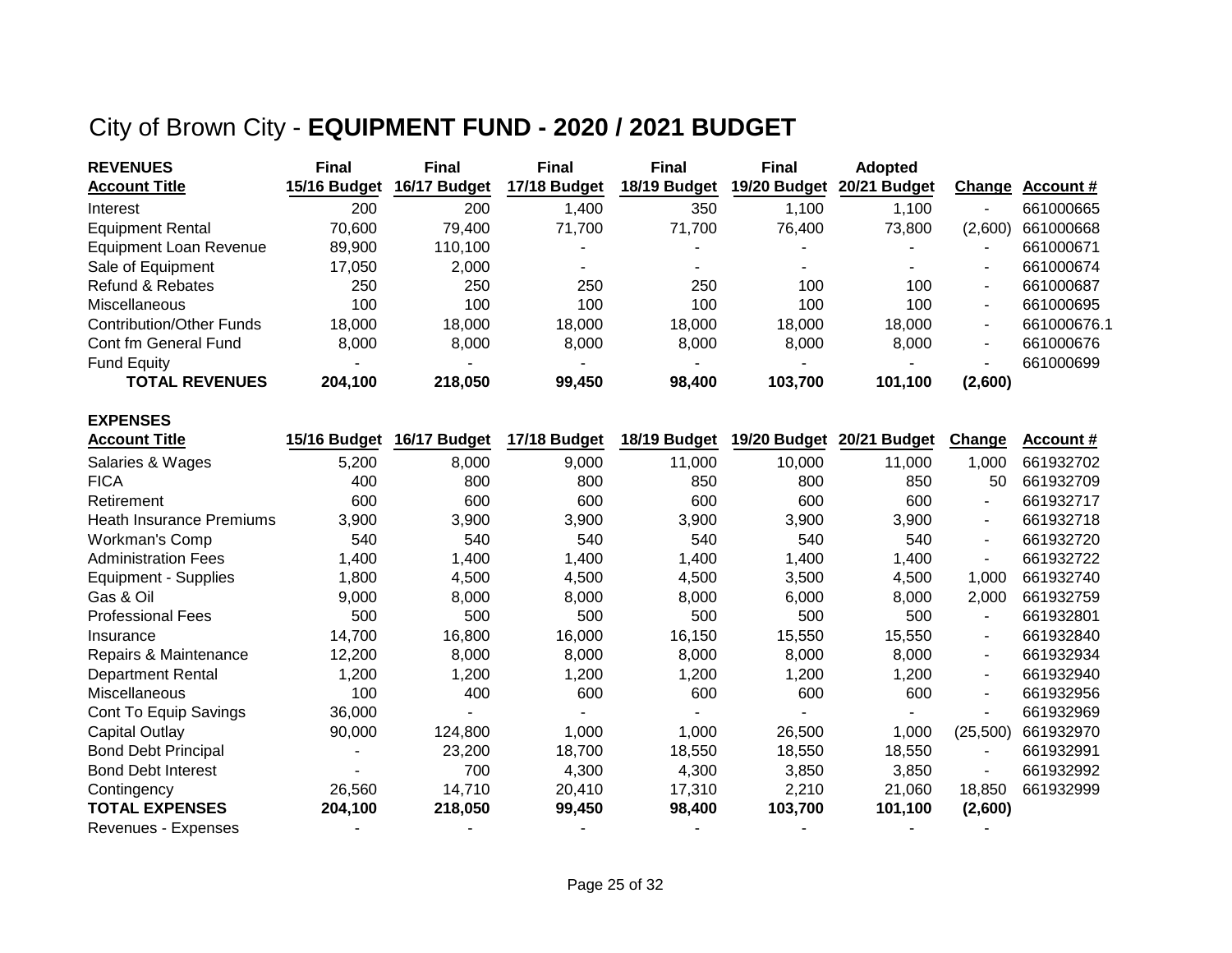## City of Brown City - **EQUIPMENT FUND - 2020 / 2021 BUDGET**

**EXPENSES**

| <b>REVENUES</b>                 | <b>Final</b> | Final        | <b>Final</b> | <b>Final</b> | <b>Final</b>             | <b>Adopted</b>           |                          |                  |
|---------------------------------|--------------|--------------|--------------|--------------|--------------------------|--------------------------|--------------------------|------------------|
| <b>Account Title</b>            | 15/16 Budget | 16/17 Budget | 17/18 Budget | 18/19 Budget | 19/20 Budget             | 20/21 Budget             | <u>Change</u>            | <b>Account #</b> |
| Interest                        | 200          | 200          | 1,400        | 350          | 1,100                    | 1,100                    | $\overline{\phantom{0}}$ | 661000665        |
| <b>Equipment Rental</b>         | 70.600       | 79.400       | 71.700       | 71.700       | 76.400                   | 73.800                   | (2,600)                  | 661000668        |
| <b>Equipment Loan Revenue</b>   | 89,900       | 110,100      | -            | -            |                          |                          |                          | 661000671        |
| Sale of Equipment               | 17.050       | 2,000        |              |              | $\overline{\phantom{a}}$ | $\overline{\phantom{a}}$ | $\blacksquare$           | 661000674        |
| Refund & Rebates                | 250          | 250          | 250          | 250          | 100                      | 100                      | $\sim$                   | 661000687        |
| <b>Miscellaneous</b>            | 100          | 100          | 100          | 100          | 100                      | 100                      | $\sim$                   | 661000695        |
| <b>Contribution/Other Funds</b> | 18.000       | 18,000       | 18,000       | 18,000       | 18,000                   | 18,000                   | $\sim$                   | 661000676.1      |
| Cont fm General Fund            | 8,000        | 8.000        | 8.000        | 8.000        | 8.000                    | 8.000                    | $\sim$                   | 661000676        |
| <b>Fund Equity</b>              |              |              | $\sim$       | -            |                          | $\overline{\phantom{0}}$ | $\overline{\phantom{a}}$ | 661000699        |
| <b>TOTAL REVENUES</b>           | 204,100      | 218,050      | 99,450       | 98.400       | 103,700                  | 101,100                  | (2,600)                  |                  |

| <b>Account Title</b>       | 15/16 Budget | 16/17 Budget | 17/18 Budget | 18/19 Budget | 19/20 Budget | 20/21 Budget | Change         | <u>Account #</u> |
|----------------------------|--------------|--------------|--------------|--------------|--------------|--------------|----------------|------------------|
| Salaries & Wages           | 5,200        | 8,000        | 9,000        | 11,000       | 10,000       | 11,000       | 1,000          | 661932702        |
| <b>FICA</b>                | 400          | 800          | 800          | 850          | 800          | 850          | 50             | 661932709        |
| Retirement                 | 600          | 600          | 600          | 600          | 600          | 600          | $\sim$         | 661932717        |
| Heath Insurance Premiums   | 3,900        | 3,900        | 3,900        | 3,900        | 3,900        | 3,900        | $\sim$         | 661932718        |
| Workman's Comp             | 540          | 540          | 540          | 540          | 540          | 540          | $\sim$         | 661932720        |
| <b>Administration Fees</b> | 1,400        | 1,400        | 1,400        | 1,400        | 1,400        | 1,400        | $\blacksquare$ | 661932722        |
| Equipment - Supplies       | 1,800        | 4,500        | 4,500        | 4,500        | 3,500        | 4,500        | 1,000          | 661932740        |
| Gas & Oil                  | 9,000        | 8,000        | 8,000        | 8,000        | 6,000        | 8,000        | 2,000          | 661932759        |
| <b>Professional Fees</b>   | 500          | 500          | 500          | 500          | 500          | 500          | $\sim$         | 661932801        |
| Insurance                  | 14,700       | 16,800       | 16,000       | 16,150       | 15,550       | 15,550       | $\sim$         | 661932840        |
| Repairs & Maintenance      | 12,200       | 8,000        | 8,000        | 8,000        | 8,000        | 8,000        | $\sim$         | 661932934        |
| <b>Department Rental</b>   | 1,200        | 1,200        | 1,200        | 1,200        | 1,200        | 1,200        | $\sim$         | 661932940        |
| <b>Miscellaneous</b>       | 100          | 400          | 600          | 600          | 600          | 600          | $\sim$         | 661932956        |
| Cont To Equip Savings      | 36,000       |              |              |              |              |              | $\sim$         | 661932969        |
| <b>Capital Outlay</b>      | 90,000       | 124,800      | 1,000        | 1,000        | 26,500       | 1,000        | (25,500)       | 661932970        |
| <b>Bond Debt Principal</b> |              | 23,200       | 18,700       | 18,550       | 18,550       | 18,550       | $\sim$         | 661932991        |
| <b>Bond Debt Interest</b>  |              | 700          | 4,300        | 4,300        | 3,850        | 3,850        | $\sim$         | 661932992        |
| Contingency                | 26,560       | 14,710       | 20,410       | 17,310       | 2,210        | 21,060       | 18,850         | 661932999        |
| <b>TOTAL EXPENSES</b>      | 204,100      | 218,050      | 99,450       | 98,400       | 103,700      | 101,100      | (2,600)        |                  |
| Revenues - Expenses        |              |              |              |              |              |              |                |                  |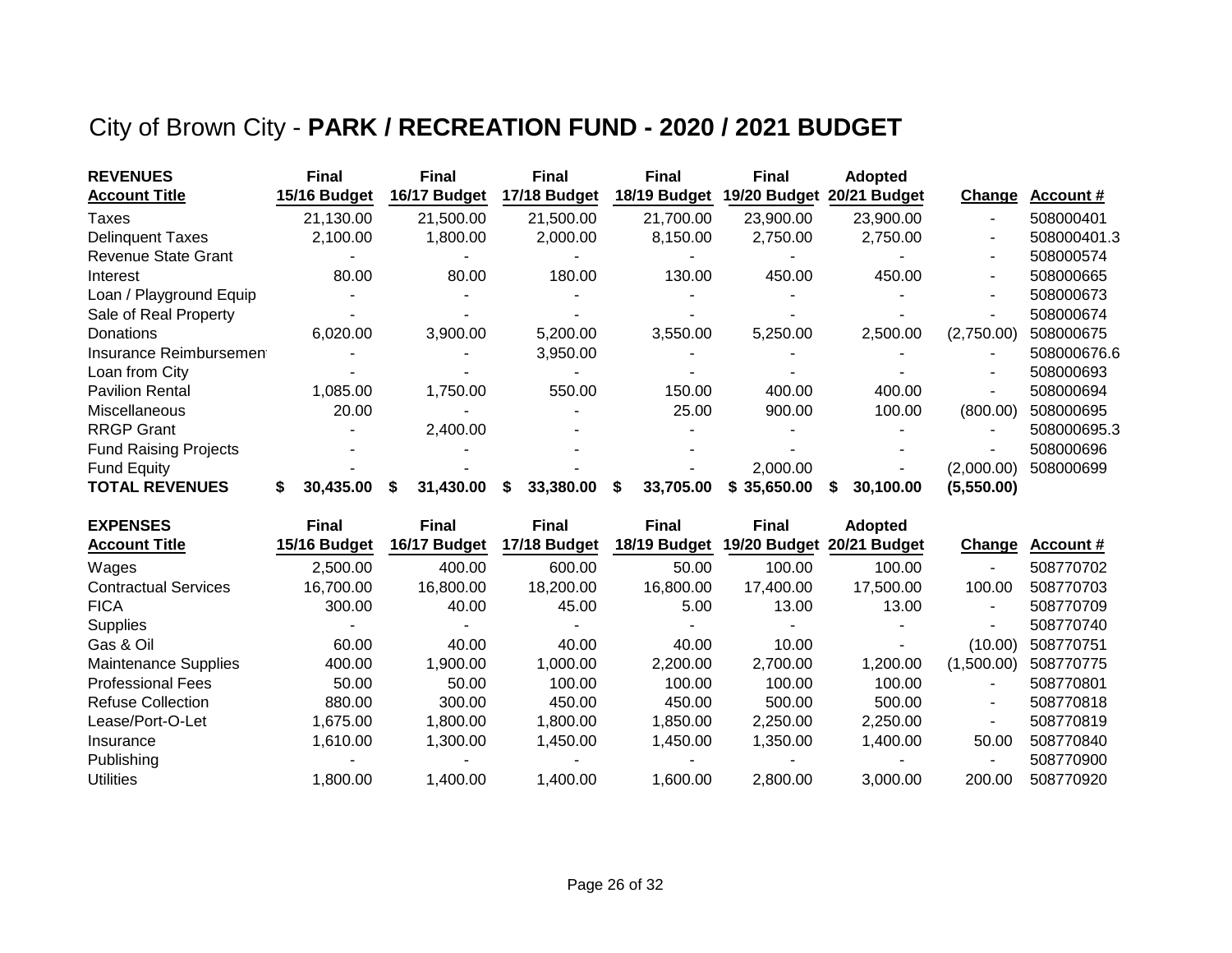## City of Brown City - **PARK / RECREATION FUND - 2020 / 2021 BUDGET**

| <b>REVENUES</b>              | <b>Final</b> |       | <b>Final</b>   | <b>Final</b> |   | <b>Final</b> | <b>Final</b> | <b>Adopted</b> |               |             |
|------------------------------|--------------|-------|----------------|--------------|---|--------------|--------------|----------------|---------------|-------------|
| <b>Account Title</b>         | 15/16 Budget |       | 16/17 Budget   | 17/18 Budget |   | 18/19 Budget | 19/20 Budget | 20/21 Budget   | <b>Change</b> | Account #   |
| Taxes                        | 21,130.00    |       | 21,500.00      | 21,500.00    |   | 21,700.00    | 23,900.00    | 23,900.00      |               | 508000401   |
| <b>Delinguent Taxes</b>      | 2,100.00     |       | 1,800.00       | 2,000.00     |   | 8,150.00     | 2,750.00     | 2,750.00       | ۰             | 508000401.3 |
| <b>Revenue State Grant</b>   |              |       |                |              |   |              |              |                | -             | 508000574   |
| Interest                     |              | 80.00 | 80.00          | 180.00       |   | 130.00       | 450.00       | 450.00         | -             | 508000665   |
| Loan / Playground Equip      |              |       |                |              |   |              |              |                |               | 508000673   |
| Sale of Real Property        |              |       |                |              |   |              |              |                |               | 508000674   |
| Donations                    | 6,020.00     |       | 3,900.00       | 5,200.00     |   | 3,550.00     | 5,250.00     | 2,500.00       | (2,750.00)    | 508000675   |
| Insurance Reimbursement      |              |       |                | 3,950.00     |   |              |              |                | ۰             | 508000676.6 |
| Loan from City               |              |       |                |              |   |              |              |                | ٠             | 508000693   |
| <b>Pavilion Rental</b>       | 1,085.00     |       | 1,750.00       | 550.00       |   | 150.00       | 400.00       | 400.00         | ۰             | 508000694   |
| Miscellaneous                |              | 20.00 |                |              |   | 25.00        | 900.00       | 100.00         | (800.00)      | 508000695   |
| <b>RRGP Grant</b>            |              |       | 2,400.00       |              |   |              |              |                |               | 508000695.3 |
| <b>Fund Raising Projects</b> |              |       |                |              |   |              |              |                |               | 508000696   |
| <b>Fund Equity</b>           |              |       |                |              |   |              | 2,000.00     |                | (2,000.00)    | 508000699   |
| <b>TOTAL REVENUES</b>        | 30.435.00    |       | 31,430.00<br>S | 33,380.00    | S | 33,705.00    | \$35,650.00  | 30,100.00      | (5,550.00)    |             |

| <b>EXPENSES</b>             | <b>Final</b> | <b>Final</b> | <b>Final</b> | <b>Final</b> | <b>Final</b> | <b>Adopted</b> |                          |           |
|-----------------------------|--------------|--------------|--------------|--------------|--------------|----------------|--------------------------|-----------|
| <b>Account Title</b>        | 15/16 Budget | 16/17 Budget | 17/18 Budget | 18/19 Budget | 19/20 Budget | 20/21 Budget   | Change                   | Account # |
| Wages                       | 2,500.00     | 400.00       | 600.00       | 50.00        | 100.00       | 100.00         |                          | 508770702 |
| <b>Contractual Services</b> | 16,700.00    | 16,800.00    | 18,200.00    | 16,800.00    | 17,400.00    | 17,500.00      | 100.00                   | 508770703 |
| <b>FICA</b>                 | 300.00       | 40.00        | 45.00        | 5.00         | 13.00        | 13.00          | $\overline{\phantom{a}}$ | 508770709 |
| <b>Supplies</b>             |              |              |              |              |              |                | $\sim$                   | 508770740 |
| Gas & Oil                   | 60.00        | 40.00        | 40.00        | 40.00        | 10.00        |                | (10.00)                  | 508770751 |
| <b>Maintenance Supplies</b> | 400.00       | 1,900.00     | 1,000.00     | 2,200.00     | 2,700.00     | 1,200.00       | (1,500.00)               | 508770775 |
| <b>Professional Fees</b>    | 50.00        | 50.00        | 100.00       | 100.00       | 100.00       | 100.00         | $\overline{\phantom{a}}$ | 508770801 |
| <b>Refuse Collection</b>    | 880.00       | 300.00       | 450.00       | 450.00       | 500.00       | 500.00         | $\overline{\phantom{a}}$ | 508770818 |
| Lease/Port-O-Let            | 1,675.00     | 1.800.00     | 1.800.00     | 1.850.00     | 2,250.00     | 2,250.00       | $\overline{\phantom{a}}$ | 508770819 |
| Insurance                   | 1,610.00     | 1,300.00     | 1,450.00     | 1,450.00     | 1,350.00     | 1,400.00       | 50.00                    | 508770840 |
| Publishing                  |              |              |              |              |              |                |                          | 508770900 |
| <b>Utilities</b>            | 1,800.00     | 1,400.00     | 1,400.00     | 1,600.00     | 2,800.00     | 3,000.00       | 200.00                   | 508770920 |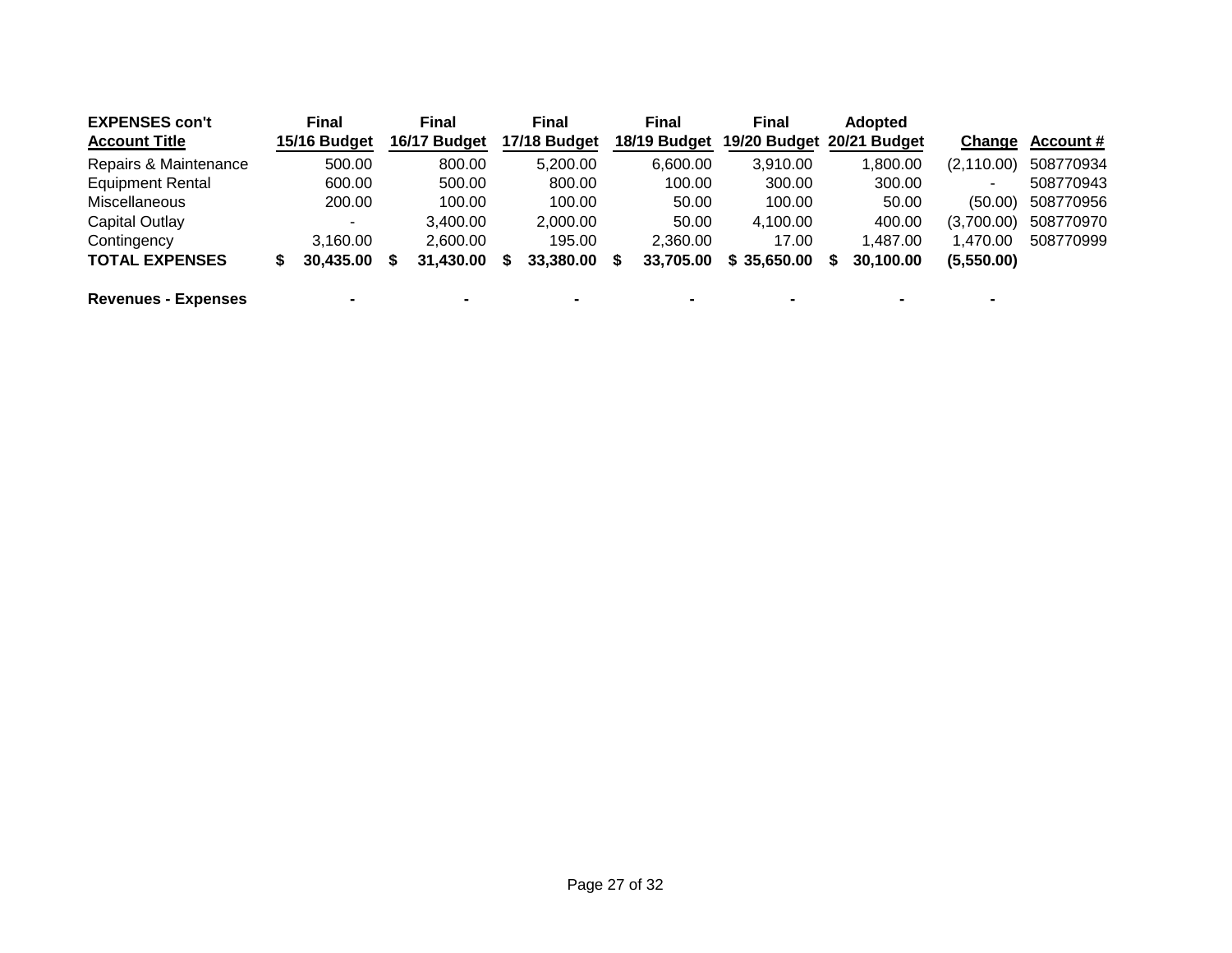| <b>EXPENSES con't</b>      |   | <b>Final</b>             | <b>Final</b> | <b>Final</b> | <b>Final</b> | <b>Final</b>              | <b>Adopted</b> |                          |                  |
|----------------------------|---|--------------------------|--------------|--------------|--------------|---------------------------|----------------|--------------------------|------------------|
| <b>Account Title</b>       |   | 15/16 Budget             | 16/17 Budget | 17/18 Budget | 18/19 Budget | 19/20 Budget 20/21 Budget |                | Change                   | <b>Account #</b> |
| Repairs & Maintenance      |   | 500.00                   | 800.00       | 5,200.00     | 6.600.00     | 3.910.00                  | 1,800.00       | (2, 110.00)              | 508770934        |
| <b>Equipment Rental</b>    |   | 600.00                   | 500.00       | 800.00       | 100.00       | 300.00                    | 300.00         | $\overline{\phantom{a}}$ | 508770943        |
| <b>Miscellaneous</b>       |   | 200.00                   | 100.00       | 100.00       | 50.00        | 100.00                    | 50.00          | (50.00)                  | 508770956        |
| Capital Outlay             |   | ۰                        | 3,400.00     | 2,000.00     | 50.00        | 4,100.00                  | 400.00         | (3,700.00)               | 508770970        |
| Contingency                |   | 3.160.00                 | 2.600.00     | 195.00       | 2.360.00     | 17.00                     | 1.487.00       | 1.470.00                 | 508770999        |
| <b>TOTAL EXPENSES</b>      | S | 30,435.00                | 31,430.00    | 33,380.00    | 33.705.00    | \$35,650.00               | 30.100.00      | (5,550.00)               |                  |
| <b>Revenues - Expenses</b> |   | $\overline{\phantom{0}}$ |              |              |              | $\blacksquare$            | $\blacksquare$ |                          |                  |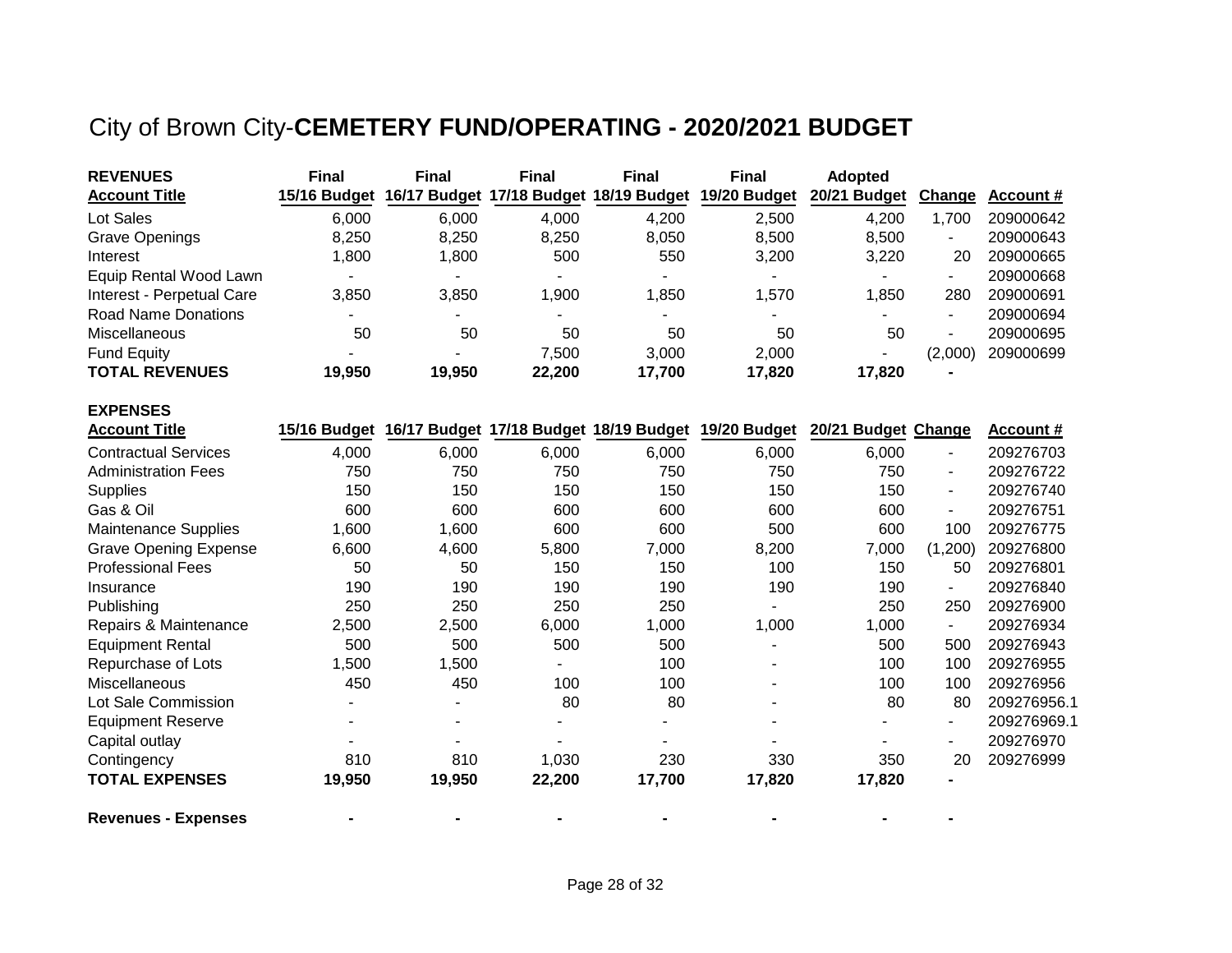# City of Brown City-**CEMETERY FUND/OPERATING - 2020/2021 BUDGET**

| <b>REVENUES</b>              | <b>Final</b> | <b>Final</b> | <b>Final</b> | <b>Final</b>              | <b>Final</b>                                        | <b>Adopted</b>      |                          |                  |
|------------------------------|--------------|--------------|--------------|---------------------------|-----------------------------------------------------|---------------------|--------------------------|------------------|
| <b>Account Title</b>         | 15/16 Budget | 16/17 Budget |              | 17/18 Budget 18/19 Budget | 19/20 Budget                                        | 20/21 Budget        | Change                   | <b>Account #</b> |
| Lot Sales                    | 6,000        | 6,000        | 4,000        | 4,200                     | 2,500                                               | 4,200               | 1,700                    | 209000642        |
| <b>Grave Openings</b>        | 8,250        | 8,250        | 8,250        | 8,050                     | 8,500                                               | 8,500               |                          | 209000643        |
| Interest                     | 1,800        | 1,800        | 500          | 550                       | 3,200                                               | 3,220               | 20                       | 209000665        |
| Equip Rental Wood Lawn       |              |              |              |                           |                                                     |                     |                          | 209000668        |
| Interest - Perpetual Care    | 3,850        | 3,850        | 1,900        | 1,850                     | 1,570                                               | 1,850               | 280                      | 209000691        |
| <b>Road Name Donations</b>   |              |              |              |                           |                                                     | $\blacksquare$      | $\blacksquare$           | 209000694        |
| Miscellaneous                | 50           | 50           | 50           | 50                        | 50                                                  | 50                  | $\blacksquare$           | 209000695        |
| <b>Fund Equity</b>           |              |              | 7,500        | 3,000                     | 2,000                                               |                     | (2,000)                  | 209000699        |
| <b>TOTAL REVENUES</b>        | 19,950       | 19,950       | 22,200       | 17,700                    | 17,820                                              | 17,820              |                          |                  |
| <b>EXPENSES</b>              |              |              |              |                           |                                                     |                     |                          |                  |
| <b>Account Title</b>         | 15/16 Budget |              |              |                           | 16/17 Budget 17/18 Budget 18/19 Budget 19/20 Budget | 20/21 Budget Change |                          | <b>Account #</b> |
| <b>Contractual Services</b>  | 4,000        | 6,000        | 6,000        | 6,000                     | 6,000                                               | 6,000               | $\overline{\phantom{a}}$ | 209276703        |
| <b>Administration Fees</b>   | 750          | 750          | 750          | 750                       | 750                                                 | 750                 | $\overline{\phantom{a}}$ | 209276722        |
| Supplies                     | 150          | 150          | 150          | 150                       | 150                                                 | 150                 | $\overline{\phantom{0}}$ | 209276740        |
| Gas & Oil                    | 600          | 600          | 600          | 600                       | 600                                                 | 600                 | $\overline{\phantom{0}}$ | 209276751        |
| <b>Maintenance Supplies</b>  | 1,600        | 1,600        | 600          | 600                       | 500                                                 | 600                 | 100                      | 209276775        |
| <b>Grave Opening Expense</b> | 6,600        | 4,600        | 5,800        | 7,000                     | 8,200                                               | 7,000               | (1,200)                  | 209276800        |
| <b>Professional Fees</b>     | 50           | 50           | 150          | 150                       | 100                                                 | 150                 | 50                       | 209276801        |
| Insurance                    | 190          | 190          | 190          | 190                       | 190                                                 | 190                 | $\overline{\phantom{a}}$ | 209276840        |
| Publishing                   | 250          | 250          | 250          | 250                       |                                                     | 250                 | 250                      | 209276900        |
| Repairs & Maintenance        | 2,500        | 2,500        | 6,000        | 1,000                     | 1,000                                               | 1,000               | $\blacksquare$           | 209276934        |
| <b>Equipment Rental</b>      | 500          | 500          | 500          | 500                       |                                                     | 500                 | 500                      | 209276943        |
| Repurchase of Lots           | 1,500        | 1,500        |              | 100                       |                                                     | 100                 | 100                      | 209276955        |
| Miscellaneous                | 450          | 450          | 100          | 100                       |                                                     | 100                 | 100                      | 209276956        |
| Lot Sale Commission          |              |              | 80           | 80                        |                                                     | 80                  | 80                       | 209276956.1      |
| <b>Equipment Reserve</b>     |              |              |              |                           |                                                     |                     | $\overline{\phantom{a}}$ | 209276969.1      |
| Capital outlay               |              |              |              |                           |                                                     |                     |                          | 209276970        |
| Contingency                  | 810          | 810          | 1,030        | 230                       | 330                                                 | 350                 | 20                       | 209276999        |
| <b>TOTAL EXPENSES</b>        | 19,950       | 19,950       | 22,200       | 17,700                    | 17,820                                              | 17,820              |                          |                  |
| <b>Revenues - Expenses</b>   |              |              |              |                           |                                                     |                     |                          |                  |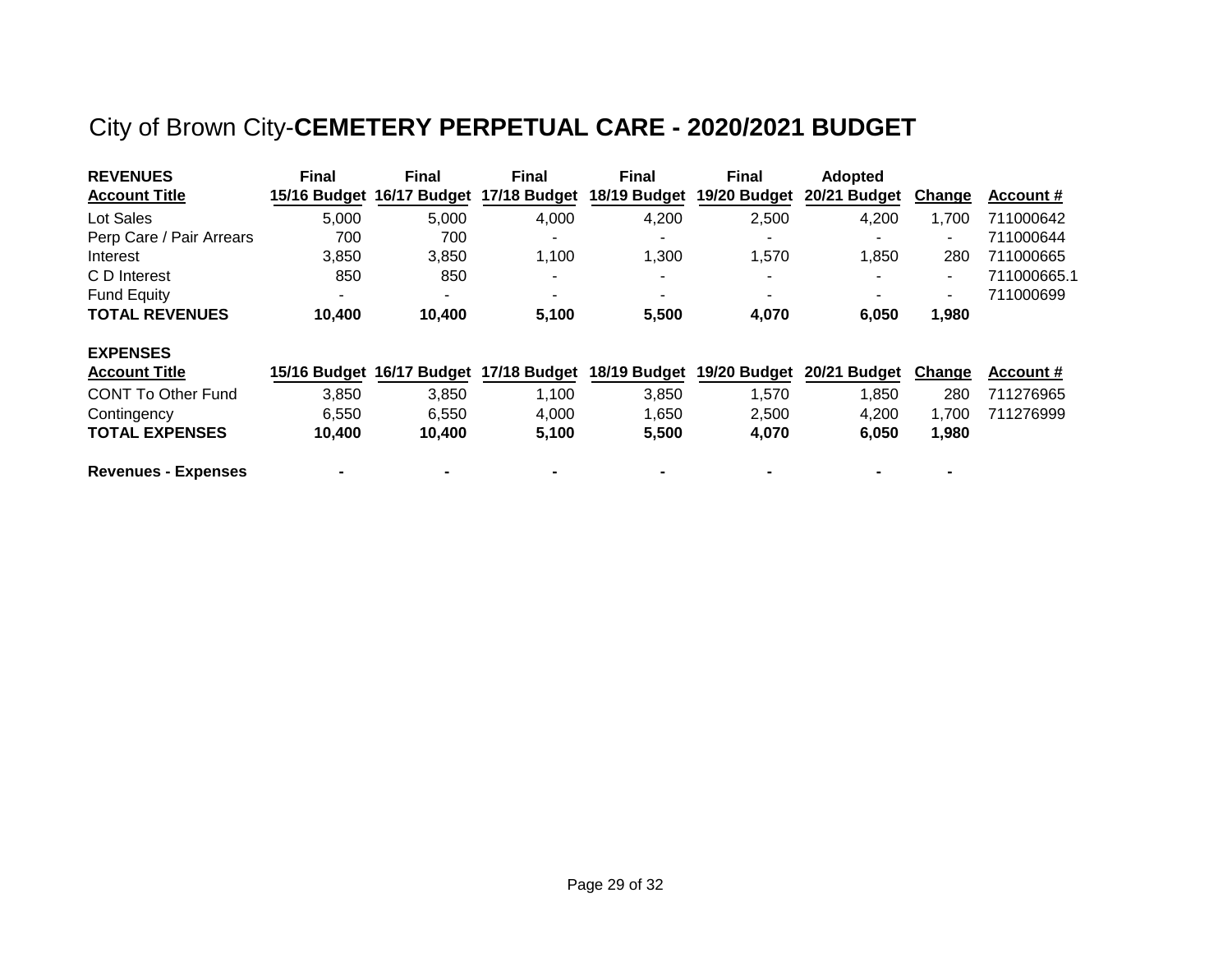# City of Brown City-**CEMETERY PERPETUAL CARE - 2020/2021 BUDGET**

| <b>REVENUES</b>            | <b>Final</b>   | <b>Final</b>              | <b>Final</b>                           | <b>Final</b>   | <b>Final</b>   | <b>Adopted</b> |                |                  |
|----------------------------|----------------|---------------------------|----------------------------------------|----------------|----------------|----------------|----------------|------------------|
| <b>Account Title</b>       |                | 15/16 Budget 16/17 Budget | 17/18 Budget                           | 18/19 Budget   | 19/20 Budget   | 20/21 Budget   | <b>Change</b>  | Account #        |
| Lot Sales                  | 5,000          | 5,000                     | 4,000                                  | 4,200          | 2,500          | 4,200          | 1,700          | 711000642        |
| Perp Care / Pair Arrears   | 700            | 700                       |                                        | -              |                |                |                | 711000644        |
| Interest                   | 3,850          | 3,850                     | 1,100                                  | 1,300          | 1,570          | 1.850          | 280            | 711000665        |
| C D Interest               | 850            | 850                       | $\overline{\phantom{0}}$               | ٠              | $\blacksquare$ |                | $\blacksquare$ | 711000665.1      |
| <b>Fund Equity</b>         | $\blacksquare$ | $\overline{\phantom{0}}$  | $\overline{\phantom{0}}$               | ۰              | $\blacksquare$ |                | $\blacksquare$ | 711000699        |
| <b>TOTAL REVENUES</b>      | 10,400         | 10,400                    | 5,100                                  | 5,500          | 4,070          | 6,050          | 1,980          |                  |
| <b>EXPENSES</b>            |                |                           |                                        |                |                |                |                |                  |
| <b>Account Title</b>       |                |                           | 15/16 Budget 16/17 Budget 17/18 Budget | 18/19 Budget   | 19/20 Budget   | 20/21 Budget   | <b>Change</b>  | <b>Account #</b> |
| <b>CONT To Other Fund</b>  | 3,850          | 3,850                     | 1,100                                  | 3,850          | 1,570          | 1,850          | 280            | 711276965        |
| Contingency                | 6.550          | 6.550                     | 4,000                                  | 1.650          | 2.500          | 4,200          | 1,700          | 711276999        |
| <b>TOTAL EXPENSES</b>      | 10,400         | 10,400                    | 5,100                                  | 5,500          | 4,070          | 6,050          | 1,980          |                  |
| <b>Revenues - Expenses</b> |                |                           |                                        | $\blacksquare$ |                |                |                |                  |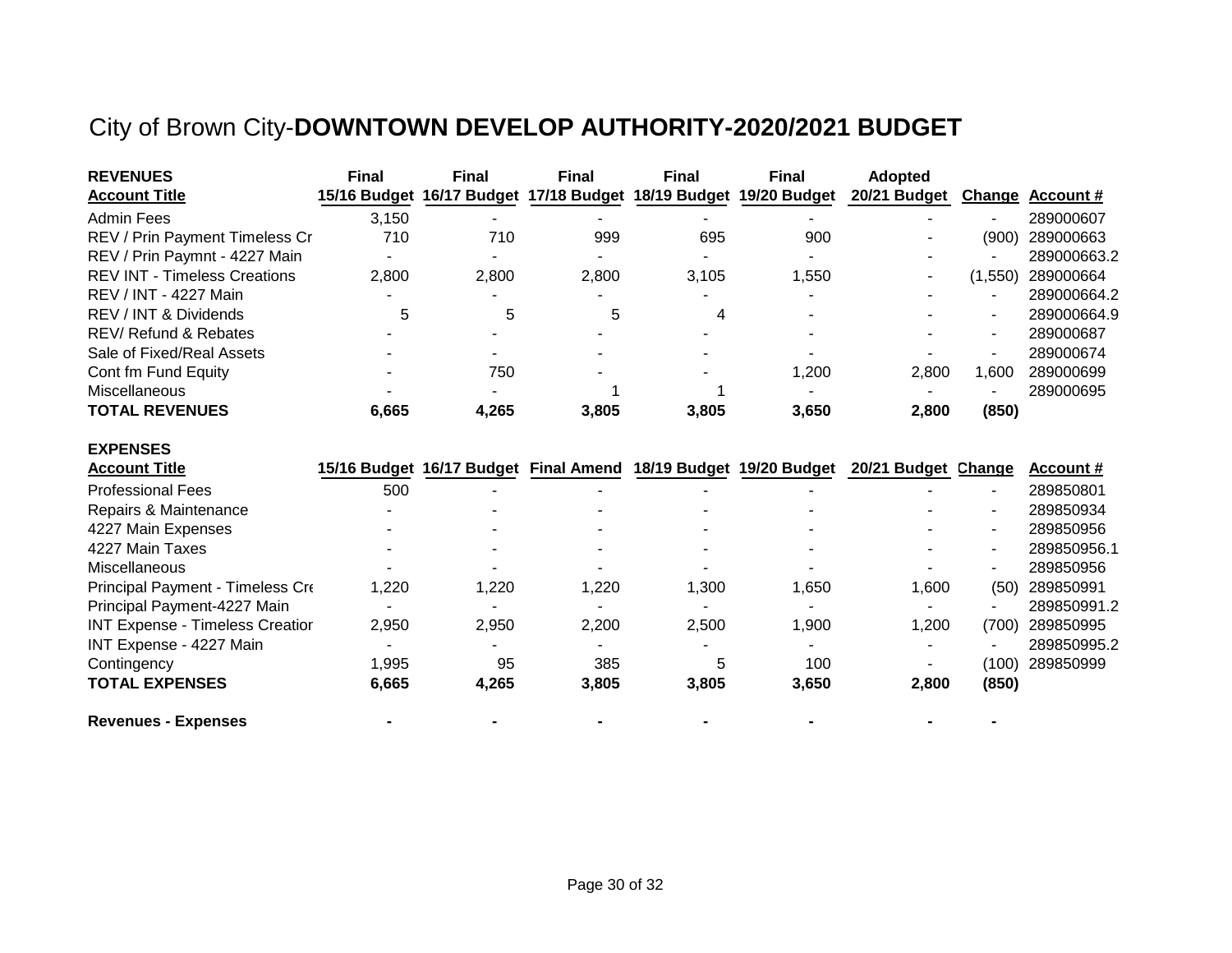## City of Brown City-**DOWNTOWN DEVELOP AUTHORITY-2020/2021 BUDGET**

| <b>REVENUES</b>                     | <b>Final</b> | <b>Final</b>             | <b>Final</b> | <b>Final</b> | <b>Final</b>                                                     | <b>Adopted</b> |         |                  |
|-------------------------------------|--------------|--------------------------|--------------|--------------|------------------------------------------------------------------|----------------|---------|------------------|
| <b>Account Title</b>                |              |                          |              |              | 15/16 Budget 16/17 Budget 17/18 Budget 18/19 Budget 19/20 Budget | 20/21 Budget   |         | Change Account # |
| Admin Fees                          | 3,150        |                          |              |              |                                                                  |                |         | 289000607        |
| REV / Prin Payment Timeless Cr      | 710          | 710                      | 999          | 695          | 900                                                              |                | (900)   | 289000663        |
| REV / Prin Paymnt - 4227 Main       |              | $\overline{\phantom{a}}$ |              |              |                                                                  |                |         | 289000663.2      |
| <b>REV INT - Timeless Creations</b> | 2,800        | 2,800                    | 2.800        | 3,105        | ,550                                                             |                | (1,550) | 289000664        |
| REV / INT - 4227 Main               |              |                          |              |              |                                                                  |                |         | 289000664.2      |
| REV / INT & Dividends               | 5            | 5                        | 5            | 4            |                                                                  |                |         | 289000664.9      |
| REV/Refund & Rebates                |              |                          |              |              |                                                                  |                |         | 289000687        |
| Sale of Fixed/Real Assets           |              |                          |              |              | $\overline{\phantom{a}}$                                         |                |         | 289000674        |
| Cont fm Fund Equity                 |              | 750                      |              |              | 1,200                                                            | 2.800          | 600. ا  | 289000699        |
| Miscellaneous                       |              |                          |              |              |                                                                  |                |         | 289000695        |
| <b>TOTAL REVENUES</b>               | 6,665        | 4,265                    | 3.805        | 3,805        | 3,650                                                            | 2.800          | (850)   |                  |

#### **EXPENSES**

| <b>Account Title</b>                   |       | 15/16 Budget 16/17 Budget Final Amend 18/19 Budget 19/20 Budget |       |       |                          | 20/21 Budget Change |       | Account #   |
|----------------------------------------|-------|-----------------------------------------------------------------|-------|-------|--------------------------|---------------------|-------|-------------|
| <b>Professional Fees</b>               | 500   |                                                                 |       |       | $\overline{\phantom{0}}$ |                     | ٠     | 289850801   |
| Repairs & Maintenance                  |       |                                                                 |       |       |                          |                     | ٠     | 289850934   |
| 4227 Main Expenses                     |       | -                                                               |       |       |                          |                     | ۰     | 289850956   |
| 4227 Main Taxes                        |       |                                                                 |       |       | $\overline{\phantom{0}}$ |                     | ٠     | 289850956.1 |
| <b>Miscellaneous</b>                   |       |                                                                 |       |       |                          |                     | ۰     | 289850956   |
| Principal Payment - Timeless Cre       | 1,220 | .220                                                            | 1,220 | 1,300 | 1,650                    | 1,600               | (50)  | 289850991   |
| Principal Payment-4227 Main            |       |                                                                 |       |       | ٠                        |                     |       | 289850991.2 |
| <b>INT Expense - Timeless Creatior</b> | 2,950 | 2,950                                                           | 2,200 | 2,500 | 1,900                    | 1,200               | (700) | 289850995   |
| INT Expense - 4227 Main                |       |                                                                 |       |       | $\overline{\phantom{a}}$ |                     |       | 289850995.2 |
| Contingency                            | 1,995 | 95                                                              | 385   | 5     | 100                      |                     | (100) | 289850999   |
| <b>TOTAL EXPENSES</b>                  | 6,665 | 4.265                                                           | 3,805 | 3,805 | 3,650                    | 2,800               | (850) |             |

**Revenues - Expenses - - - - - - -**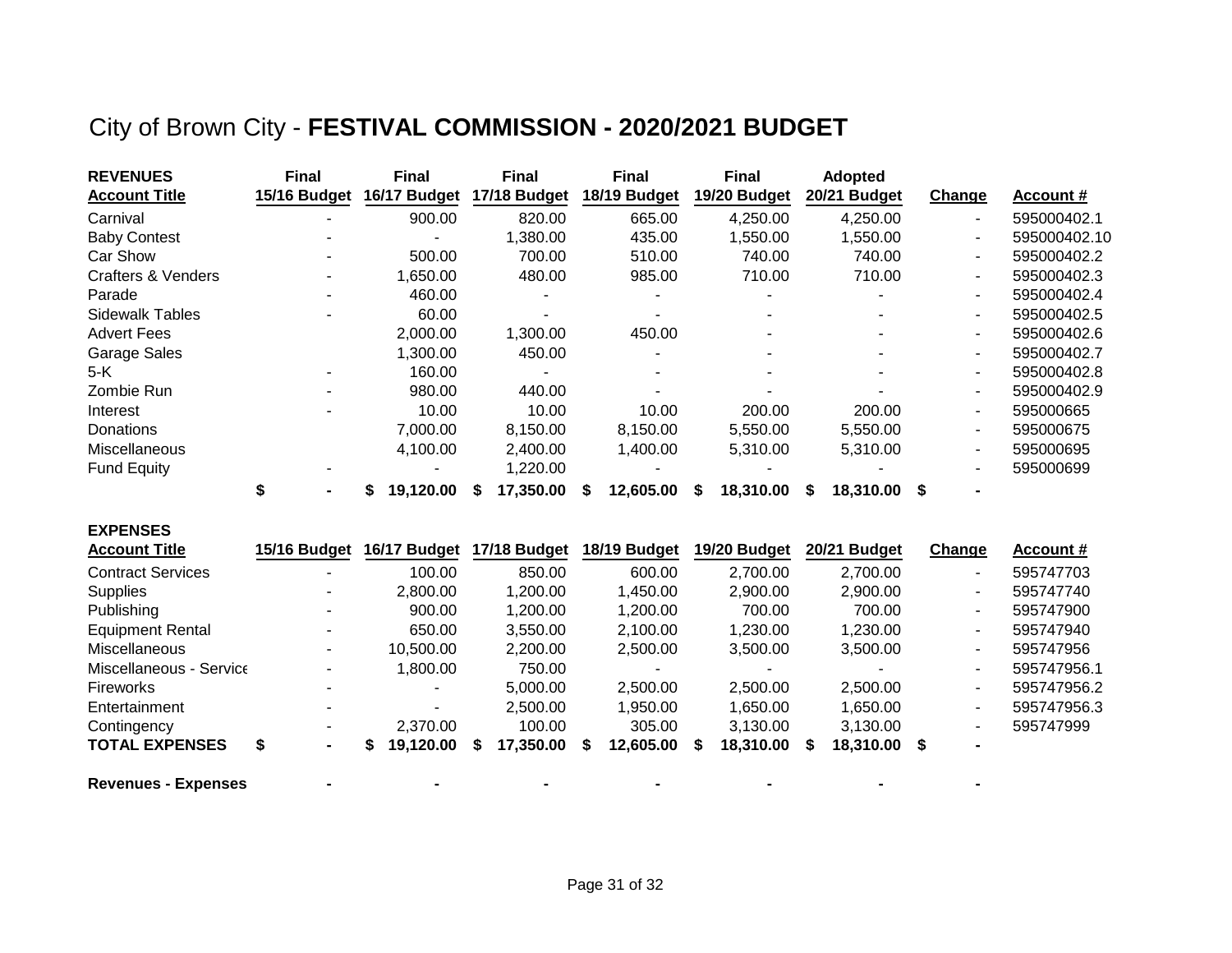## City of Brown City - **FESTIVAL COMMISSION - 2020/2021 BUDGET**

| <b>REVENUES</b>               | <b>Final</b> | <b>Final</b> | <b>Final</b> | <b>Final</b> | <b>Final</b>     | <b>Adopted</b>  |                          |              |
|-------------------------------|--------------|--------------|--------------|--------------|------------------|-----------------|--------------------------|--------------|
| <b>Account Title</b>          | 15/16 Budget | 16/17 Budget | 17/18 Budget | 18/19 Budget | 19/20 Budget     | 20/21 Budget    | Change                   | Account #    |
| Carnival                      |              | 900.00       | 820.00       | 665.00       | 4,250.00         | 4,250.00        | ۰.                       | 595000402.1  |
| <b>Baby Contest</b>           |              |              | 1,380.00     | 435.00       | 1,550.00         | 1,550.00        | ۰.                       | 595000402.10 |
| Car Show                      |              | 500.00       | 700.00       | 510.00       | 740.00           | 740.00          | $\sim$                   | 595000402.2  |
| <b>Crafters &amp; Venders</b> |              | 1,650.00     | 480.00       | 985.00       | 710.00           | 710.00          | ٠                        | 595000402.3  |
| Parade                        |              | 460.00       |              |              |                  |                 |                          | 595000402.4  |
| <b>Sidewalk Tables</b>        |              | 60.00        |              |              |                  |                 | ۰.                       | 595000402.5  |
| <b>Advert Fees</b>            |              | 2,000.00     | 1,300.00     | 450.00       |                  |                 |                          | 595000402.6  |
| Garage Sales                  |              | 1,300.00     | 450.00       |              |                  |                 |                          | 595000402.7  |
| 5-K                           |              | 160.00       |              |              |                  |                 | ۰.                       | 595000402.8  |
| Zombie Run                    |              | 980.00       | 440.00       |              |                  |                 | ۰.                       | 595000402.9  |
| Interest                      |              | 10.00        | 10.00        | 10.00        | 200.00           | 200.00          | ٠                        | 595000665    |
| <b>Donations</b>              |              | 7,000.00     | 8,150.00     | 8,150.00     | 5,550.00         | 5,550.00        |                          | 595000675    |
| Miscellaneous                 |              | 4,100.00     | 2,400.00     | 1,400.00     | 5,310.00         | 5,310.00        | $\overline{\phantom{0}}$ | 595000695    |
| <b>Fund Equity</b>            |              |              | 1,220.00     |              |                  |                 |                          | 595000699    |
|                               |              | 19,120.00    | 17,350.00    | 12,605.00    | 18,310.00<br>- 5 | 18,310.00<br>S. | S.                       |              |

| <b>EXPENSES</b>            |              |              |              |              |                 |                |                        |             |
|----------------------------|--------------|--------------|--------------|--------------|-----------------|----------------|------------------------|-------------|
| <b>Account Title</b>       | 15/16 Budget | 16/17 Budget | 17/18 Budget | 18/19 Budget | 19/20 Budget    | 20/21 Budget   | <b>Change</b>          | Account #   |
| <b>Contract Services</b>   | -            | 100.00       | 850.00       | 600.00       | 2,700.00        | 2,700.00       | $\sim$                 | 595747703   |
| <b>Supplies</b>            |              | 2.800.00     | 1,200.00     | 1.450.00     | 2,900.00        | 2,900.00       | $\blacksquare$         | 595747740   |
| Publishing                 |              | 900.00       | 1,200.00     | 1,200.00     | 700.00          | 700.00         | $\sim$                 | 595747900   |
| <b>Equipment Rental</b>    |              | 650.00       | 3,550.00     | 2,100.00     | 1,230.00        | 1,230.00       | $\sim$                 | 595747940   |
| Miscellaneous              |              | 10,500.00    | 2,200.00     | 2,500.00     | 3,500.00        | 3,500.00       | $\sim$                 | 595747956   |
| Miscellaneous - Service    |              | 1,800.00     | 750.00       |              |                 |                | $\sim$                 | 595747956.1 |
| <b>Fireworks</b>           |              |              | 5,000.00     | 2,500.00     | 2,500.00        | 2,500.00       | $\sim$                 | 595747956.2 |
| Entertainment              |              |              | 2,500.00     | 1,950.00     | 1,650.00        | 1,650.00       | $\sim$                 | 595747956.3 |
| Contingency                |              | 2,370.00     | 100.00       | 305.00       | 3,130.00        | 3,130.00       | $\sim$                 | 595747999   |
| <b>TOTAL EXPENSES</b>      | S<br>۰.      | 19,120.00    | 17,350.00    | 12,605.00    | 18,310.00<br>£. | 18,310.00<br>S | - \$<br>$\blacksquare$ |             |
| <b>Revenues - Expenses</b> |              |              |              |              |                 |                |                        |             |